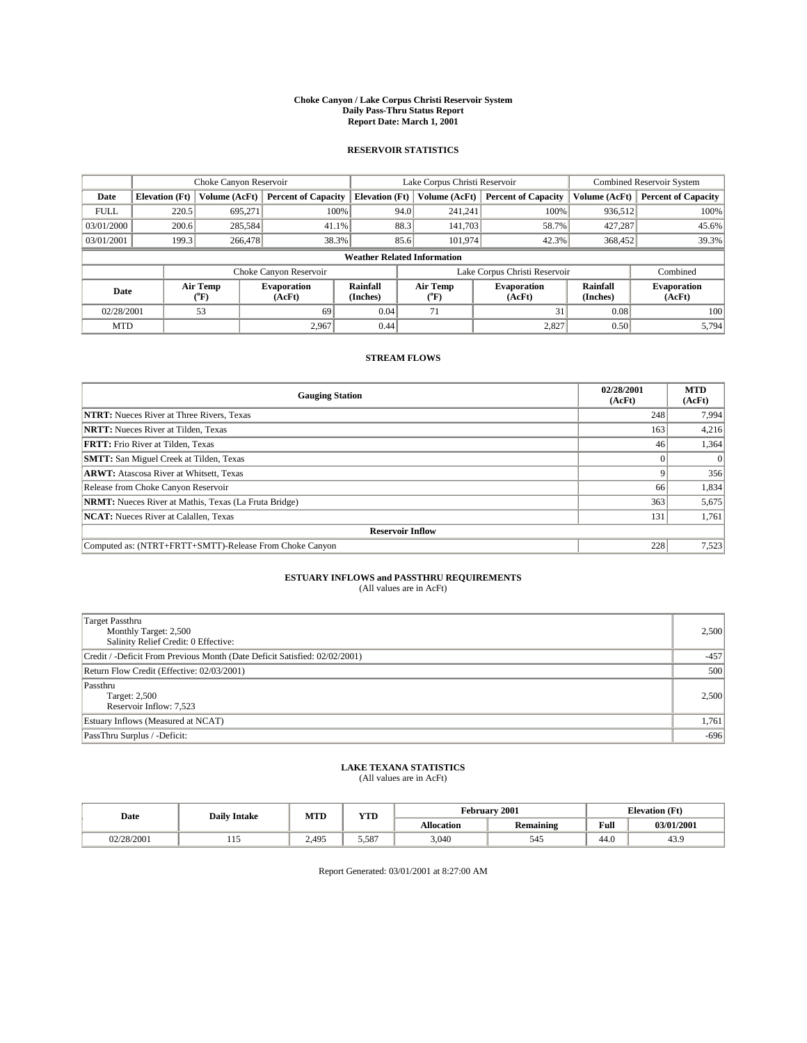#### **Choke Canyon / Lake Corpus Christi Reservoir System Daily Pass-Thru Status Report Report Date: March 1, 2001**

### **RESERVOIR STATISTICS**

|             | Choke Canyon Reservoir             |                             |                              |                             | Lake Corpus Christi Reservoir |                  |                               |                             | <b>Combined Reservoir System</b> |  |  |
|-------------|------------------------------------|-----------------------------|------------------------------|-----------------------------|-------------------------------|------------------|-------------------------------|-----------------------------|----------------------------------|--|--|
| Date        | <b>Elevation</b> (Ft)              | Volume (AcFt)               | <b>Percent of Capacity</b>   | <b>Elevation</b> (Ft)       |                               | Volume (AcFt)    | <b>Percent of Capacity</b>    | Volume (AcFt)               | <b>Percent of Capacity</b>       |  |  |
| <b>FULL</b> | 220.5                              | 695,271                     |                              | 100%                        | 94.0                          | 241,241          | 100%                          | 936.512                     | 100%                             |  |  |
| 03/01/2000  | 200.6                              | 285,584                     | $41.1\%$                     |                             | 88.3                          | 141,703          | 58.7%                         | 427.287                     | 45.6%                            |  |  |
| 03/01/2001  | 199.3                              | 266,478                     | 38.3%                        |                             | 85.6                          | 101,974          | 42.3%                         | 368,452                     | 39.3%                            |  |  |
|             | <b>Weather Related Information</b> |                             |                              |                             |                               |                  |                               |                             |                                  |  |  |
|             |                                    |                             | Choke Canyon Reservoir       |                             |                               |                  | Lake Corpus Christi Reservoir |                             | Combined                         |  |  |
| Date        |                                    | Air Temp<br>${}^{\circ}$ F) | <b>Evaporation</b><br>(AcFt) | <b>Rainfall</b><br>(Inches) |                               | Air Temp<br>("F) | <b>Evaporation</b><br>(AcFt)  | <b>Rainfall</b><br>(Inches) | <b>Evaporation</b><br>(AcFt)     |  |  |
| 02/28/2001  |                                    | 53                          | 69                           | 0.04                        |                               | 71               | 31                            | 0.08                        | 100                              |  |  |
| <b>MTD</b>  |                                    |                             | 2,967                        | 0.44                        |                               |                  | 2,827                         | 0.50                        | 5,794                            |  |  |

## **STREAM FLOWS**

| <b>Gauging Station</b>                                       | 02/28/2001<br>(AcFt) | <b>MTD</b><br>(AcFt) |
|--------------------------------------------------------------|----------------------|----------------------|
| <b>NTRT:</b> Nueces River at Three Rivers, Texas             | 248                  | 7,994                |
| <b>NRTT:</b> Nueces River at Tilden, Texas                   | 163                  | 4,216                |
| <b>FRTT:</b> Frio River at Tilden, Texas                     | 46                   | 1,364                |
| <b>SMTT:</b> San Miguel Creek at Tilden, Texas               |                      | $\Omega$             |
| <b>ARWT:</b> Atascosa River at Whitsett, Texas               |                      | 356                  |
| Release from Choke Canyon Reservoir                          | 66                   | 1,834                |
| <b>NRMT:</b> Nueces River at Mathis, Texas (La Fruta Bridge) | 363                  | 5,675                |
| <b>NCAT:</b> Nueces River at Calallen, Texas                 | 131                  | 1,761                |
| <b>Reservoir Inflow</b>                                      |                      |                      |
| Computed as: (NTRT+FRTT+SMTT)-Release From Choke Canyon      | 228                  | 7,523                |

# **ESTUARY INFLOWS and PASSTHRU REQUIREMENTS**<br>(All values are in AcFt)

| Target Passthru<br>Monthly Target: 2,500<br>Salinity Relief Credit: 0 Effective: | 2,500  |
|----------------------------------------------------------------------------------|--------|
| Credit / -Deficit From Previous Month (Date Deficit Satisfied: 02/02/2001)       | $-457$ |
| Return Flow Credit (Effective: 02/03/2001)                                       | 500    |
| Passthru<br>Target: 2,500<br>Reservoir Inflow: 7,523                             | 2,500  |
| Estuary Inflows (Measured at NCAT)                                               | 1,761  |
| PassThru Surplus / -Deficit:                                                     | $-696$ |

# **LAKE TEXANA STATISTICS** (All values are in AcFt)

| Date       | <b>Daily Intake</b> | <b>MTD</b> | <b>XZOD</b> | Februarv          | 2001             | <b>Elevation</b> (Ft) |            |
|------------|---------------------|------------|-------------|-------------------|------------------|-----------------------|------------|
|            |                     |            | 1 I.D       | <b>Allocation</b> | <b>Remaining</b> | Full                  | 03/01/2001 |
| 02/28/2001 | .                   | 2.495      | 5.587       | 3,040             | 545              | 44.U                  | 43.9       |

Report Generated: 03/01/2001 at 8:27:00 AM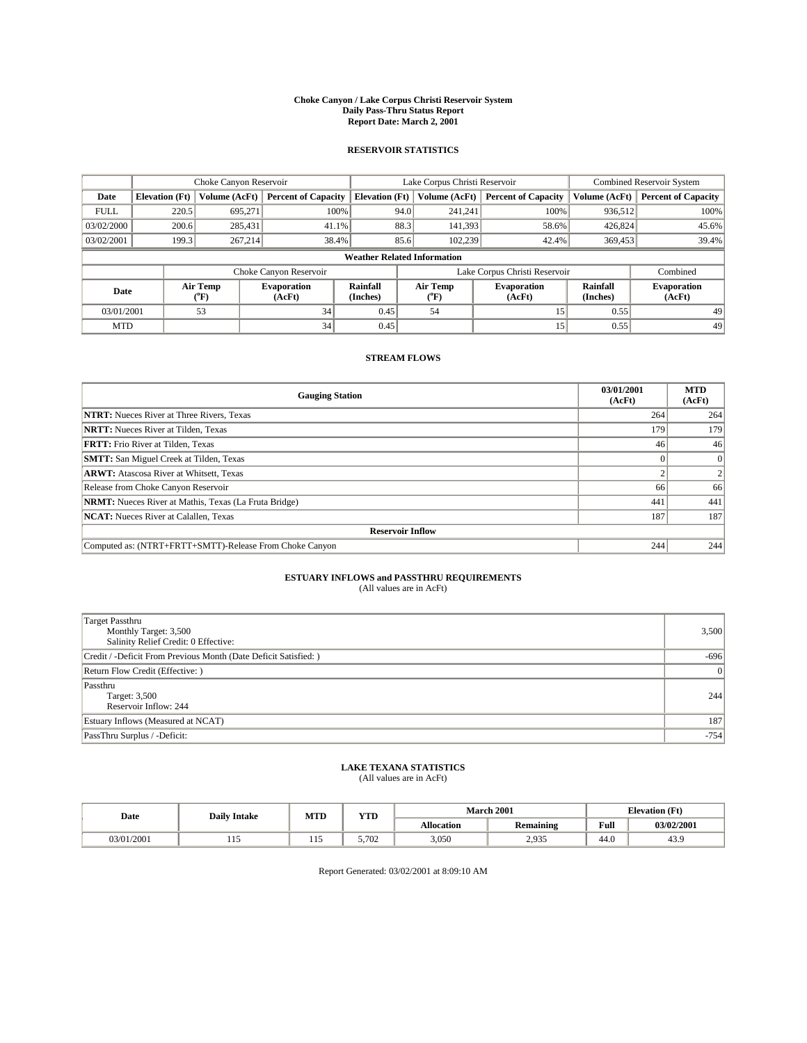#### **Choke Canyon / Lake Corpus Christi Reservoir System Daily Pass-Thru Status Report Report Date: March 2, 2001**

### **RESERVOIR STATISTICS**

|                                    |                       |                  | Lake Corpus Christi Reservoir |                             |      |                         | <b>Combined Reservoir System</b> |                      |                              |
|------------------------------------|-----------------------|------------------|-------------------------------|-----------------------------|------|-------------------------|----------------------------------|----------------------|------------------------------|
| Date                               | <b>Elevation</b> (Ft) | Volume (AcFt)    | <b>Percent of Capacity</b>    | <b>Elevation (Ft)</b>       |      | Volume (AcFt)           | <b>Percent of Capacity</b>       | Volume (AcFt)        | <b>Percent of Capacity</b>   |
| <b>FULL</b>                        | 220.5                 | 695,271          | 100%                          |                             | 94.0 | 241,241                 | 100%                             | 936,512              | 100%                         |
| 03/02/2000                         | 200.6                 | 285.431          | 41.1%                         |                             | 88.3 | 141.393                 | 58.6%                            | 426.824              | 45.6%                        |
| 03/02/2001                         | 199.3                 | 267,214          | 38.4%                         |                             | 85.6 | 102,239                 | 42.4%                            | 369,453              | 39.4%                        |
| <b>Weather Related Information</b> |                       |                  |                               |                             |      |                         |                                  |                      |                              |
|                                    |                       |                  | Choke Canyon Reservoir        |                             |      |                         | Lake Corpus Christi Reservoir    |                      | Combined                     |
| Date                               |                       | Air Temp<br>(°F) | <b>Evaporation</b><br>(AcFt)  | <b>Rainfall</b><br>(Inches) |      | Air Temp<br>$\rm ^{op}$ | <b>Evaporation</b><br>(AcFt)     | Rainfall<br>(Inches) | <b>Evaporation</b><br>(AcFt) |
| 03/01/2001                         |                       | 53               | 34                            | 0.45                        |      | 54                      | 15                               | 0.55                 | 49                           |
| <b>MTD</b>                         |                       |                  | 34                            | 0.45                        |      |                         | 15                               | 0.55                 | 49                           |

## **STREAM FLOWS**

| <b>Gauging Station</b>                                       | 03/01/2001<br>(AcFt) | <b>MTD</b><br>(AcFt) |  |  |  |  |
|--------------------------------------------------------------|----------------------|----------------------|--|--|--|--|
| <b>NTRT:</b> Nueces River at Three Rivers, Texas             | 264                  | 264                  |  |  |  |  |
| <b>NRTT:</b> Nueces River at Tilden, Texas                   | 179                  | 179                  |  |  |  |  |
| <b>FRTT:</b> Frio River at Tilden, Texas                     | 46                   | 46                   |  |  |  |  |
| <b>SMTT:</b> San Miguel Creek at Tilden, Texas               |                      |                      |  |  |  |  |
| <b>ARWT:</b> Atascosa River at Whitsett, Texas               |                      |                      |  |  |  |  |
| Release from Choke Canyon Reservoir                          | 66                   | 66                   |  |  |  |  |
| <b>NRMT:</b> Nueces River at Mathis, Texas (La Fruta Bridge) | 441                  | 441                  |  |  |  |  |
| <b>NCAT:</b> Nueces River at Calallen, Texas                 | 187                  | 187                  |  |  |  |  |
| <b>Reservoir Inflow</b>                                      |                      |                      |  |  |  |  |
| Computed as: (NTRT+FRTT+SMTT)-Release From Choke Canyon      | 244                  | 244                  |  |  |  |  |

# **ESTUARY INFLOWS and PASSTHRU REQUIREMENTS**

(All values are in AcFt)

| <b>Target Passthru</b><br>Monthly Target: 3,500<br>Salinity Relief Credit: 0 Effective: | 3,500  |
|-----------------------------------------------------------------------------------------|--------|
| Credit / -Deficit From Previous Month (Date Deficit Satisfied: )                        | $-696$ |
| Return Flow Credit (Effective: )                                                        | 0      |
| Passthru<br>Target: 3,500<br>Reservoir Inflow: 244                                      | 244    |
| Estuary Inflows (Measured at NCAT)                                                      | 187    |
| PassThru Surplus / -Deficit:                                                            | $-754$ |

# **LAKE TEXANA STATISTICS** (All values are in AcFt)

| Date            | <b>Daily Intake</b> | <b>MTD</b>    | <b>WTPD</b><br>1 I.D |                   | <b>March 2001</b> | <b>Elevation</b> (Ft) |            |
|-----------------|---------------------|---------------|----------------------|-------------------|-------------------|-----------------------|------------|
|                 |                     |               |                      | <b>Allocation</b> | <b>Remaining</b>  | Full                  | 03/02/2001 |
| 1/2001<br>03/01 | .                   | $\sim$<br>11. | 5.702                | 3,050             | 2.935<br>ر د به   | 44.U                  | 45.9       |

Report Generated: 03/02/2001 at 8:09:10 AM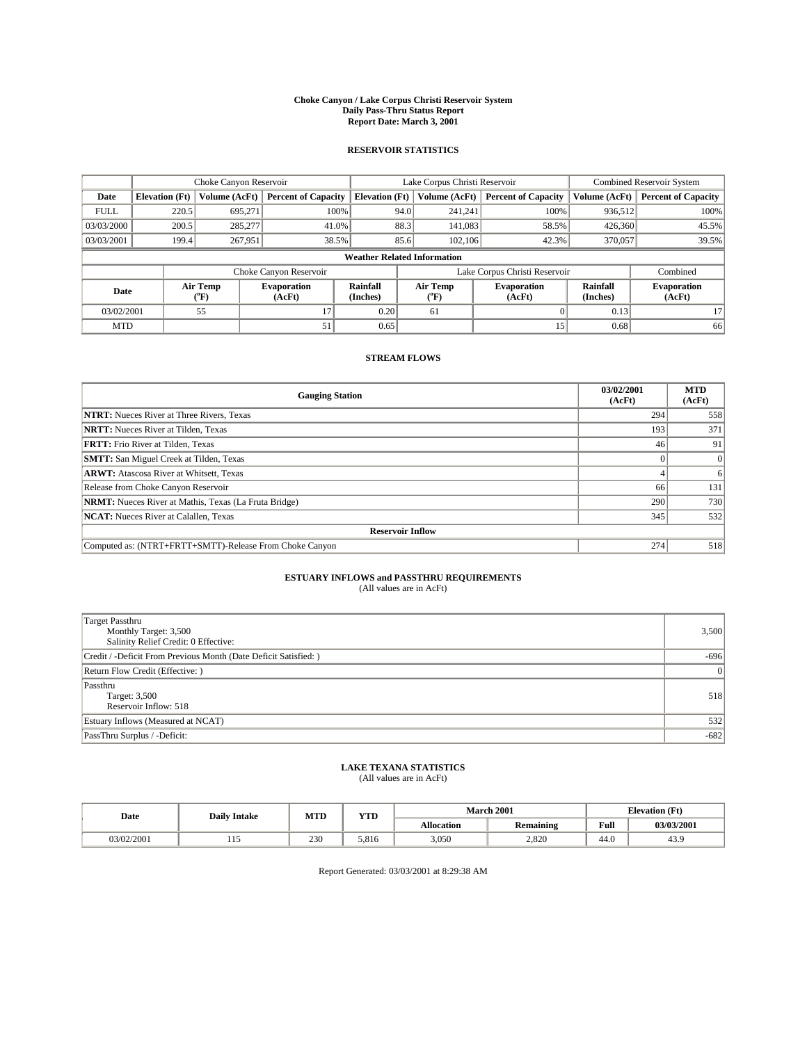#### **Choke Canyon / Lake Corpus Christi Reservoir System Daily Pass-Thru Status Report Report Date: March 3, 2001**

### **RESERVOIR STATISTICS**

|             | Choke Canyon Reservoir             |                             |                              |                             | Lake Corpus Christi Reservoir |                  |                               |                      | <b>Combined Reservoir System</b> |  |
|-------------|------------------------------------|-----------------------------|------------------------------|-----------------------------|-------------------------------|------------------|-------------------------------|----------------------|----------------------------------|--|
| Date        | <b>Elevation</b> (Ft)              | Volume (AcFt)               | <b>Percent of Capacity</b>   | <b>Elevation</b> (Ft)       |                               | Volume (AcFt)    | <b>Percent of Capacity</b>    | Volume (AcFt)        | <b>Percent of Capacity</b>       |  |
| <b>FULL</b> | 220.5                              | 695,271                     | 100%                         |                             | 94.0                          | 241,241          | 100%                          | 936.512              | 100%                             |  |
| 03/03/2000  | 200.5                              | 285,277                     | 41.0%                        |                             | 88.3                          | 141.083          | 58.5%                         | 426,360              | 45.5%                            |  |
| 03/03/2001  | 199.4                              | 267,951                     | 38.5%                        |                             | 85.6                          | 102, 106         | 42.3%                         | 370,057              | 39.5%                            |  |
|             | <b>Weather Related Information</b> |                             |                              |                             |                               |                  |                               |                      |                                  |  |
|             |                                    |                             | Choke Canyon Reservoir       |                             |                               |                  | Lake Corpus Christi Reservoir |                      | Combined                         |  |
| Date        |                                    | Air Temp<br>${}^{\circ}$ F) | <b>Evaporation</b><br>(AcFt) | <b>Rainfall</b><br>(Inches) |                               | Air Temp<br>("F) | <b>Evaporation</b><br>(AcFt)  | Rainfall<br>(Inches) | <b>Evaporation</b><br>(AcFt)     |  |
| 03/02/2001  |                                    | 55                          |                              | 0.20                        |                               | 61               |                               | 0.13                 | 17                               |  |
| <b>MTD</b>  |                                    |                             | 51                           | 0.65                        |                               |                  | 15                            | 0.68                 | 66                               |  |

## **STREAM FLOWS**

| <b>Gauging Station</b>                                       | 03/02/2001<br>(AcFt) | <b>MTD</b><br>(AcFt) |  |  |  |  |  |
|--------------------------------------------------------------|----------------------|----------------------|--|--|--|--|--|
| <b>NTRT:</b> Nueces River at Three Rivers, Texas             | 294                  | 558                  |  |  |  |  |  |
| <b>NRTT:</b> Nueces River at Tilden, Texas                   | 193                  | 371                  |  |  |  |  |  |
| <b>FRTT:</b> Frio River at Tilden, Texas                     | 46                   | 91                   |  |  |  |  |  |
| <b>SMTT:</b> San Miguel Creek at Tilden, Texas               |                      |                      |  |  |  |  |  |
| <b>ARWT:</b> Atascosa River at Whitsett, Texas               |                      | 6                    |  |  |  |  |  |
| Release from Choke Canyon Reservoir                          | 66                   | 131                  |  |  |  |  |  |
| <b>NRMT:</b> Nueces River at Mathis, Texas (La Fruta Bridge) | 290                  | 730                  |  |  |  |  |  |
| <b>NCAT:</b> Nueces River at Calallen, Texas                 | 345                  | 532                  |  |  |  |  |  |
| <b>Reservoir Inflow</b>                                      |                      |                      |  |  |  |  |  |
| Computed as: (NTRT+FRTT+SMTT)-Release From Choke Canyon      | 274                  | 518                  |  |  |  |  |  |

# **ESTUARY INFLOWS and PASSTHRU REQUIREMENTS**

(All values are in AcFt)

| <b>Target Passthru</b><br>Monthly Target: 3,500<br>Salinity Relief Credit: 0 Effective: | 3,500  |
|-----------------------------------------------------------------------------------------|--------|
| Credit / -Deficit From Previous Month (Date Deficit Satisfied: )                        | $-696$ |
| Return Flow Credit (Effective: )                                                        | 0      |
| Passthru<br>Target: 3,500<br>Reservoir Inflow: 518                                      | 518    |
| Estuary Inflows (Measured at NCAT)                                                      | 532    |
| PassThru Surplus / -Deficit:                                                            | $-682$ |

# **LAKE TEXANA STATISTICS** (All values are in AcFt)

| Date       | <b>Daily Intake</b> | <b>MTD</b> | <b>WTPD</b><br>1 I.D |                   | <b>March 2001</b> | <b>Elevation</b> (Ft) |            |
|------------|---------------------|------------|----------------------|-------------------|-------------------|-----------------------|------------|
|            |                     |            |                      | <b>Allocation</b> | <b>Remaining</b>  | Full                  | 03/03/2001 |
| 03/02/2001 |                     | 230        | 5.816                | 3,050             | 2.820             | 44.U                  | 45.9       |

Report Generated: 03/03/2001 at 8:29:38 AM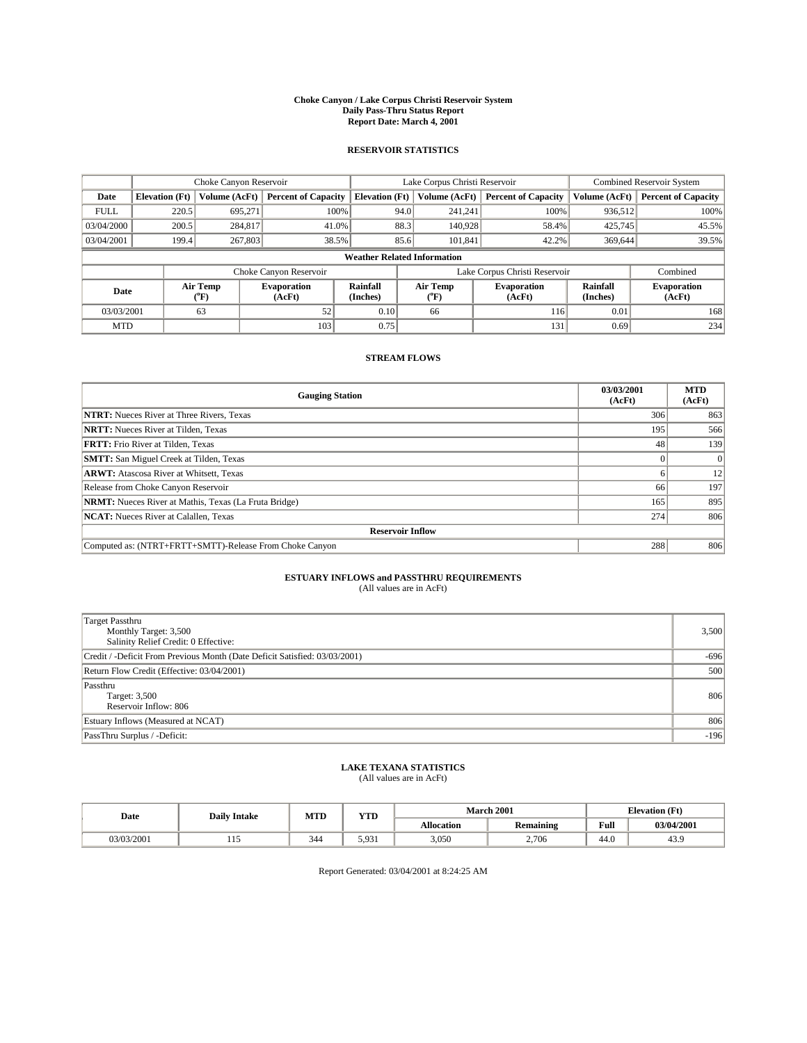#### **Choke Canyon / Lake Corpus Christi Reservoir System Daily Pass-Thru Status Report Report Date: March 4, 2001**

### **RESERVOIR STATISTICS**

|                                    | Choke Canyon Reservoir                                              |                  | Lake Corpus Christi Reservoir |                             |      |                         | <b>Combined Reservoir System</b> |                      |                              |
|------------------------------------|---------------------------------------------------------------------|------------------|-------------------------------|-----------------------------|------|-------------------------|----------------------------------|----------------------|------------------------------|
| Date                               | <b>Elevation</b> (Ft)                                               | Volume (AcFt)    | <b>Percent of Capacity</b>    | <b>Elevation (Ft)</b>       |      | Volume (AcFt)           | <b>Percent of Capacity</b>       | Volume (AcFt)        | <b>Percent of Capacity</b>   |
| <b>FULL</b>                        | 220.5                                                               | 695,271          |                               | 100%                        | 94.0 | 241,241                 | 100%                             | 936,512              | 100%                         |
| 03/04/2000                         | 200.5                                                               | 284,817          | 41.0%                         |                             | 88.3 | 140.928                 | 58.4%                            | 425,745              | 45.5%                        |
| 03/04/2001                         | 199.4                                                               | 267,803          | 38.5%                         |                             | 85.6 | 101,841                 | 42.2%                            | 369,644              | 39.5%                        |
| <b>Weather Related Information</b> |                                                                     |                  |                               |                             |      |                         |                                  |                      |                              |
|                                    | Lake Corpus Christi Reservoir<br>Choke Canyon Reservoir<br>Combined |                  |                               |                             |      |                         |                                  |                      |                              |
| Date                               |                                                                     | Air Temp<br>(°F) | <b>Evaporation</b><br>(AcFt)  | <b>Rainfall</b><br>(Inches) |      | Air Temp<br>$\rm ^{op}$ | <b>Evaporation</b><br>(AcFt)     | Rainfall<br>(Inches) | <b>Evaporation</b><br>(AcFt) |
| 03/03/2001                         |                                                                     | 63               | 52                            | 0.10                        |      | 66                      | 116                              | 0.01                 | 168                          |
| <b>MTD</b>                         |                                                                     |                  | 103                           | 0.75                        |      |                         | 131                              | 0.69                 | 234                          |

## **STREAM FLOWS**

| <b>Gauging Station</b>                                       | 03/03/2001<br>(AcFt) | <b>MTD</b><br>(AcFt) |
|--------------------------------------------------------------|----------------------|----------------------|
| <b>NTRT:</b> Nueces River at Three Rivers, Texas             | 306                  | 863                  |
| <b>NRTT:</b> Nueces River at Tilden, Texas                   | 195                  | 566                  |
| <b>FRTT:</b> Frio River at Tilden, Texas                     | 48                   | 139                  |
| <b>SMTT:</b> San Miguel Creek at Tilden, Texas               |                      | $\Omega$             |
| <b>ARWT:</b> Atascosa River at Whitsett, Texas               |                      | 12                   |
| Release from Choke Canyon Reservoir                          | 66                   | 197                  |
| <b>NRMT:</b> Nueces River at Mathis, Texas (La Fruta Bridge) | 165                  | 895                  |
| <b>NCAT:</b> Nueces River at Calallen, Texas                 | 274                  | 806                  |
| <b>Reservoir Inflow</b>                                      |                      |                      |
| Computed as: (NTRT+FRTT+SMTT)-Release From Choke Canyon      | 288                  | 806                  |

# **ESTUARY INFLOWS and PASSTHRU REQUIREMENTS**<br>(All values are in AcFt)

| <b>Target Passthru</b><br>Monthly Target: 3,500<br>Salinity Relief Credit: 0 Effective: | 3,500  |
|-----------------------------------------------------------------------------------------|--------|
| Credit / -Deficit From Previous Month (Date Deficit Satisfied: 03/03/2001)              | $-696$ |
| Return Flow Credit (Effective: 03/04/2001)                                              | 500    |
| Passthru<br>Target: 3,500<br>Reservoir Inflow: 806                                      | 806    |
| Estuary Inflows (Measured at NCAT)                                                      | 806    |
| PassThru Surplus / -Deficit:                                                            | $-196$ |

# **LAKE TEXANA STATISTICS** (All values are in AcFt)

| Date       | <b>Daily Intake</b> | MTD | <b>YTD</b>           |                   | <b>March 2001</b> | <b>Elevation</b> (Ft) |                |
|------------|---------------------|-----|----------------------|-------------------|-------------------|-----------------------|----------------|
|            |                     |     |                      | <b>Allocation</b> | <b>Remaining</b>  | Full                  | 03/04/2001     |
| 03/03/2001 | .                   | 344 | 03<br>J. <i>J.</i> J | 3,050             | 2,706             | 44.0                  | $\sim$<br>43.5 |

Report Generated: 03/04/2001 at 8:24:25 AM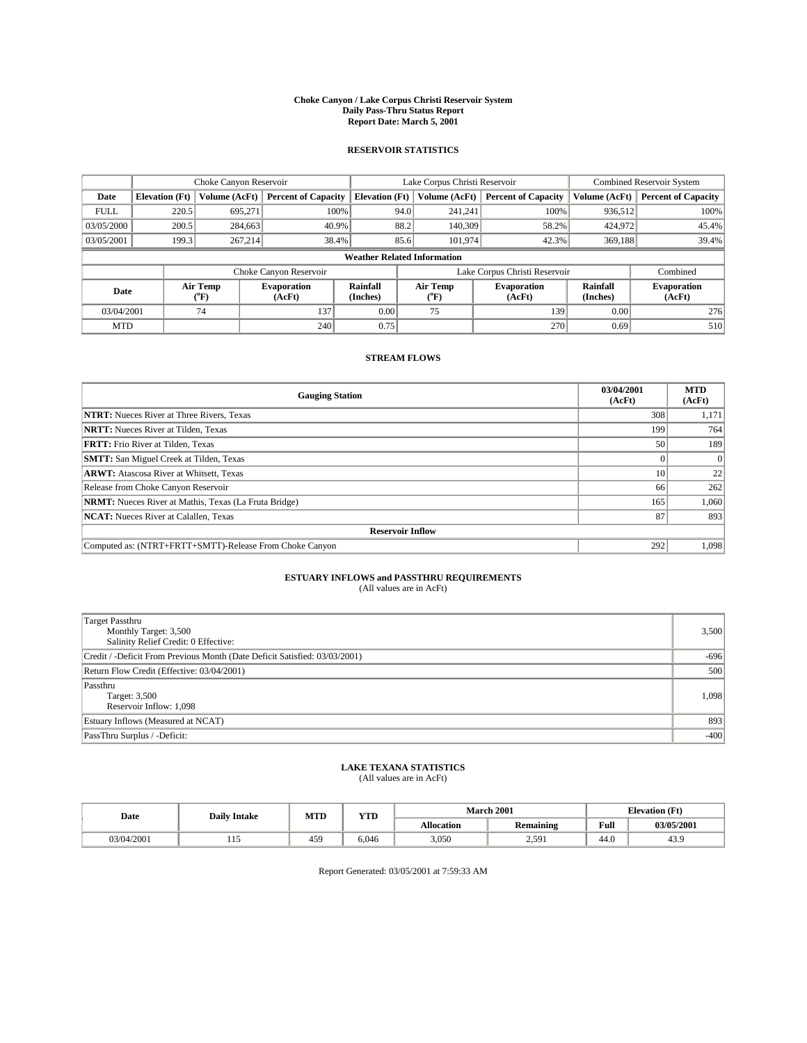#### **Choke Canyon / Lake Corpus Christi Reservoir System Daily Pass-Thru Status Report Report Date: March 5, 2001**

### **RESERVOIR STATISTICS**

|                                    | Choke Canyon Reservoir                                              |                             |                              |                             | Lake Corpus Christi Reservoir |                  |                              |                      | <b>Combined Reservoir System</b> |  |  |
|------------------------------------|---------------------------------------------------------------------|-----------------------------|------------------------------|-----------------------------|-------------------------------|------------------|------------------------------|----------------------|----------------------------------|--|--|
| Date                               | <b>Elevation</b> (Ft)                                               | Volume (AcFt)               | <b>Percent of Capacity</b>   | <b>Elevation</b> (Ft)       |                               | Volume (AcFt)    | <b>Percent of Capacity</b>   | Volume (AcFt)        | <b>Percent of Capacity</b>       |  |  |
| <b>FULL</b>                        | 220.5                                                               | 695,271                     | 100%                         |                             | 94.0                          | 241,241          | 100%                         | 936.512              | 100%                             |  |  |
| 03/05/2000                         | 200.5                                                               | 284,663                     | 40.9%                        |                             | 88.2                          | 140,309          | 58.2%                        | 424,972              | 45.4%                            |  |  |
| 03/05/2001                         | 199.3                                                               | 267,214                     | 38.4%                        |                             | 85.6                          | 101,974          | 42.3%                        | 369,188              | 39.4%                            |  |  |
| <b>Weather Related Information</b> |                                                                     |                             |                              |                             |                               |                  |                              |                      |                                  |  |  |
|                                    | Lake Corpus Christi Reservoir<br>Choke Canyon Reservoir<br>Combined |                             |                              |                             |                               |                  |                              |                      |                                  |  |  |
| Date                               |                                                                     | Air Temp<br>${}^{\circ}$ F) | <b>Evaporation</b><br>(AcFt) | <b>Rainfall</b><br>(Inches) |                               | Air Temp<br>("F) | <b>Evaporation</b><br>(AcFt) | Rainfall<br>(Inches) | <b>Evaporation</b><br>(AcFt)     |  |  |
| 03/04/2001                         |                                                                     | 74                          | 137                          | 0.00                        |                               | 75               | 139                          | 0.00                 | 276                              |  |  |
| <b>MTD</b>                         |                                                                     |                             | 240                          | 0.75                        |                               |                  | 270                          | 0.69                 | 510                              |  |  |

## **STREAM FLOWS**

| <b>Gauging Station</b>                                       | 03/04/2001<br>(AcFt) | <b>MTD</b><br>(AcFt) |
|--------------------------------------------------------------|----------------------|----------------------|
| <b>NTRT:</b> Nueces River at Three Rivers, Texas             | 308                  | 1,171                |
| <b>NRTT:</b> Nueces River at Tilden, Texas                   | 199                  | 764                  |
| <b>FRTT:</b> Frio River at Tilden, Texas                     | 50                   | 189                  |
| <b>SMTT:</b> San Miguel Creek at Tilden, Texas               |                      |                      |
| <b>ARWT:</b> Atascosa River at Whitsett, Texas               | 10 <sup>1</sup>      | 22                   |
| Release from Choke Canyon Reservoir                          | 66                   | 262                  |
| <b>NRMT:</b> Nueces River at Mathis, Texas (La Fruta Bridge) | 165                  | 1,060                |
| <b>NCAT:</b> Nueces River at Calallen, Texas                 | 87                   | 893                  |
| <b>Reservoir Inflow</b>                                      |                      |                      |
| Computed as: (NTRT+FRTT+SMTT)-Release From Choke Canyon      | 292                  | 1,098                |

# **ESTUARY INFLOWS and PASSTHRU REQUIREMENTS**<br>(All values are in AcFt)

| <b>Target Passthru</b><br>Monthly Target: 3,500<br>Salinity Relief Credit: 0 Effective: | 3,500  |
|-----------------------------------------------------------------------------------------|--------|
| Credit / -Deficit From Previous Month (Date Deficit Satisfied: 03/03/2001)              | $-696$ |
| Return Flow Credit (Effective: 03/04/2001)                                              | 500    |
| Passthru<br>Target: 3,500<br>Reservoir Inflow: 1,098                                    | 1,098  |
| Estuary Inflows (Measured at NCAT)                                                      | 893    |
| PassThru Surplus / -Deficit:                                                            | $-400$ |

# **LAKE TEXANA STATISTICS** (All values are in AcFt)

| Date       | <b>Daily Intake</b> | MTD | <b>YTD</b> | <b>March 2001</b><br><b>Elevation</b> (Ft) |                  |      |                |
|------------|---------------------|-----|------------|--------------------------------------------|------------------|------|----------------|
|            |                     |     |            | <b>Allocation</b>                          | <b>Remaining</b> | Full | 03/05/2001     |
| 03/04/2001 | .                   | 459 | 6.046      | 3,050                                      | 2,591            | 44.0 | $\sim$<br>43.5 |

Report Generated: 03/05/2001 at 7:59:33 AM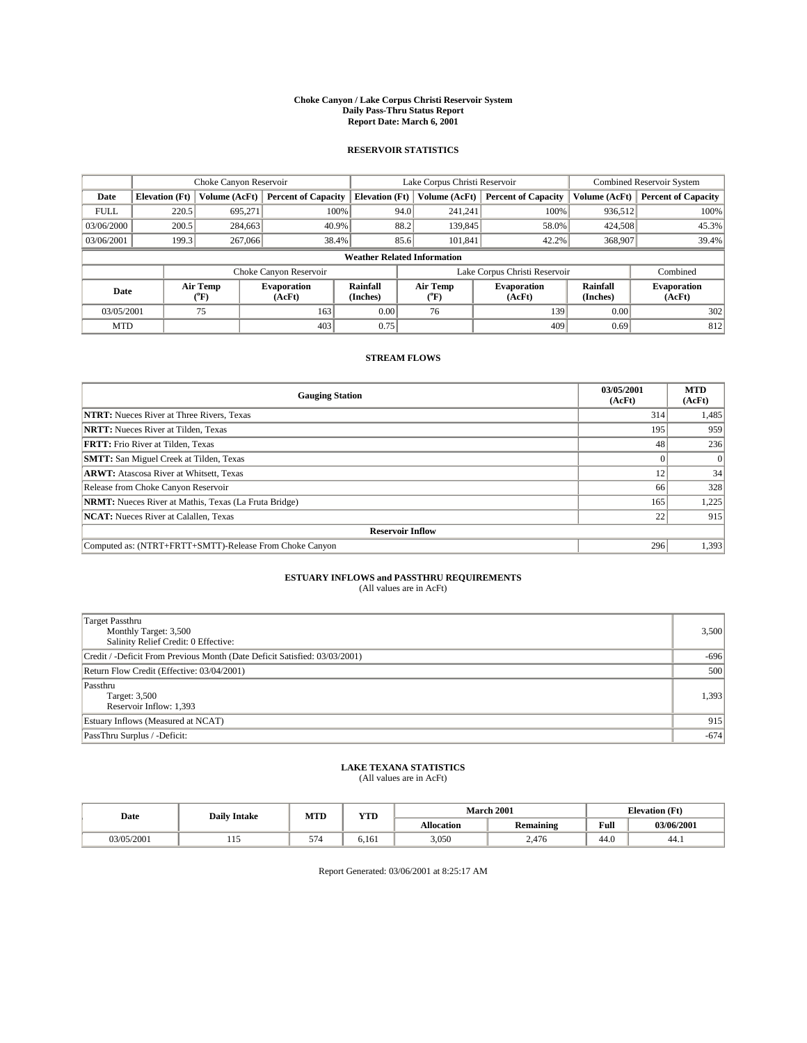#### **Choke Canyon / Lake Corpus Christi Reservoir System Daily Pass-Thru Status Report Report Date: March 6, 2001**

### **RESERVOIR STATISTICS**

|             | Choke Canyon Reservoir                                              |                             |                              |                             | Lake Corpus Christi Reservoir |                  |                              |                      | <b>Combined Reservoir System</b> |  |  |
|-------------|---------------------------------------------------------------------|-----------------------------|------------------------------|-----------------------------|-------------------------------|------------------|------------------------------|----------------------|----------------------------------|--|--|
| Date        | <b>Elevation</b> (Ft)                                               | Volume (AcFt)               | <b>Percent of Capacity</b>   | <b>Elevation</b> (Ft)       |                               | Volume (AcFt)    | <b>Percent of Capacity</b>   | Volume (AcFt)        | <b>Percent of Capacity</b>       |  |  |
| <b>FULL</b> | 220.5                                                               | 695,271                     | 100%                         |                             | 94.0                          | 241,241          | 100%                         | 936.512              | 100%                             |  |  |
| 03/06/2000  | 200.5                                                               | 284,663                     | 40.9%                        |                             | 88.2                          | 139,845          | 58.0%                        | 424,508              | 45.3%                            |  |  |
| 03/06/2001  | 199.3                                                               | 267,066                     | 38.4%                        |                             | 85.6                          | 101,841          | 42.2%                        | 368,907              | 39.4%                            |  |  |
|             | <b>Weather Related Information</b>                                  |                             |                              |                             |                               |                  |                              |                      |                                  |  |  |
|             | Lake Corpus Christi Reservoir<br>Choke Canyon Reservoir<br>Combined |                             |                              |                             |                               |                  |                              |                      |                                  |  |  |
| Date        |                                                                     | Air Temp<br>${}^{\circ}$ F) | <b>Evaporation</b><br>(AcFt) | <b>Rainfall</b><br>(Inches) |                               | Air Temp<br>("F) | <b>Evaporation</b><br>(AcFt) | Rainfall<br>(Inches) | <b>Evaporation</b><br>(AcFt)     |  |  |
| 03/05/2001  |                                                                     | 75                          | 163                          | 0.00                        |                               | 76               | 139                          | 0.00                 | 302                              |  |  |
| <b>MTD</b>  |                                                                     |                             | 403                          | 0.75                        |                               |                  | 409                          | 0.69                 | 812                              |  |  |

## **STREAM FLOWS**

| <b>Gauging Station</b>                                       | 03/05/2001<br>(AcFt) | <b>MTD</b><br>(AcFt) |
|--------------------------------------------------------------|----------------------|----------------------|
| <b>NTRT:</b> Nueces River at Three Rivers, Texas             | 314                  | 1,485                |
| <b>NRTT:</b> Nueces River at Tilden, Texas                   | 195                  | 959                  |
| <b>FRTT:</b> Frio River at Tilden, Texas                     | 48                   | 236                  |
| <b>SMTT:</b> San Miguel Creek at Tilden, Texas               |                      |                      |
| <b>ARWT:</b> Atascosa River at Whitsett, Texas               | 12                   | 34                   |
| Release from Choke Canyon Reservoir                          | 66                   | 328                  |
| <b>NRMT:</b> Nueces River at Mathis, Texas (La Fruta Bridge) | 165                  | 1,225                |
| <b>NCAT:</b> Nueces River at Calallen, Texas                 | 22                   | 915                  |
| <b>Reservoir Inflow</b>                                      |                      |                      |
| Computed as: (NTRT+FRTT+SMTT)-Release From Choke Canyon      | 296                  | 1,393                |

# **ESTUARY INFLOWS and PASSTHRU REQUIREMENTS**<br>(All values are in AcFt)

| Target Passthru<br>Monthly Target: 3,500<br>Salinity Relief Credit: 0 Effective: | 3,500  |
|----------------------------------------------------------------------------------|--------|
| Credit / -Deficit From Previous Month (Date Deficit Satisfied: 03/03/2001)       | $-696$ |
| Return Flow Credit (Effective: 03/04/2001)                                       | 500    |
| Passthru<br>Target: 3,500<br>Reservoir Inflow: 1,393                             | 1,393  |
| Estuary Inflows (Measured at NCAT)                                               | 915    |
| PassThru Surplus / -Deficit:                                                     | $-674$ |

# **LAKE TEXANA STATISTICS** (All values are in AcFt)

| Date       | <b>Daily Intake</b> | <b>MTD</b> | <b>YTD</b>   | <b>March 2001</b><br><b>Elevation</b> (Ft) |                  |      |            |
|------------|---------------------|------------|--------------|--------------------------------------------|------------------|------|------------|
|            |                     |            |              | <b>Allocation</b>                          | <b>Remaining</b> | Full | 03/06/2001 |
| 03/05/2001 | .                   | 574<br>╯   | . .<br>0.101 | 3,050                                      | 2,476            | 44.0 | 44.1       |

Report Generated: 03/06/2001 at 8:25:17 AM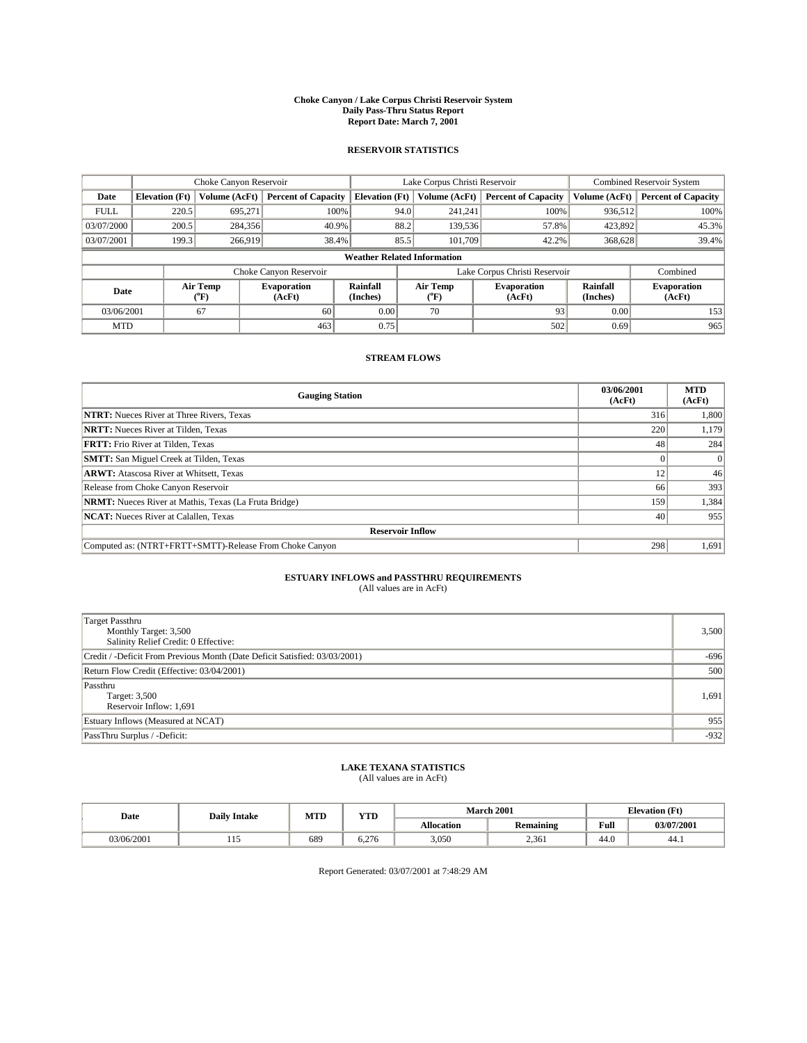#### **Choke Canyon / Lake Corpus Christi Reservoir System Daily Pass-Thru Status Report Report Date: March 7, 2001**

### **RESERVOIR STATISTICS**

|             | Choke Canyon Reservoir                                              |                             | Lake Corpus Christi Reservoir |                             |      |                  | <b>Combined Reservoir System</b> |                      |                              |  |
|-------------|---------------------------------------------------------------------|-----------------------------|-------------------------------|-----------------------------|------|------------------|----------------------------------|----------------------|------------------------------|--|
| Date        | <b>Elevation</b> (Ft)                                               | Volume (AcFt)               | <b>Percent of Capacity</b>    | <b>Elevation</b> (Ft)       |      | Volume (AcFt)    | <b>Percent of Capacity</b>       | Volume (AcFt)        | <b>Percent of Capacity</b>   |  |
| <b>FULL</b> | 220.5                                                               | 695,271                     |                               | 100%                        | 94.0 | 241,241          | 100%                             | 936.512              | 100%                         |  |
| 03/07/2000  | 200.5                                                               | 284,356                     | 40.9%                         |                             | 88.2 | 139,536          | 57.8%                            | 423,892              | 45.3%                        |  |
| 03/07/2001  | 199.3                                                               | 266,919                     | 38.4%                         |                             | 85.5 | 101.709          | 42.2%                            | 368,628              | 39.4%                        |  |
|             | <b>Weather Related Information</b>                                  |                             |                               |                             |      |                  |                                  |                      |                              |  |
|             | Lake Corpus Christi Reservoir<br>Choke Canyon Reservoir<br>Combined |                             |                               |                             |      |                  |                                  |                      |                              |  |
| Date        |                                                                     | Air Temp<br>${}^{\circ}$ F) | <b>Evaporation</b><br>(AcFt)  | <b>Rainfall</b><br>(Inches) |      | Air Temp<br>("F) | <b>Evaporation</b><br>(AcFt)     | Rainfall<br>(Inches) | <b>Evaporation</b><br>(AcFt) |  |
| 03/06/2001  |                                                                     | 67                          | 60                            | 0.00                        |      | 70               | 93                               | 0.00                 | 153                          |  |
| <b>MTD</b>  |                                                                     |                             | 463                           | 0.75                        |      |                  | 502                              | 0.69                 | 965                          |  |

## **STREAM FLOWS**

| <b>Gauging Station</b>                                       | 03/06/2001<br>(AcFt) | <b>MTD</b><br>(AcFt) |
|--------------------------------------------------------------|----------------------|----------------------|
| <b>NTRT:</b> Nueces River at Three Rivers, Texas             | 316                  | 1,800                |
| <b>NRTT:</b> Nueces River at Tilden, Texas                   | 220                  | 1.179                |
| <b>FRTT:</b> Frio River at Tilden, Texas                     | 48                   | 284                  |
| <b>SMTT:</b> San Miguel Creek at Tilden, Texas               |                      | $\Omega$             |
| <b>ARWT:</b> Atascosa River at Whitsett, Texas               | 12                   | 46                   |
| Release from Choke Canyon Reservoir                          | 66                   | 393                  |
| <b>NRMT:</b> Nueces River at Mathis, Texas (La Fruta Bridge) | 159                  | 1,384                |
| <b>NCAT:</b> Nueces River at Calallen, Texas                 | 40                   | 955                  |
| <b>Reservoir Inflow</b>                                      |                      |                      |
| Computed as: (NTRT+FRTT+SMTT)-Release From Choke Canyon      | 298                  | 1,691                |

# **ESTUARY INFLOWS and PASSTHRU REQUIREMENTS**<br>(All values are in AcFt)

| Target Passthru<br>Monthly Target: 3,500<br>Salinity Relief Credit: 0 Effective: | 3,500  |
|----------------------------------------------------------------------------------|--------|
| Credit / -Deficit From Previous Month (Date Deficit Satisfied: 03/03/2001)       | $-696$ |
| Return Flow Credit (Effective: 03/04/2001)                                       | 500    |
| Passthru<br>Target: 3,500<br>Reservoir Inflow: 1,691                             | 1,691  |
| Estuary Inflows (Measured at NCAT)                                               | 955    |
| PassThru Surplus / -Deficit:                                                     | $-932$ |

# **LAKE TEXANA STATISTICS** (All values are in AcFt)

| Date       | <b>Daily Intake</b> | <b>MTD</b> | <b>TIME</b><br>1 I.D |                   | <b>March 2001</b> | <b>Elevation (Ft)</b> |            |
|------------|---------------------|------------|----------------------|-------------------|-------------------|-----------------------|------------|
|            |                     |            |                      | <b>Allocation</b> | <b>Remaining</b>  | Full                  | 03/07/2001 |
| 03/06/2001 | .                   | 689        | 207<br>6.276         | 3,050             | 2,361             | $\epsilon$<br>44.U    | 44.1       |

Report Generated: 03/07/2001 at 7:48:29 AM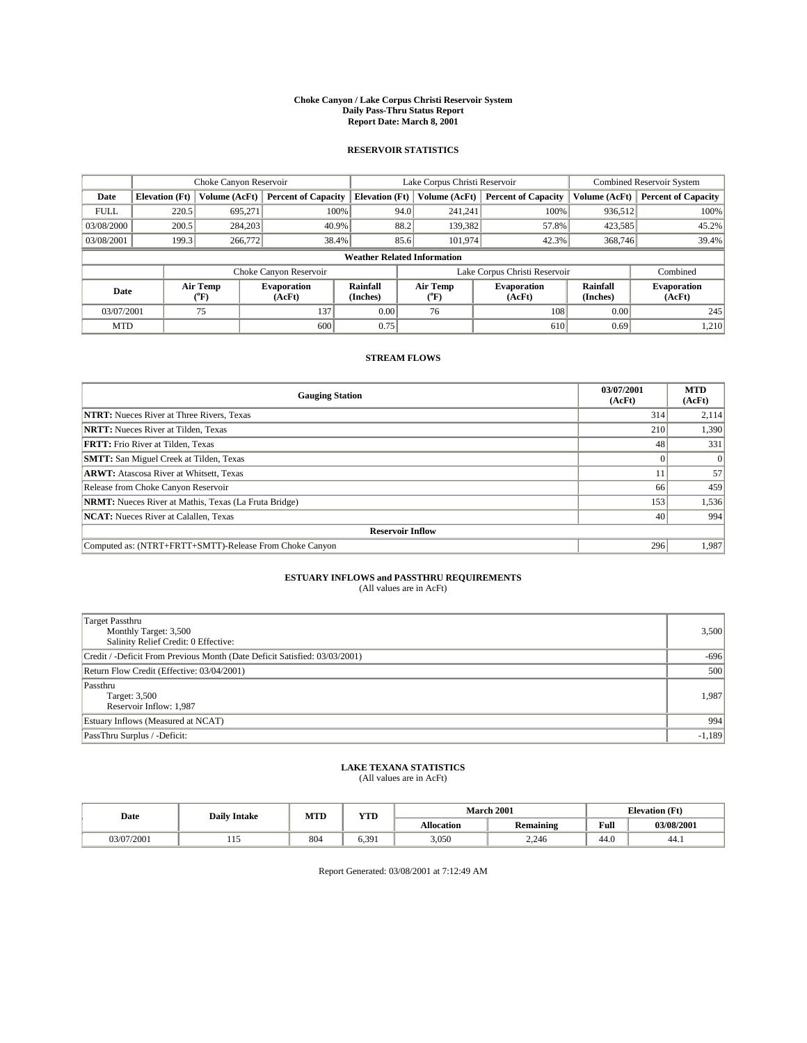#### **Choke Canyon / Lake Corpus Christi Reservoir System Daily Pass-Thru Status Report Report Date: March 8, 2001**

### **RESERVOIR STATISTICS**

|             | Choke Canyon Reservoir                                              |                             | Lake Corpus Christi Reservoir |                             |      |                  | <b>Combined Reservoir System</b> |                      |                              |  |
|-------------|---------------------------------------------------------------------|-----------------------------|-------------------------------|-----------------------------|------|------------------|----------------------------------|----------------------|------------------------------|--|
| Date        | <b>Elevation</b> (Ft)                                               | Volume (AcFt)               | <b>Percent of Capacity</b>    | <b>Elevation</b> (Ft)       |      | Volume (AcFt)    | <b>Percent of Capacity</b>       | Volume (AcFt)        | <b>Percent of Capacity</b>   |  |
| <b>FULL</b> | 220.5                                                               | 695,271                     | 100%                          |                             | 94.0 | 241,241          | 100%                             | 936.512              | 100%                         |  |
| 03/08/2000  | 200.5                                                               | 284,203                     | 40.9%                         |                             | 88.2 | 139.382          | 57.8%                            | 423,585              | 45.2%                        |  |
| 03/08/2001  | 199.3                                                               | 266,772                     | 38.4%                         |                             | 85.6 | 101,974          | 42.3%                            | 368,746              | 39.4%                        |  |
|             | <b>Weather Related Information</b>                                  |                             |                               |                             |      |                  |                                  |                      |                              |  |
|             | Lake Corpus Christi Reservoir<br>Choke Canyon Reservoir<br>Combined |                             |                               |                             |      |                  |                                  |                      |                              |  |
| Date        |                                                                     | Air Temp<br>${}^{\circ}$ F) | <b>Evaporation</b><br>(AcFt)  | <b>Rainfall</b><br>(Inches) |      | Air Temp<br>("F) | <b>Evaporation</b><br>(AcFt)     | Rainfall<br>(Inches) | <b>Evaporation</b><br>(AcFt) |  |
| 03/07/2001  |                                                                     | 75                          | 137                           | 0.00                        |      | 76               | 108                              | 0.00                 | 245                          |  |
| <b>MTD</b>  |                                                                     |                             | 600                           | 0.75                        |      |                  | 610                              | 0.69                 | 1,210                        |  |

## **STREAM FLOWS**

| <b>Gauging Station</b>                                       | 03/07/2001<br>(AcFt) | <b>MTD</b><br>(AcFt) |
|--------------------------------------------------------------|----------------------|----------------------|
| <b>NTRT:</b> Nueces River at Three Rivers, Texas             | 314                  | 2,114                |
| <b>NRTT:</b> Nueces River at Tilden, Texas                   | 210                  | 1,390                |
| <b>FRTT:</b> Frio River at Tilden, Texas                     | 48                   | 331                  |
| <b>SMTT:</b> San Miguel Creek at Tilden, Texas               |                      |                      |
| <b>ARWT:</b> Atascosa River at Whitsett, Texas               | 11                   | 57                   |
| Release from Choke Canyon Reservoir                          | 66                   | 459                  |
| <b>NRMT:</b> Nueces River at Mathis, Texas (La Fruta Bridge) | 153                  | 1,536                |
| <b>NCAT:</b> Nueces River at Calallen, Texas                 | 40                   | 994                  |
| <b>Reservoir Inflow</b>                                      |                      |                      |
| Computed as: (NTRT+FRTT+SMTT)-Release From Choke Canyon      | 296                  | 1,987                |

# **ESTUARY INFLOWS and PASSTHRU REQUIREMENTS**<br>(All values are in AcFt)

| Target Passthru<br>Monthly Target: 3,500<br>Salinity Relief Credit: 0 Effective: | 3,500    |
|----------------------------------------------------------------------------------|----------|
| Credit / -Deficit From Previous Month (Date Deficit Satisfied: 03/03/2001)       | $-696$   |
| Return Flow Credit (Effective: 03/04/2001)                                       | 500      |
| Passthru<br>Target: 3,500<br>Reservoir Inflow: 1,987                             | 1,987    |
| Estuary Inflows (Measured at NCAT)                                               | 994      |
| PassThru Surplus / -Deficit:                                                     | $-1,189$ |

# **LAKE TEXANA STATISTICS** (All values are in AcFt)

| Date       | <b>Daily Intake</b> | <b>MTD</b> | <b>TIME</b> | <b>March 2001</b> |                  |                    | <b>Elevation</b> (Ft) |  |
|------------|---------------------|------------|-------------|-------------------|------------------|--------------------|-----------------------|--|
|            |                     |            | 1 I.D       | <b>Allocation</b> | <b>Remaining</b> | Full               | 03/08/2001            |  |
| 03/07/2001 | .                   | 804        | 6.391       | 3,050             | 2,246            | $\epsilon$<br>44.U | 44.1                  |  |

Report Generated: 03/08/2001 at 7:12:49 AM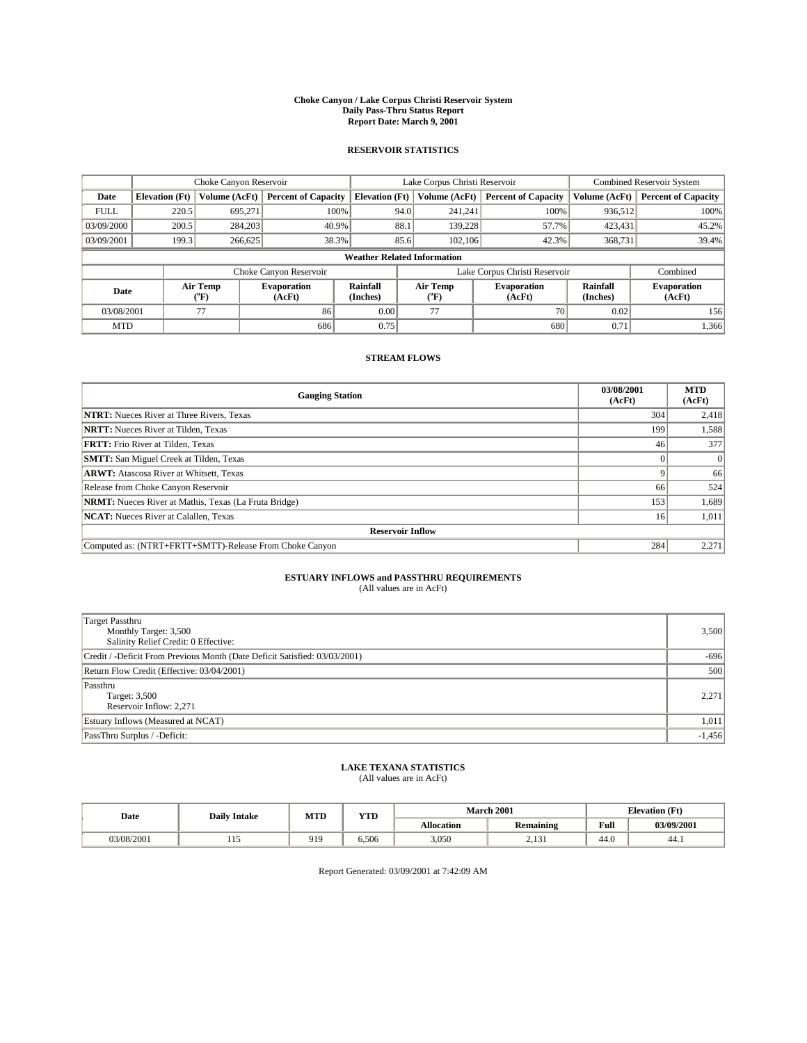#### **Choke Canyon / Lake Corpus Christi Reservoir System Daily Pass-Thru Status Report Report Date: March 9, 2001**

### **RESERVOIR STATISTICS**

|             | Choke Canyon Reservoir                                              |                             | Lake Corpus Christi Reservoir |                             |      |                  | <b>Combined Reservoir System</b> |                      |                              |  |
|-------------|---------------------------------------------------------------------|-----------------------------|-------------------------------|-----------------------------|------|------------------|----------------------------------|----------------------|------------------------------|--|
| Date        | <b>Elevation</b> (Ft)                                               | Volume (AcFt)               | <b>Percent of Capacity</b>    | <b>Elevation</b> (Ft)       |      | Volume (AcFt)    | <b>Percent of Capacity</b>       | Volume (AcFt)        | <b>Percent of Capacity</b>   |  |
| <b>FULL</b> | 220.5                                                               | 695,271                     |                               | 100%                        | 94.0 | 241,241          | 100%                             | 936.512              | 100%                         |  |
| 03/09/2000  | 200.5                                                               | 284,203                     | 40.9%                         |                             | 88.1 | 139.228          | 57.7%                            | 423,431              | 45.2%                        |  |
| 03/09/2001  | 199.3                                                               | 266,625                     | 38.3%                         |                             | 85.6 | 102.106          | 42.3%                            | 368,731              | 39.4%                        |  |
|             | <b>Weather Related Information</b>                                  |                             |                               |                             |      |                  |                                  |                      |                              |  |
|             | Lake Corpus Christi Reservoir<br>Choke Canyon Reservoir<br>Combined |                             |                               |                             |      |                  |                                  |                      |                              |  |
| Date        |                                                                     | Air Temp<br>${}^{\circ}$ F) | <b>Evaporation</b><br>(AcFt)  | <b>Rainfall</b><br>(Inches) |      | Air Temp<br>("F) | <b>Evaporation</b><br>(AcFt)     | Rainfall<br>(Inches) | <b>Evaporation</b><br>(AcFt) |  |
| 03/08/2001  |                                                                     | 77                          | 86                            | 0.00                        |      | 77               | 70 <sub>1</sub>                  | 0.02                 | 156                          |  |
| <b>MTD</b>  |                                                                     |                             | 686                           | 0.75                        |      |                  | 680                              | 0.71                 | 1,366                        |  |

## **STREAM FLOWS**

| <b>Gauging Station</b>                                       | 03/08/2001<br>(AcFt) | <b>MTD</b><br>(AcFt) |  |  |  |  |
|--------------------------------------------------------------|----------------------|----------------------|--|--|--|--|
| <b>NTRT:</b> Nueces River at Three Rivers, Texas             | 304                  | 2,418                |  |  |  |  |
| <b>NRTT:</b> Nueces River at Tilden, Texas                   | 199                  | 1,588                |  |  |  |  |
| <b>FRTT:</b> Frio River at Tilden, Texas                     | 46                   | 377                  |  |  |  |  |
| <b>SMTT:</b> San Miguel Creek at Tilden, Texas               |                      |                      |  |  |  |  |
| <b>ARWT:</b> Atascosa River at Whitsett, Texas               |                      | 66                   |  |  |  |  |
| Release from Choke Canyon Reservoir                          | 66                   | 524                  |  |  |  |  |
| <b>NRMT:</b> Nueces River at Mathis, Texas (La Fruta Bridge) | 153                  | 1,689                |  |  |  |  |
| <b>NCAT:</b> Nueces River at Calallen, Texas                 | 16                   | 1,011                |  |  |  |  |
| <b>Reservoir Inflow</b>                                      |                      |                      |  |  |  |  |
| Computed as: (NTRT+FRTT+SMTT)-Release From Choke Canyon      | 284                  | 2,271                |  |  |  |  |

# **ESTUARY INFLOWS and PASSTHRU REQUIREMENTS**

(All values are in AcFt)

| Target Passthru<br>Monthly Target: 3,500<br>Salinity Relief Credit: 0 Effective: | 3,500    |
|----------------------------------------------------------------------------------|----------|
| Credit / -Deficit From Previous Month (Date Deficit Satisfied: 03/03/2001)       | $-696$   |
| Return Flow Credit (Effective: 03/04/2001)                                       | 500      |
| Passthru<br>Target: 3,500<br>Reservoir Inflow: 2,271                             | 2,271    |
| Estuary Inflows (Measured at NCAT)                                               | 1,011    |
| PassThru Surplus / -Deficit:                                                     | $-1,456$ |

# **LAKE TEXANA STATISTICS** (All values are in AcFt)

| Date       | <b>Daily Intake</b> | MTD      | VTD<br>1 I D | <b>March 2001</b> |                   |      | <b>Elevation</b> (Ft) |
|------------|---------------------|----------|--------------|-------------------|-------------------|------|-----------------------|
|            |                     |          |              | <b>Allocation</b> | <b>Remaining</b>  | Full | 03/09/2001            |
| 03/08/2001 | .                   | 010<br>. | 6.506        | 3.050             | $\sim$<br>1 ت 1 ب | 44.6 | 44.1                  |

Report Generated: 03/09/2001 at 7:42:09 AM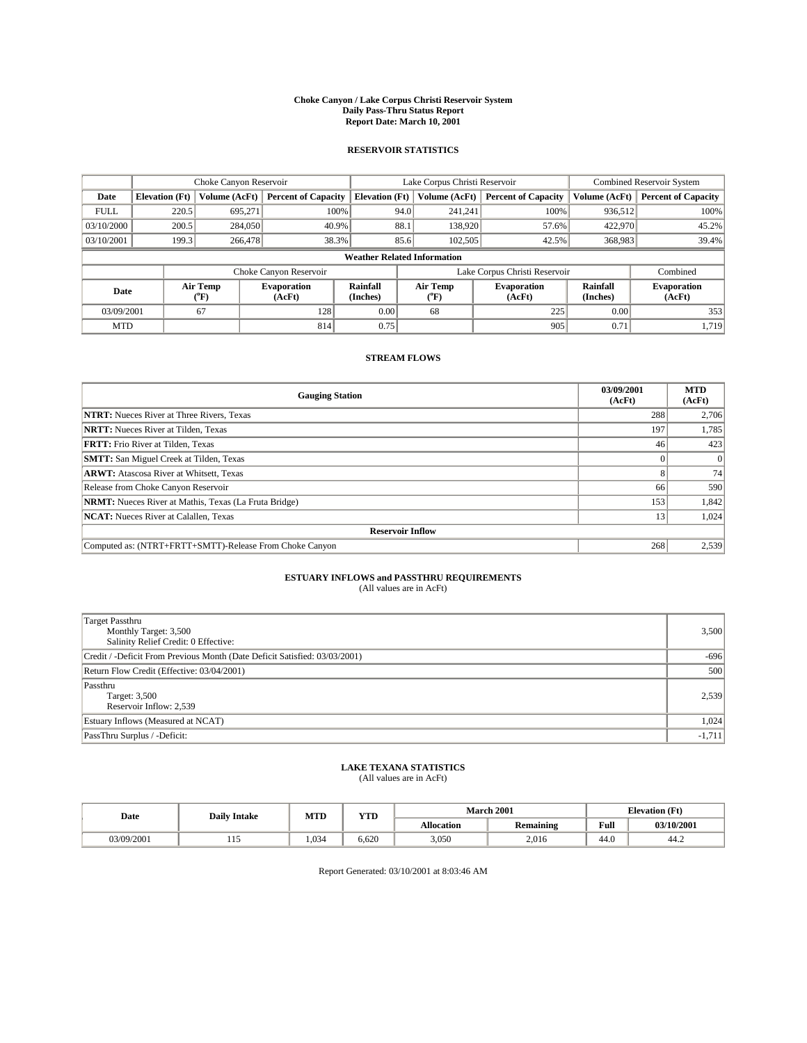#### **Choke Canyon / Lake Corpus Christi Reservoir System Daily Pass-Thru Status Report Report Date: March 10, 2001**

### **RESERVOIR STATISTICS**

|             | Choke Canyon Reservoir             |                  | Lake Corpus Christi Reservoir |                             |      |                           | <b>Combined Reservoir System</b> |                      |                              |  |
|-------------|------------------------------------|------------------|-------------------------------|-----------------------------|------|---------------------------|----------------------------------|----------------------|------------------------------|--|
| Date        | <b>Elevation</b> (Ft)              | Volume (AcFt)    | <b>Percent of Capacity</b>    | <b>Elevation (Ft)</b>       |      | Volume (AcFt)             | <b>Percent of Capacity</b>       | Volume (AcFt)        | <b>Percent of Capacity</b>   |  |
| <b>FULL</b> | 220.5                              | 695,271          |                               | 100%                        | 94.0 | 241,241                   | 100%                             | 936,512              | 100%                         |  |
| 03/10/2000  | 200.5                              | 284,050          | 40.9%                         |                             | 88.1 | 138,920                   | 57.6%                            | 422,970              | 45.2%                        |  |
| 03/10/2001  | 199.3                              | 266,478          |                               | 38.3%                       | 85.6 | 102,505                   | 42.5%                            | 368,983              | 39.4%                        |  |
|             | <b>Weather Related Information</b> |                  |                               |                             |      |                           |                                  |                      |                              |  |
|             |                                    |                  | Choke Canyon Reservoir        |                             |      |                           | Lake Corpus Christi Reservoir    |                      | Combined                     |  |
| Date        |                                    | Air Temp<br>(°F) | <b>Evaporation</b><br>(AcFt)  | <b>Rainfall</b><br>(Inches) |      | Air Temp<br>$\rm ^{op}$ ) | <b>Evaporation</b><br>(AcFt)     | Rainfall<br>(Inches) | <b>Evaporation</b><br>(AcFt) |  |
| 03/09/2001  |                                    | 67               | 128                           | 0.00                        |      | 68                        | 225                              | 0.00                 | 353                          |  |
| <b>MTD</b>  |                                    |                  | 814                           | 0.75                        |      |                           | 905                              | 0.71                 | 1,719                        |  |

## **STREAM FLOWS**

| <b>Gauging Station</b>                                       | 03/09/2001<br>(AcFt) | <b>MTD</b><br>(AcFt) |  |  |  |  |
|--------------------------------------------------------------|----------------------|----------------------|--|--|--|--|
| <b>NTRT:</b> Nueces River at Three Rivers, Texas             | 288                  | 2,706                |  |  |  |  |
| <b>NRTT:</b> Nueces River at Tilden, Texas                   | 197                  | 1,785                |  |  |  |  |
| <b>FRTT:</b> Frio River at Tilden, Texas                     | 46                   | 423                  |  |  |  |  |
| <b>SMTT:</b> San Miguel Creek at Tilden, Texas               |                      |                      |  |  |  |  |
| <b>ARWT:</b> Atascosa River at Whitsett, Texas               |                      | 74                   |  |  |  |  |
| Release from Choke Canyon Reservoir                          | 66                   | 590                  |  |  |  |  |
| <b>NRMT:</b> Nueces River at Mathis, Texas (La Fruta Bridge) | 153                  | 1,842                |  |  |  |  |
| <b>NCAT:</b> Nueces River at Calallen, Texas                 | 13                   | 1,024                |  |  |  |  |
| <b>Reservoir Inflow</b>                                      |                      |                      |  |  |  |  |
| Computed as: (NTRT+FRTT+SMTT)-Release From Choke Canyon      | 268                  | 2,539                |  |  |  |  |

# **ESTUARY INFLOWS and PASSTHRU REQUIREMENTS**

(All values are in AcFt)

| Target Passthru<br>Monthly Target: 3,500<br>Salinity Relief Credit: 0 Effective: | 3,500    |
|----------------------------------------------------------------------------------|----------|
| Credit / -Deficit From Previous Month (Date Deficit Satisfied: 03/03/2001)       | $-696$   |
| Return Flow Credit (Effective: 03/04/2001)                                       | 500      |
| Passthru<br>Target: 3,500<br>Reservoir Inflow: 2,539                             | 2,539    |
| Estuary Inflows (Measured at NCAT)                                               | 1,024    |
| PassThru Surplus / -Deficit:                                                     | $-1,711$ |

# **LAKE TEXANA STATISTICS** (All values are in AcFt)

| Date       | <b>Daily Intake</b> | MTD  | <b>TIMP</b><br>1 I D | <b>March 2001</b> |                  |                    | <b>Elevation</b> (Ft) |
|------------|---------------------|------|----------------------|-------------------|------------------|--------------------|-----------------------|
|            |                     |      |                      | <b>Allocation</b> | <b>Remaining</b> | Full               | 03/10/2001            |
| 03/09/2001 |                     | .034 | 6.620                | 3,050             | 2,016            | $\sqrt{2}$<br>44.V | 44.2                  |

Report Generated: 03/10/2001 at 8:03:46 AM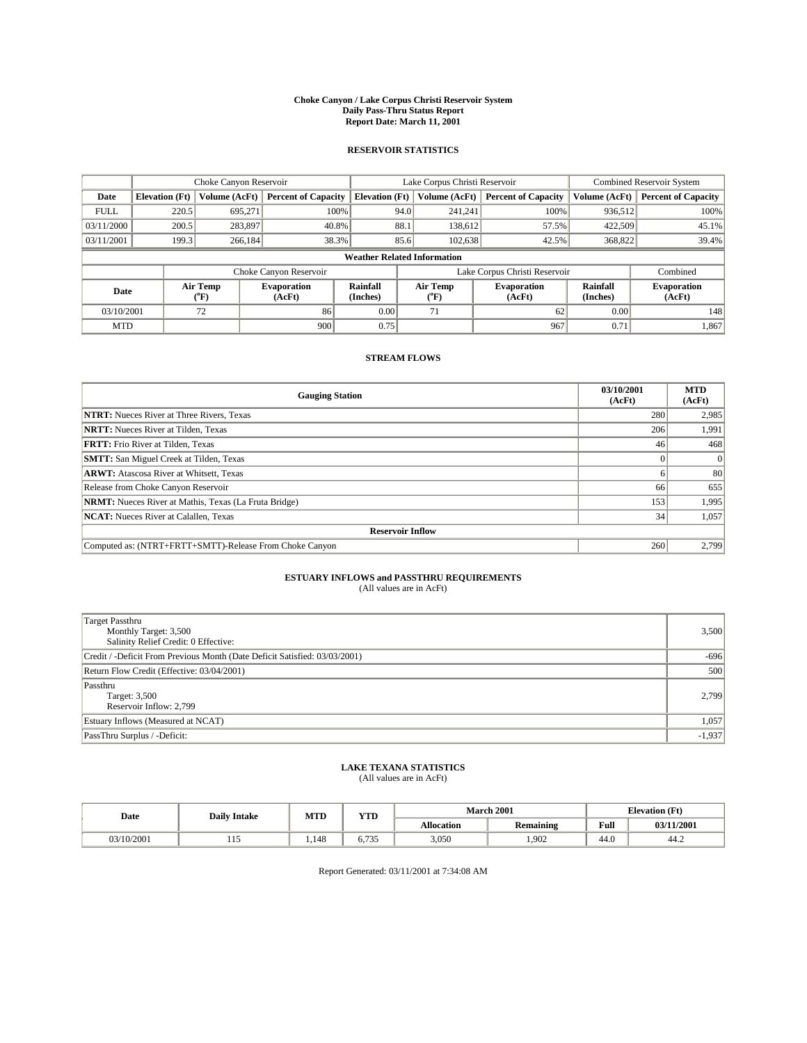#### **Choke Canyon / Lake Corpus Christi Reservoir System Daily Pass-Thru Status Report Report Date: March 11, 2001**

### **RESERVOIR STATISTICS**

|             | Choke Canyon Reservoir             |                             |                              |                             | Lake Corpus Christi Reservoir |                  |                               |                      | <b>Combined Reservoir System</b> |  |
|-------------|------------------------------------|-----------------------------|------------------------------|-----------------------------|-------------------------------|------------------|-------------------------------|----------------------|----------------------------------|--|
| Date        | <b>Elevation</b> (Ft)              | Volume (AcFt)               | <b>Percent of Capacity</b>   | <b>Elevation</b> (Ft)       |                               | Volume (AcFt)    | <b>Percent of Capacity</b>    | Volume (AcFt)        | <b>Percent of Capacity</b>       |  |
| <b>FULL</b> | 220.5                              | 695,271                     | 100%                         |                             | 94.0                          | 241,241          | 100%                          | 936.512              | 100%                             |  |
| 03/11/2000  | 200.5                              | 283,897                     | 40.8%                        |                             | 88.1                          | 138,612          | 57.5%                         | 422.509              | 45.1%                            |  |
| 03/11/2001  | 199.3                              | 266,184                     | 38.3%                        |                             | 85.6                          | 102,638          | 42.5%                         | 368,822              | 39.4%                            |  |
|             | <b>Weather Related Information</b> |                             |                              |                             |                               |                  |                               |                      |                                  |  |
|             |                                    |                             | Choke Canyon Reservoir       |                             |                               |                  | Lake Corpus Christi Reservoir |                      | Combined                         |  |
| Date        |                                    | Air Temp<br>${}^{\circ}$ F) | <b>Evaporation</b><br>(AcFt) | <b>Rainfall</b><br>(Inches) |                               | Air Temp<br>("F) | <b>Evaporation</b><br>(AcFt)  | Rainfall<br>(Inches) | <b>Evaporation</b><br>(AcFt)     |  |
| 03/10/2001  |                                    | 72                          | 86                           | 0.00                        |                               | 71               | 62                            | 0.00                 | 148                              |  |
| <b>MTD</b>  |                                    |                             | 900                          | 0.75                        |                               |                  | 967                           | 0.71                 | 1,867                            |  |

## **STREAM FLOWS**

| <b>Gauging Station</b>                                       | 03/10/2001<br>(AcFt) | <b>MTD</b><br>(AcFt) |  |  |  |  |
|--------------------------------------------------------------|----------------------|----------------------|--|--|--|--|
| <b>NTRT:</b> Nueces River at Three Rivers, Texas             | 280                  | 2,985                |  |  |  |  |
| <b>NRTT:</b> Nueces River at Tilden, Texas                   | 206                  | 1,991                |  |  |  |  |
| <b>FRTT:</b> Frio River at Tilden, Texas                     | 46                   | 468                  |  |  |  |  |
| <b>SMTT:</b> San Miguel Creek at Tilden, Texas               |                      |                      |  |  |  |  |
| <b>ARWT:</b> Atascosa River at Whitsett, Texas               |                      | 80                   |  |  |  |  |
| Release from Choke Canyon Reservoir                          | 66                   | 655                  |  |  |  |  |
| <b>NRMT:</b> Nueces River at Mathis, Texas (La Fruta Bridge) | 153                  | 1,995                |  |  |  |  |
| <b>NCAT:</b> Nueces River at Calallen, Texas                 | 34                   | 1,057                |  |  |  |  |
| <b>Reservoir Inflow</b>                                      |                      |                      |  |  |  |  |
| Computed as: (NTRT+FRTT+SMTT)-Release From Choke Canyon      | 260                  | 2,799                |  |  |  |  |

# **ESTUARY INFLOWS and PASSTHRU REQUIREMENTS**

(All values are in AcFt)

| Target Passthru<br>Monthly Target: 3,500<br>Salinity Relief Credit: 0 Effective: | 3,500    |
|----------------------------------------------------------------------------------|----------|
| Credit / -Deficit From Previous Month (Date Deficit Satisfied: 03/03/2001)       | $-696$   |
| Return Flow Credit (Effective: 03/04/2001)                                       | 500      |
| Passthru<br>Target: 3,500<br>Reservoir Inflow: 2,799                             | 2.799    |
| Estuary Inflows (Measured at NCAT)                                               | 1,057    |
| PassThru Surplus / -Deficit:                                                     | $-1,937$ |

# **LAKE TEXANA STATISTICS** (All values are in AcFt)

| Date       | <b>Daily Intake</b> | MTD  | <b>TIMP</b><br>1 I D |            | <b>March 2001</b> | <b>Elevation</b> (Ft) |            |
|------------|---------------------|------|----------------------|------------|-------------------|-----------------------|------------|
|            |                     |      |                      | Allocation | <b>Remaining</b>  | Full                  | 03/11/2001 |
| 03/10/2001 | .                   | .148 | $- - -$<br>u., JJ    | 3,050      | 1,902             | 44.0                  | 44.4       |

Report Generated: 03/11/2001 at 7:34:08 AM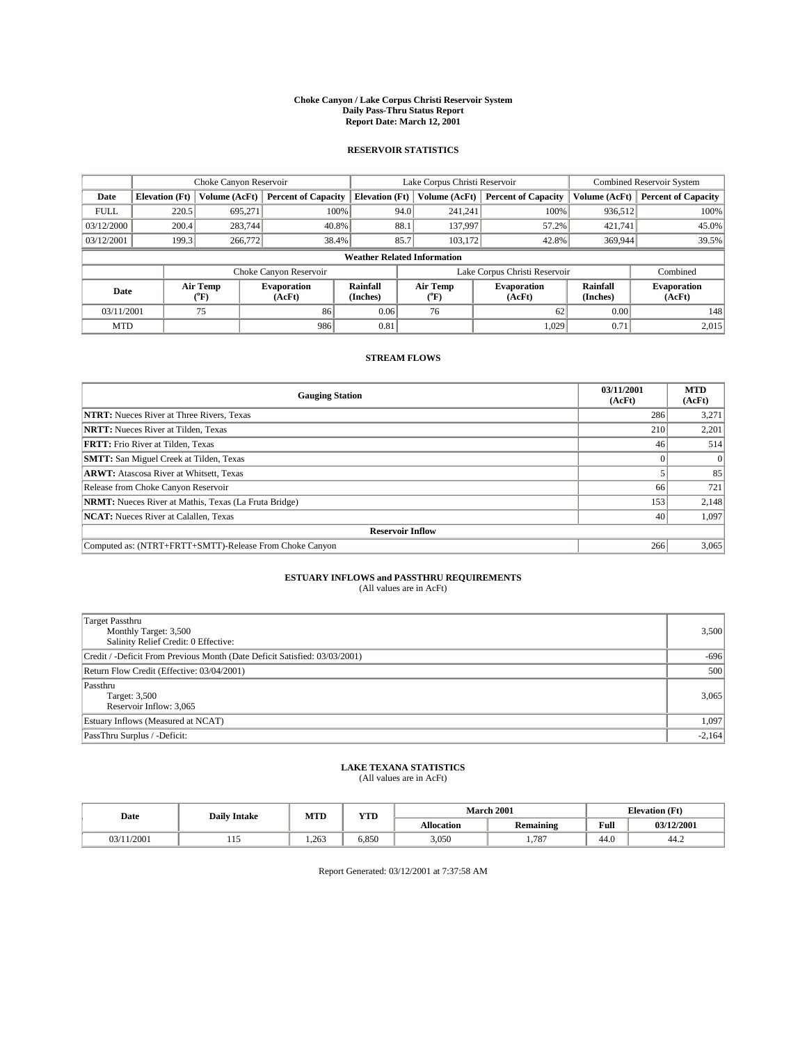#### **Choke Canyon / Lake Corpus Christi Reservoir System Daily Pass-Thru Status Report Report Date: March 12, 2001**

### **RESERVOIR STATISTICS**

|                                    | Choke Canyon Reservoir |                             |                              |                             | Lake Corpus Christi Reservoir |                  |                               |                      | <b>Combined Reservoir System</b> |  |  |
|------------------------------------|------------------------|-----------------------------|------------------------------|-----------------------------|-------------------------------|------------------|-------------------------------|----------------------|----------------------------------|--|--|
| Date                               | <b>Elevation</b> (Ft)  | Volume (AcFt)               | <b>Percent of Capacity</b>   | <b>Elevation</b> (Ft)       |                               | Volume (AcFt)    | <b>Percent of Capacity</b>    | Volume (AcFt)        | <b>Percent of Capacity</b>       |  |  |
| <b>FULL</b>                        | 220.5                  | 695,271                     |                              | 100%                        | 94.0                          | 241,241          | 100%                          | 936.512              | 100%                             |  |  |
| 03/12/2000                         | 200.4                  | 283,744                     | 40.8%                        |                             | 88.1                          | 137,997          | 57.2%                         | 421.741              | 45.0%                            |  |  |
| 03/12/2001                         | 199.3                  | 266,772                     | 38.4%                        |                             | 85.7                          | 103,172          | 42.8%                         | 369,944              | 39.5%                            |  |  |
| <b>Weather Related Information</b> |                        |                             |                              |                             |                               |                  |                               |                      |                                  |  |  |
|                                    |                        |                             | Choke Canyon Reservoir       |                             |                               |                  | Lake Corpus Christi Reservoir |                      | Combined                         |  |  |
| Date                               |                        | Air Temp<br>${}^{\circ}$ F) | <b>Evaporation</b><br>(AcFt) | <b>Rainfall</b><br>(Inches) |                               | Air Temp<br>("F) | <b>Evaporation</b><br>(AcFt)  | Rainfall<br>(Inches) | <b>Evaporation</b><br>(AcFt)     |  |  |
| 03/11/2001                         |                        | 75                          | 86                           | 0.06                        |                               | 76               | 62                            | 0.00                 | 148                              |  |  |
| <b>MTD</b>                         |                        |                             | 986                          | 0.81                        |                               |                  | 1,029                         | 0.71                 | 2,015                            |  |  |

## **STREAM FLOWS**

| <b>Gauging Station</b>                                       | 03/11/2001<br>(AcFt) | <b>MTD</b><br>(AcFt) |  |  |  |  |
|--------------------------------------------------------------|----------------------|----------------------|--|--|--|--|
| <b>NTRT:</b> Nueces River at Three Rivers, Texas             | 286                  | 3,271                |  |  |  |  |
| <b>NRTT:</b> Nueces River at Tilden, Texas                   | 210                  | 2,201                |  |  |  |  |
| <b>FRTT:</b> Frio River at Tilden, Texas                     | 46                   | 514                  |  |  |  |  |
| <b>SMTT:</b> San Miguel Creek at Tilden, Texas               |                      |                      |  |  |  |  |
| <b>ARWT:</b> Atascosa River at Whitsett, Texas               |                      | 85                   |  |  |  |  |
| Release from Choke Canyon Reservoir                          | 66                   | 721                  |  |  |  |  |
| <b>NRMT:</b> Nueces River at Mathis, Texas (La Fruta Bridge) | 153                  | 2,148                |  |  |  |  |
| <b>NCAT:</b> Nueces River at Calallen, Texas                 | 40                   | 1,097                |  |  |  |  |
| <b>Reservoir Inflow</b>                                      |                      |                      |  |  |  |  |
| Computed as: (NTRT+FRTT+SMTT)-Release From Choke Canyon      | 266                  | 3,065                |  |  |  |  |

# **ESTUARY INFLOWS and PASSTHRU REQUIREMENTS**<br>(All values are in AcFt)

| Target Passthru<br>Monthly Target: 3,500<br>Salinity Relief Credit: 0 Effective: | 3,500    |
|----------------------------------------------------------------------------------|----------|
| Credit / -Deficit From Previous Month (Date Deficit Satisfied: 03/03/2001)       | $-696$   |
| Return Flow Credit (Effective: 03/04/2001)                                       | 500      |
| Passthru<br>Target: 3,500<br>Reservoir Inflow: 3,065                             | 3,065    |
| Estuary Inflows (Measured at NCAT)                                               | 1,097    |
| PassThru Surplus / -Deficit:                                                     | $-2,164$ |

# **LAKE TEXANA STATISTICS** (All values are in AcFt)

| Date        | <b>Daily Intake</b> | MTD  | <b>TIME</b><br>1 I D | <b>March 2001</b> |                         |                    | <b>Elevation</b> (Ft) |  |
|-------------|---------------------|------|----------------------|-------------------|-------------------------|--------------------|-----------------------|--|
|             |                     |      |                      | <b>Allocation</b> | . .<br><b>Remaining</b> | Full               | 03/12/2001            |  |
| /2001<br>03 | .                   | .263 | 6.850                | 3,050             | 1,787                   | $\sqrt{2}$<br>44.U | 44.Z                  |  |

Report Generated: 03/12/2001 at 7:37:58 AM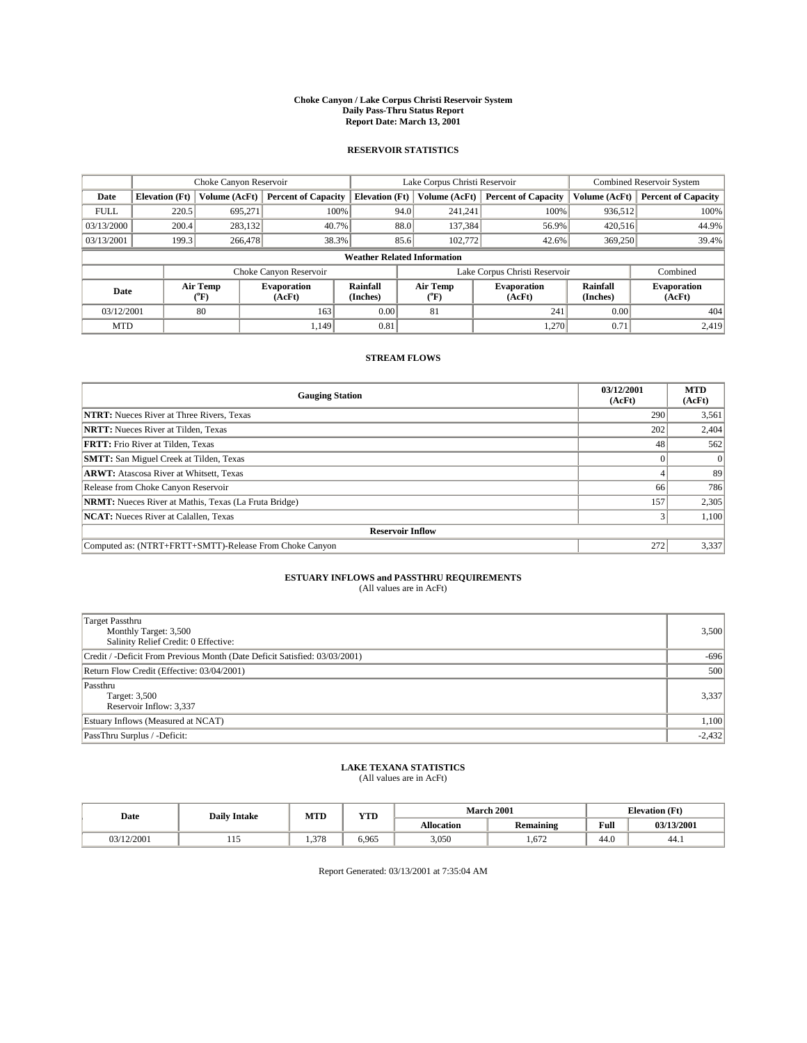#### **Choke Canyon / Lake Corpus Christi Reservoir System Daily Pass-Thru Status Report Report Date: March 13, 2001**

### **RESERVOIR STATISTICS**

|             | Choke Canyon Reservoir             |                             | Lake Corpus Christi Reservoir |                             |      |                  | <b>Combined Reservoir System</b> |                      |                              |  |
|-------------|------------------------------------|-----------------------------|-------------------------------|-----------------------------|------|------------------|----------------------------------|----------------------|------------------------------|--|
| Date        | <b>Elevation</b> (Ft)              | Volume (AcFt)               | <b>Percent of Capacity</b>    | <b>Elevation</b> (Ft)       |      | Volume (AcFt)    | <b>Percent of Capacity</b>       | Volume (AcFt)        | <b>Percent of Capacity</b>   |  |
| <b>FULL</b> | 220.5                              | 695,271                     |                               | 100%                        | 94.0 | 241,241          | 100%                             | 936.512              | 100%                         |  |
| 03/13/2000  | 200.4                              | 283.132                     | 40.7%                         |                             | 88.0 | 137.384          | 56.9%                            | 420.516              | 44.9%                        |  |
| 03/13/2001  | 199.3                              | 266,478                     |                               | 38.3%                       | 85.6 | 102,772          | 42.6%                            | 369,250              | 39.4%                        |  |
|             | <b>Weather Related Information</b> |                             |                               |                             |      |                  |                                  |                      |                              |  |
|             |                                    |                             | Choke Canyon Reservoir        |                             |      |                  | Lake Corpus Christi Reservoir    |                      | Combined                     |  |
| Date        |                                    | Air Temp<br>${}^{\circ}$ F) | <b>Evaporation</b><br>(AcFt)  | <b>Rainfall</b><br>(Inches) |      | Air Temp<br>("F) | <b>Evaporation</b><br>(AcFt)     | Rainfall<br>(Inches) | <b>Evaporation</b><br>(AcFt) |  |
| 03/12/2001  |                                    | 80                          | 163                           | 0.00                        |      | 81               | 241                              | 0.00                 | 404                          |  |
| <b>MTD</b>  |                                    |                             | 1.149                         | 0.81                        |      |                  | 1,270                            | 0.71                 | 2,419                        |  |

## **STREAM FLOWS**

| <b>Gauging Station</b>                                       | 03/12/2001<br>(AcFt) | <b>MTD</b><br>(AcFt) |
|--------------------------------------------------------------|----------------------|----------------------|
| <b>NTRT:</b> Nueces River at Three Rivers, Texas             | 290                  | 3,561                |
| <b>NRTT:</b> Nueces River at Tilden, Texas                   | 202                  | 2,404                |
| <b>FRTT:</b> Frio River at Tilden, Texas                     | 48                   | 562                  |
| <b>SMTT:</b> San Miguel Creek at Tilden, Texas               |                      |                      |
| <b>ARWT:</b> Atascosa River at Whitsett, Texas               |                      | 89                   |
| Release from Choke Canyon Reservoir                          | 66                   | 786                  |
| <b>NRMT:</b> Nueces River at Mathis, Texas (La Fruta Bridge) | 157                  | 2,305                |
| <b>NCAT:</b> Nueces River at Calallen, Texas                 |                      | 1,100                |
| <b>Reservoir Inflow</b>                                      |                      |                      |
| Computed as: (NTRT+FRTT+SMTT)-Release From Choke Canyon      | 272                  | 3,337                |

# **ESTUARY INFLOWS and PASSTHRU REQUIREMENTS**

(All values are in AcFt)

| Target Passthru<br>Monthly Target: 3,500<br>Salinity Relief Credit: 0 Effective: | 3,500    |
|----------------------------------------------------------------------------------|----------|
| Credit / -Deficit From Previous Month (Date Deficit Satisfied: 03/03/2001)       | $-696$   |
| Return Flow Credit (Effective: 03/04/2001)                                       | 500      |
| Passthru<br>Target: 3,500<br>Reservoir Inflow: 3,337                             | 3,337    |
| Estuary Inflows (Measured at NCAT)                                               | 1,100    |
| PassThru Surplus / -Deficit:                                                     | $-2,432$ |

# **LAKE TEXANA STATISTICS** (All values are in AcFt)

| Date    | <b>Daily Intake</b> | MTD   | <b>YTD</b> |                   | <b>March 2001</b> | <b>Elevation</b> (Ft) |            |
|---------|---------------------|-------|------------|-------------------|-------------------|-----------------------|------------|
|         |                     |       |            | <b>Allocation</b> | Remaining         | Full                  | 03/13/2001 |
| 12/2001 | .                   | 1.378 | 6.965      | 3,050             | .,672             | 44.6                  | -44.1      |

Report Generated: 03/13/2001 at 7:35:04 AM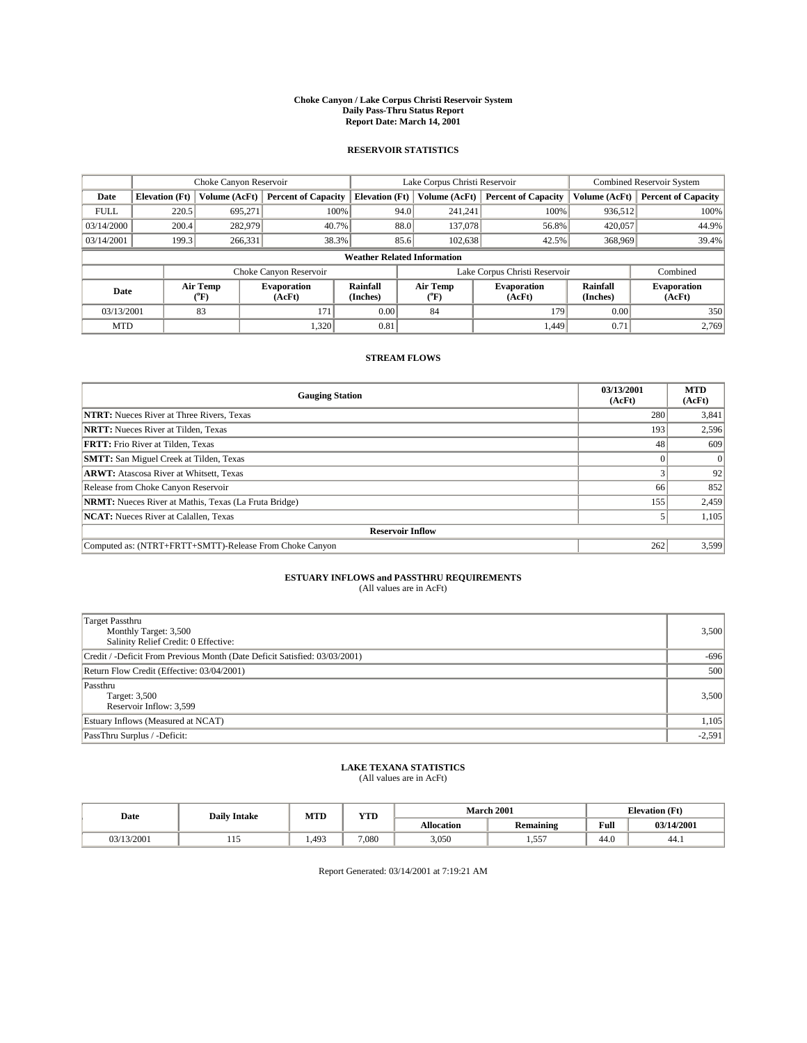#### **Choke Canyon / Lake Corpus Christi Reservoir System Daily Pass-Thru Status Report Report Date: March 14, 2001**

### **RESERVOIR STATISTICS**

|             | Choke Canyon Reservoir             |                             |                              |                             | Lake Corpus Christi Reservoir |                  |                               |                      | <b>Combined Reservoir System</b> |  |  |
|-------------|------------------------------------|-----------------------------|------------------------------|-----------------------------|-------------------------------|------------------|-------------------------------|----------------------|----------------------------------|--|--|
| Date        | <b>Elevation</b> (Ft)              | Volume (AcFt)               | <b>Percent of Capacity</b>   | <b>Elevation</b> (Ft)       |                               | Volume (AcFt)    | <b>Percent of Capacity</b>    | Volume (AcFt)        | <b>Percent of Capacity</b>       |  |  |
| <b>FULL</b> | 220.5                              | 695,271                     |                              | 100%                        | 94.0                          | 241,241          | 100%                          | 936.512              | 100%                             |  |  |
| 03/14/2000  | 200.4                              | 282,979                     | 40.7%                        |                             | 88.0                          | 137,078          | 56.8%                         | 420,057              | 44.9%                            |  |  |
| 03/14/2001  | 199.3                              | 266,331                     |                              | 38.3%                       | 85.6                          | 102,638          | 42.5%                         | 368,969              | 39.4%                            |  |  |
|             | <b>Weather Related Information</b> |                             |                              |                             |                               |                  |                               |                      |                                  |  |  |
|             |                                    |                             | Choke Canyon Reservoir       |                             |                               |                  | Lake Corpus Christi Reservoir |                      | Combined                         |  |  |
| Date        |                                    | Air Temp<br>${}^{\circ}$ F) | <b>Evaporation</b><br>(AcFt) | <b>Rainfall</b><br>(Inches) |                               | Air Temp<br>("F) | <b>Evaporation</b><br>(AcFt)  | Rainfall<br>(Inches) | <b>Evaporation</b><br>(AcFt)     |  |  |
| 03/13/2001  |                                    | 83                          | 171                          | 0.00                        |                               | 84               | 179                           | 0.00                 | 350                              |  |  |
| <b>MTD</b>  |                                    |                             | 1,320                        | 0.81                        |                               |                  | 1.449                         | 0.71                 | 2,769                            |  |  |

## **STREAM FLOWS**

| <b>Gauging Station</b>                                       | 03/13/2001<br>(AcFt) | <b>MTD</b><br>(AcFt) |  |  |  |  |
|--------------------------------------------------------------|----------------------|----------------------|--|--|--|--|
| <b>NTRT:</b> Nueces River at Three Rivers, Texas             | 280                  | 3,841                |  |  |  |  |
| <b>NRTT:</b> Nueces River at Tilden, Texas                   | 193                  | 2,596                |  |  |  |  |
| <b>FRTT:</b> Frio River at Tilden, Texas                     | 48                   | 609                  |  |  |  |  |
| <b>SMTT:</b> San Miguel Creek at Tilden, Texas               |                      |                      |  |  |  |  |
| <b>ARWT:</b> Atascosa River at Whitsett, Texas               |                      | 92                   |  |  |  |  |
| Release from Choke Canyon Reservoir                          | 66                   | 852                  |  |  |  |  |
| <b>NRMT:</b> Nueces River at Mathis, Texas (La Fruta Bridge) | 155                  | 2,459                |  |  |  |  |
| <b>NCAT:</b> Nueces River at Calallen, Texas                 |                      | 1,105                |  |  |  |  |
| <b>Reservoir Inflow</b>                                      |                      |                      |  |  |  |  |
| Computed as: (NTRT+FRTT+SMTT)-Release From Choke Canyon      | 262                  | 3,599                |  |  |  |  |

# **ESTUARY INFLOWS and PASSTHRU REQUIREMENTS**

(All values are in AcFt)

| Target Passthru<br>Monthly Target: 3,500<br>Salinity Relief Credit: 0 Effective: | 3,500    |
|----------------------------------------------------------------------------------|----------|
| Credit / -Deficit From Previous Month (Date Deficit Satisfied: 03/03/2001)       | $-696$   |
| Return Flow Credit (Effective: 03/04/2001)                                       | 500      |
| Passthru<br>Target: 3,500<br>Reservoir Inflow: 3,599                             | 3,500    |
| Estuary Inflows (Measured at NCAT)                                               | 1,105    |
| PassThru Surplus / -Deficit:                                                     | $-2,591$ |

# **LAKE TEXANA STATISTICS** (All values are in AcFt)

| Date       | <b>Daily Intake</b> | <b>MTD</b> | <b>XZOD</b> |                   | <b>March 2001</b> | <b>Elevation</b> (Ft) |            |
|------------|---------------------|------------|-------------|-------------------|-------------------|-----------------------|------------|
|            |                     |            | 1 I.D       | <b>Allocation</b> | <b>Remaining</b>  | Full                  | 03/14/2001 |
| 03/13/2001 | .                   | 1.493      | 7.080       | 3,050             | 1,557             | 44.U                  | 44.1       |

Report Generated: 03/14/2001 at 7:19:21 AM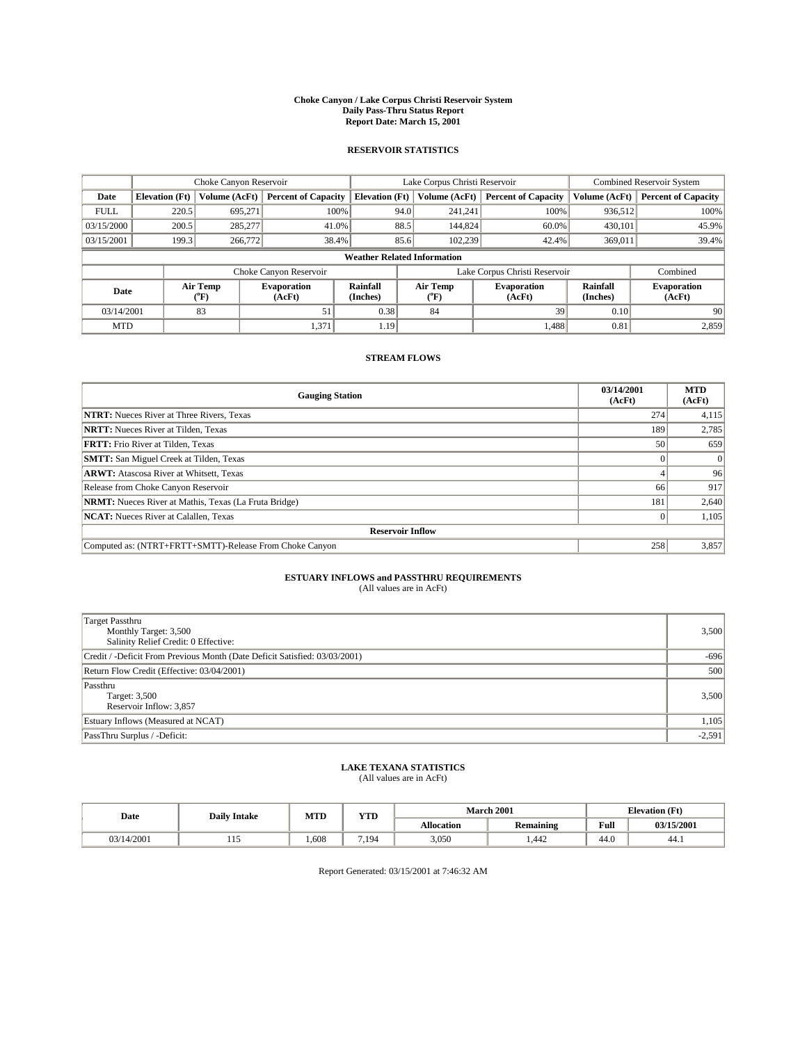#### **Choke Canyon / Lake Corpus Christi Reservoir System Daily Pass-Thru Status Report Report Date: March 15, 2001**

### **RESERVOIR STATISTICS**

|             | Choke Canyon Reservoir             |                             |                              |                             | Lake Corpus Christi Reservoir |                  |                               |                      | <b>Combined Reservoir System</b> |  |  |
|-------------|------------------------------------|-----------------------------|------------------------------|-----------------------------|-------------------------------|------------------|-------------------------------|----------------------|----------------------------------|--|--|
| Date        | <b>Elevation</b> (Ft)              | Volume (AcFt)               | <b>Percent of Capacity</b>   | <b>Elevation</b> (Ft)       |                               | Volume (AcFt)    | <b>Percent of Capacity</b>    | Volume (AcFt)        | <b>Percent of Capacity</b>       |  |  |
| <b>FULL</b> | 220.5                              | 695,271                     | 100%                         |                             | 94.0                          | 241,241          | 100%                          | 936.512              | 100%                             |  |  |
| 03/15/2000  | 200.5                              | 285,277                     | 41.0%                        |                             | 88.5                          | 144,824          | 60.0%                         | 430.101              | 45.9%                            |  |  |
| 03/15/2001  | 199.3                              | 266,772                     | 38.4%                        |                             | 85.6                          | 102,239          | 42.4%                         | 369,011              | 39.4%                            |  |  |
|             | <b>Weather Related Information</b> |                             |                              |                             |                               |                  |                               |                      |                                  |  |  |
|             |                                    |                             | Choke Canyon Reservoir       |                             |                               |                  | Lake Corpus Christi Reservoir |                      | Combined                         |  |  |
| Date        |                                    | Air Temp<br>${}^{\circ}$ F) | <b>Evaporation</b><br>(AcFt) | <b>Rainfall</b><br>(Inches) |                               | Air Temp<br>("F) | <b>Evaporation</b><br>(AcFt)  | Rainfall<br>(Inches) | <b>Evaporation</b><br>(AcFt)     |  |  |
| 03/14/2001  |                                    | 83                          | 51                           | 0.38                        |                               | 84               | 39                            | 0.10                 | 90                               |  |  |
| <b>MTD</b>  |                                    |                             | 1,371                        | 1.19                        |                               |                  | 1,488                         | 0.81                 | 2,859                            |  |  |

## **STREAM FLOWS**

| <b>Gauging Station</b>                                       | 03/14/2001<br>(AcFt) | <b>MTD</b><br>(AcFt) |
|--------------------------------------------------------------|----------------------|----------------------|
| <b>NTRT:</b> Nueces River at Three Rivers, Texas             | 274                  | 4,115                |
| <b>NRTT:</b> Nueces River at Tilden, Texas                   | 189                  | 2,785                |
| <b>FRTT:</b> Frio River at Tilden, Texas                     | 50                   | 659                  |
| <b>SMTT:</b> San Miguel Creek at Tilden, Texas               |                      |                      |
| <b>ARWT:</b> Atascosa River at Whitsett, Texas               |                      | 96                   |
| Release from Choke Canyon Reservoir                          | 66                   | 917                  |
| <b>NRMT:</b> Nueces River at Mathis, Texas (La Fruta Bridge) | 181                  | 2,640                |
| <b>NCAT:</b> Nueces River at Calallen, Texas                 |                      | 1,105                |
| <b>Reservoir Inflow</b>                                      |                      |                      |
| Computed as: (NTRT+FRTT+SMTT)-Release From Choke Canyon      | 258                  | 3,857                |

# **ESTUARY INFLOWS and PASSTHRU REQUIREMENTS**

(All values are in AcFt)

| Target Passthru<br>Monthly Target: 3,500<br>Salinity Relief Credit: 0 Effective: | 3,500    |
|----------------------------------------------------------------------------------|----------|
| Credit / -Deficit From Previous Month (Date Deficit Satisfied: 03/03/2001)       | $-696$   |
| Return Flow Credit (Effective: 03/04/2001)                                       | 500      |
| Passthru<br>Target: 3,500<br>Reservoir Inflow: 3,857                             | 3,500    |
| Estuary Inflows (Measured at NCAT)                                               | 1,105    |
| PassThru Surplus / -Deficit:                                                     | $-2,591$ |

# **LAKE TEXANA STATISTICS** (All values are in AcFt)

| Date       | <b>Daily Intake</b> | <b>MTD</b> | <b>XZOD</b><br>1 I D |                   | <b>March 2001</b> | <b>Elevation</b> (Ft) |            |
|------------|---------------------|------------|----------------------|-------------------|-------------------|-----------------------|------------|
|            |                     |            |                      | <b>Allocation</b> | <b>Remaining</b>  | Full                  | 03/15/2001 |
| 03/14/2001 | .                   | .608       | 7.194                | 3,050             | 1,442             | $\epsilon$<br>44.U    | 44.1       |

Report Generated: 03/15/2001 at 7:46:32 AM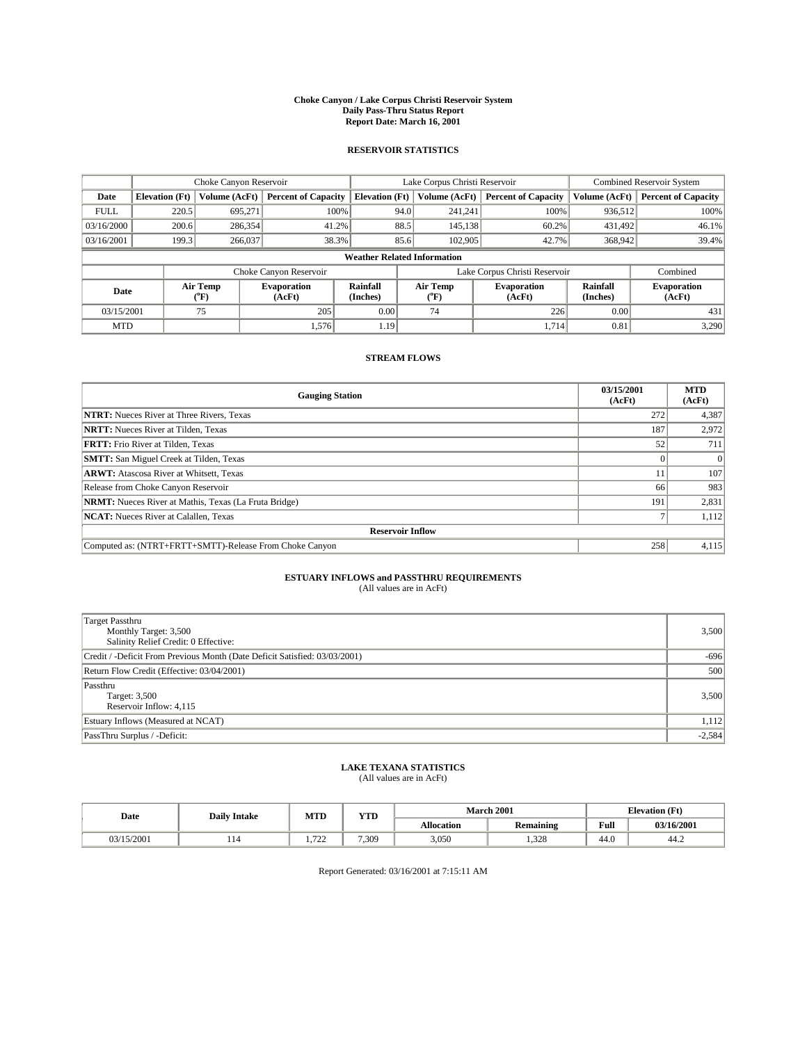#### **Choke Canyon / Lake Corpus Christi Reservoir System Daily Pass-Thru Status Report Report Date: March 16, 2001**

### **RESERVOIR STATISTICS**

|             | Choke Canyon Reservoir                                              |                             |                              |                             | Lake Corpus Christi Reservoir |                  |                              |                      | <b>Combined Reservoir System</b> |  |  |
|-------------|---------------------------------------------------------------------|-----------------------------|------------------------------|-----------------------------|-------------------------------|------------------|------------------------------|----------------------|----------------------------------|--|--|
| Date        | <b>Elevation</b> (Ft)                                               | Volume (AcFt)               | <b>Percent of Capacity</b>   | <b>Elevation</b> (Ft)       |                               | Volume (AcFt)    | <b>Percent of Capacity</b>   | Volume (AcFt)        | <b>Percent of Capacity</b>       |  |  |
| <b>FULL</b> | 220.5                                                               | 695,271                     | 100%                         |                             | 94.0                          | 241,241          | 100%                         | 936.512              | 100%                             |  |  |
| 03/16/2000  | 200.6                                                               | 286,354                     | 41.2%                        |                             | 88.5                          | 145.138          | 60.2%                        | 431.492              | 46.1%                            |  |  |
| 03/16/2001  | 199.3                                                               | 266,037                     | 38.3%                        |                             | 85.6                          | 102,905          | 42.7%                        | 368,942              | 39.4%                            |  |  |
|             | <b>Weather Related Information</b>                                  |                             |                              |                             |                               |                  |                              |                      |                                  |  |  |
|             | Lake Corpus Christi Reservoir<br>Choke Canyon Reservoir<br>Combined |                             |                              |                             |                               |                  |                              |                      |                                  |  |  |
| Date        |                                                                     | Air Temp<br>${}^{\circ}$ F) | <b>Evaporation</b><br>(AcFt) | <b>Rainfall</b><br>(Inches) |                               | Air Temp<br>("F) | <b>Evaporation</b><br>(AcFt) | Rainfall<br>(Inches) | <b>Evaporation</b><br>(AcFt)     |  |  |
| 03/15/2001  |                                                                     | 75                          | 205                          | 0.00                        |                               | 74               | 226                          | 0.00                 | 431                              |  |  |
| <b>MTD</b>  |                                                                     |                             | 1,576                        | 1.19                        |                               |                  | 1,714                        | 0.81                 | 3,290                            |  |  |

## **STREAM FLOWS**

| <b>Gauging Station</b>                                       | 03/15/2001<br>(AcFt) | <b>MTD</b><br>(AcFt) |  |  |  |  |
|--------------------------------------------------------------|----------------------|----------------------|--|--|--|--|
| <b>NTRT:</b> Nueces River at Three Rivers, Texas             | 272                  | 4,387                |  |  |  |  |
| <b>NRTT:</b> Nueces River at Tilden, Texas                   | 187                  | 2,972                |  |  |  |  |
| <b>FRTT:</b> Frio River at Tilden, Texas                     | 52                   | 711                  |  |  |  |  |
| <b>SMTT:</b> San Miguel Creek at Tilden, Texas               |                      |                      |  |  |  |  |
| <b>ARWT:</b> Atascosa River at Whitsett, Texas               | 11                   | 107                  |  |  |  |  |
| Release from Choke Canyon Reservoir                          | 66                   | 983                  |  |  |  |  |
| <b>NRMT:</b> Nueces River at Mathis, Texas (La Fruta Bridge) | 191                  | 2,831                |  |  |  |  |
| <b>NCAT:</b> Nueces River at Calallen, Texas                 |                      | 1,112                |  |  |  |  |
| <b>Reservoir Inflow</b>                                      |                      |                      |  |  |  |  |
| Computed as: (NTRT+FRTT+SMTT)-Release From Choke Canyon      | 258                  | 4,115                |  |  |  |  |

# **ESTUARY INFLOWS and PASSTHRU REQUIREMENTS**

(All values are in AcFt)

| Target Passthru<br>Monthly Target: 3,500<br>Salinity Relief Credit: 0 Effective: | 3,500    |
|----------------------------------------------------------------------------------|----------|
| Credit / -Deficit From Previous Month (Date Deficit Satisfied: 03/03/2001)       | $-696$   |
| Return Flow Credit (Effective: 03/04/2001)                                       | 500      |
| Passthru<br>Target: 3,500<br>Reservoir Inflow: 4,115                             | 3,500    |
| Estuary Inflows (Measured at NCAT)                                               | 1,112    |
| PassThru Surplus / -Deficit:                                                     | $-2,584$ |

# **LAKE TEXANA STATISTICS** (All values are in AcFt)

| Date     | <b>Daily Intake</b> | MTD                   | <b>YTD</b> |            | <b>March 2001</b>       | <b>Elevation</b> (Ft) |            |
|----------|---------------------|-----------------------|------------|------------|-------------------------|-----------------------|------------|
|          |                     |                       |            | Allocation | . .<br><b>Remaining</b> | Full                  | 03/16/2001 |
| /15/2001 | 114                 | $\overline{a}$<br>ے ت | 7.309      | 3,050      | 1.328                   | 44.0                  | 44.2       |

Report Generated: 03/16/2001 at 7:15:11 AM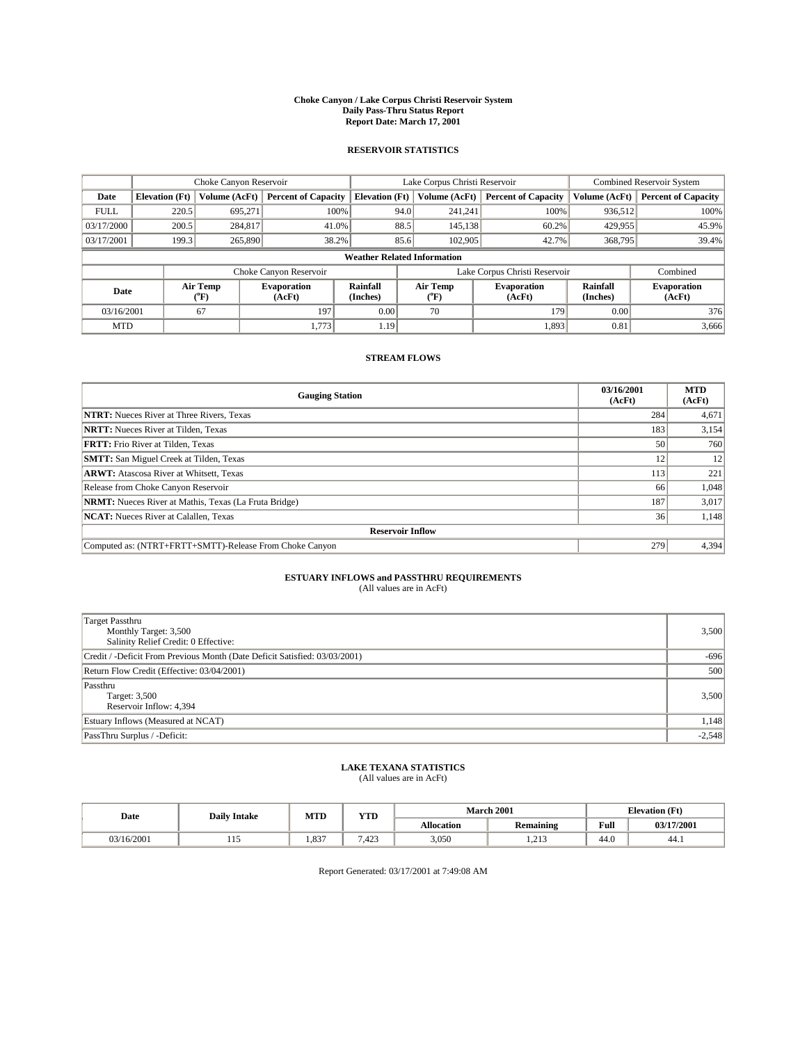#### **Choke Canyon / Lake Corpus Christi Reservoir System Daily Pass-Thru Status Report Report Date: March 17, 2001**

### **RESERVOIR STATISTICS**

|             | Choke Canyon Reservoir             |                  |                              |                       | Lake Corpus Christi Reservoir |                  |                               |                      | <b>Combined Reservoir System</b> |  |
|-------------|------------------------------------|------------------|------------------------------|-----------------------|-------------------------------|------------------|-------------------------------|----------------------|----------------------------------|--|
| Date        | <b>Elevation</b> (Ft)              | Volume (AcFt)    | <b>Percent of Capacity</b>   | <b>Elevation</b> (Ft) |                               | Volume (AcFt)    | <b>Percent of Capacity</b>    | Volume (AcFt)        | <b>Percent of Capacity</b>       |  |
| <b>FULL</b> | 220.5                              | 695,271          | 100%                         |                       | 94.0                          | 241,241          | 100%                          | 936.512              | 100%                             |  |
| 03/17/2000  | 200.5                              | 284,817          | 41.0%                        |                       | 88.5                          | 145,138          | 60.2%                         | 429.955              | 45.9%                            |  |
| 03/17/2001  | 199.3                              | 265,890          | 38.2%                        |                       | 85.6                          | 102,905          | 42.7%                         | 368,795              | 39.4%                            |  |
|             | <b>Weather Related Information</b> |                  |                              |                       |                               |                  |                               |                      |                                  |  |
|             |                                    |                  | Choke Canyon Reservoir       |                       |                               |                  | Lake Corpus Christi Reservoir |                      | Combined                         |  |
| Date        |                                    | Air Temp<br>(°F) | <b>Evaporation</b><br>(AcFt) | Rainfall<br>(Inches)  |                               | Air Temp<br>("F) | <b>Evaporation</b><br>(AcFt)  | Rainfall<br>(Inches) | <b>Evaporation</b><br>(AcFt)     |  |
| 03/16/2001  |                                    | 67               | 197                          | 0.00                  |                               | 70               | 179                           | 0.00                 | 376                              |  |
| <b>MTD</b>  |                                    |                  | 1,773                        | 1.19                  |                               |                  | 1,893                         | 0.81                 | 3,666                            |  |

## **STREAM FLOWS**

| <b>Gauging Station</b>                                       | 03/16/2001<br>(AcFt) | <b>MTD</b><br>(AcFt) |  |  |  |  |
|--------------------------------------------------------------|----------------------|----------------------|--|--|--|--|
| <b>NTRT:</b> Nueces River at Three Rivers, Texas             | 284                  | 4,671                |  |  |  |  |
| <b>NRTT:</b> Nueces River at Tilden, Texas                   | 183                  | 3,154                |  |  |  |  |
| <b>FRTT:</b> Frio River at Tilden, Texas                     | 50                   | 760                  |  |  |  |  |
| <b>SMTT:</b> San Miguel Creek at Tilden, Texas               | 12                   | 12                   |  |  |  |  |
| <b>ARWT:</b> Atascosa River at Whitsett, Texas               | 113                  | 221                  |  |  |  |  |
| Release from Choke Canyon Reservoir                          | 66                   | 1,048                |  |  |  |  |
| <b>NRMT:</b> Nueces River at Mathis, Texas (La Fruta Bridge) | 187                  | 3,017                |  |  |  |  |
| <b>NCAT:</b> Nueces River at Calallen, Texas                 | 36                   | 1,148                |  |  |  |  |
| <b>Reservoir Inflow</b>                                      |                      |                      |  |  |  |  |
| Computed as: (NTRT+FRTT+SMTT)-Release From Choke Canyon      | 279                  | 4,394                |  |  |  |  |

# **ESTUARY INFLOWS and PASSTHRU REQUIREMENTS**

(All values are in AcFt)

| Target Passthru<br>Monthly Target: 3,500<br>Salinity Relief Credit: 0 Effective: | 3,500    |
|----------------------------------------------------------------------------------|----------|
| Credit / -Deficit From Previous Month (Date Deficit Satisfied: 03/03/2001)       | $-696$   |
| Return Flow Credit (Effective: 03/04/2001)                                       | 500      |
| Passthru<br>Target: 3,500<br>Reservoir Inflow: 4,394                             | 3,500    |
| Estuary Inflows (Measured at NCAT)                                               | 1,148    |
| PassThru Surplus / -Deficit:                                                     | $-2,548$ |

# **LAKE TEXANA STATISTICS** (All values are in AcFt)

| Date       | <b>Daily Intake</b> | MTD  | <b>YTD</b>                 | <b>March 2001</b> |                  |      | <b>Elevation</b> (Ft) |
|------------|---------------------|------|----------------------------|-------------------|------------------|------|-----------------------|
|            |                     |      |                            | <b>Allocation</b> | <b>Remaining</b> | Full | 03/17/2001            |
| 03/16/2001 | .                   | .337 | 40 <sup>o</sup><br>د 27. ا | 3,050             | 212<br>ن 1 سکیل  | 44.0 | -44.1                 |

Report Generated: 03/17/2001 at 7:49:08 AM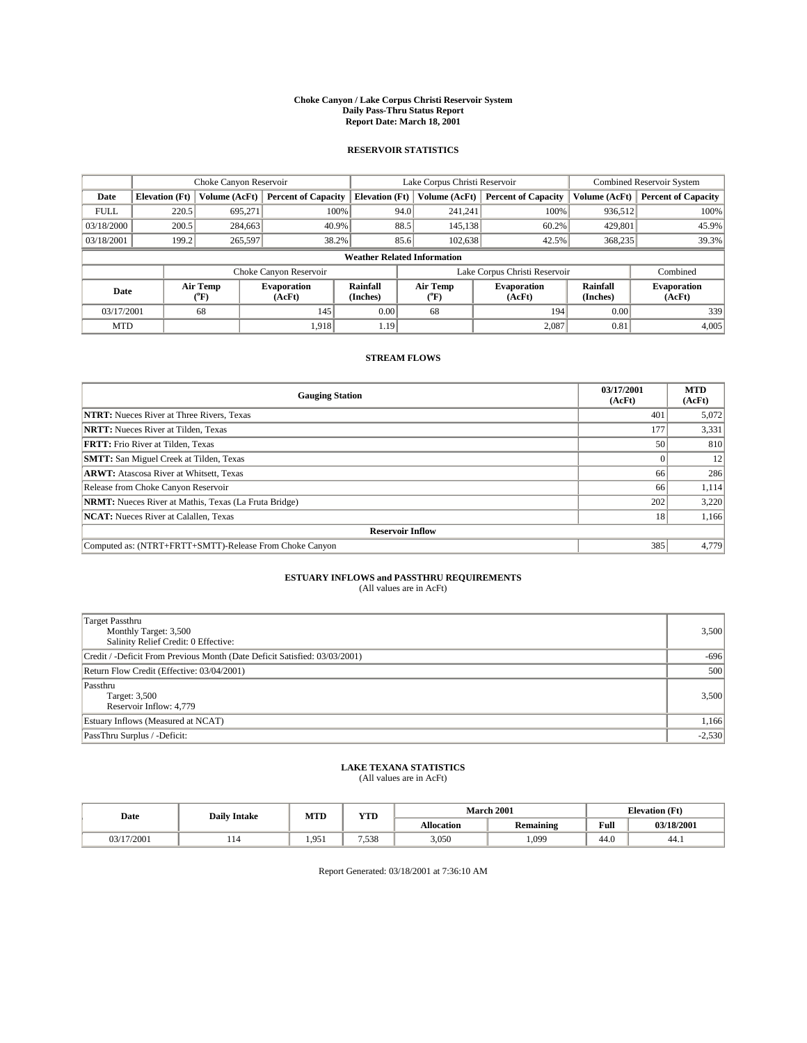#### **Choke Canyon / Lake Corpus Christi Reservoir System Daily Pass-Thru Status Report Report Date: March 18, 2001**

### **RESERVOIR STATISTICS**

|             | Choke Canyon Reservoir             |                             |                              |                             | Lake Corpus Christi Reservoir |                  |                               |                      | <b>Combined Reservoir System</b> |  |  |
|-------------|------------------------------------|-----------------------------|------------------------------|-----------------------------|-------------------------------|------------------|-------------------------------|----------------------|----------------------------------|--|--|
| Date        | <b>Elevation</b> (Ft)              | Volume (AcFt)               | <b>Percent of Capacity</b>   | <b>Elevation</b> (Ft)       |                               | Volume (AcFt)    | <b>Percent of Capacity</b>    | Volume (AcFt)        | <b>Percent of Capacity</b>       |  |  |
| <b>FULL</b> | 220.5                              | 695,271                     | 100%                         |                             | 94.0                          | 241,241          | 100%                          | 936.512              | 100%                             |  |  |
| 03/18/2000  | 200.5                              | 284,663                     | 40.9%                        |                             | 88.5                          | 145,138          | 60.2%                         | 429,801              | 45.9%                            |  |  |
| 03/18/2001  | 199.2                              | 265,597                     | 38.2%                        |                             | 85.6                          | 102,638          | 42.5%                         | 368,235              | 39.3%                            |  |  |
|             | <b>Weather Related Information</b> |                             |                              |                             |                               |                  |                               |                      |                                  |  |  |
|             |                                    |                             | Choke Canyon Reservoir       |                             |                               |                  | Lake Corpus Christi Reservoir |                      | Combined                         |  |  |
| Date        |                                    | Air Temp<br>${}^{\circ}$ F) | <b>Evaporation</b><br>(AcFt) | <b>Rainfall</b><br>(Inches) |                               | Air Temp<br>("F) | <b>Evaporation</b><br>(AcFt)  | Rainfall<br>(Inches) | <b>Evaporation</b><br>(AcFt)     |  |  |
| 03/17/2001  |                                    | 68                          | 145                          | 0.00                        |                               | 68               | 194                           | 0.00                 | 339                              |  |  |
| <b>MTD</b>  |                                    |                             | 1,918                        | 1.19                        |                               |                  | 2,087                         | 0.81                 | 4,005                            |  |  |

## **STREAM FLOWS**

| <b>Gauging Station</b>                                       | 03/17/2001<br>(AcFt) | <b>MTD</b><br>(AcFt) |  |  |  |  |
|--------------------------------------------------------------|----------------------|----------------------|--|--|--|--|
| <b>NTRT:</b> Nueces River at Three Rivers, Texas             | 401                  | 5,072                |  |  |  |  |
| <b>NRTT:</b> Nueces River at Tilden, Texas                   | 177                  | 3,331                |  |  |  |  |
| <b>FRTT:</b> Frio River at Tilden, Texas                     | 50                   | 810                  |  |  |  |  |
| <b>SMTT:</b> San Miguel Creek at Tilden, Texas               |                      | 12                   |  |  |  |  |
| <b>ARWT:</b> Atascosa River at Whitsett, Texas               | 66                   | 286                  |  |  |  |  |
| Release from Choke Canyon Reservoir                          | 66                   | 1,114                |  |  |  |  |
| <b>NRMT:</b> Nueces River at Mathis, Texas (La Fruta Bridge) | 202                  | 3,220                |  |  |  |  |
| <b>NCAT:</b> Nueces River at Calallen, Texas                 | 18                   | 1,166                |  |  |  |  |
| <b>Reservoir Inflow</b>                                      |                      |                      |  |  |  |  |
| Computed as: (NTRT+FRTT+SMTT)-Release From Choke Canyon      | 385                  | 4,779                |  |  |  |  |

# **ESTUARY INFLOWS and PASSTHRU REQUIREMENTS**

(All values are in AcFt)

| <b>Target Passthru</b>                                                     |          |
|----------------------------------------------------------------------------|----------|
| Monthly Target: 3,500                                                      | 3,500    |
| Salinity Relief Credit: 0 Effective:                                       |          |
| Credit / -Deficit From Previous Month (Date Deficit Satisfied: 03/03/2001) | $-696$   |
| Return Flow Credit (Effective: 03/04/2001)                                 | 500      |
| Passthru                                                                   |          |
| Target: 3,500                                                              | 3,500    |
| Reservoir Inflow: 4,779                                                    |          |
| Estuary Inflows (Measured at NCAT)                                         | 1,166    |
| PassThru Surplus / -Deficit:                                               | $-2,530$ |

# **LAKE TEXANA STATISTICS** (All values are in AcFt)

| Date       | <b>Daily Intake</b> | MTD                 | <b>TIME</b><br>1 I.D | <b>March 2001</b> |                  |                    | Elevation (Ft) |  |
|------------|---------------------|---------------------|----------------------|-------------------|------------------|--------------------|----------------|--|
|            |                     |                     |                      | <b>Allocation</b> | <b>Remaining</b> | Full               | 03/18/2001     |  |
| 03/17/2001 |                     | Q <sub>5</sub><br>. | $B = A$<br>538. ا    | 3,050             | 1,099            | $\epsilon$<br>44.U | 44.1           |  |

Report Generated: 03/18/2001 at 7:36:10 AM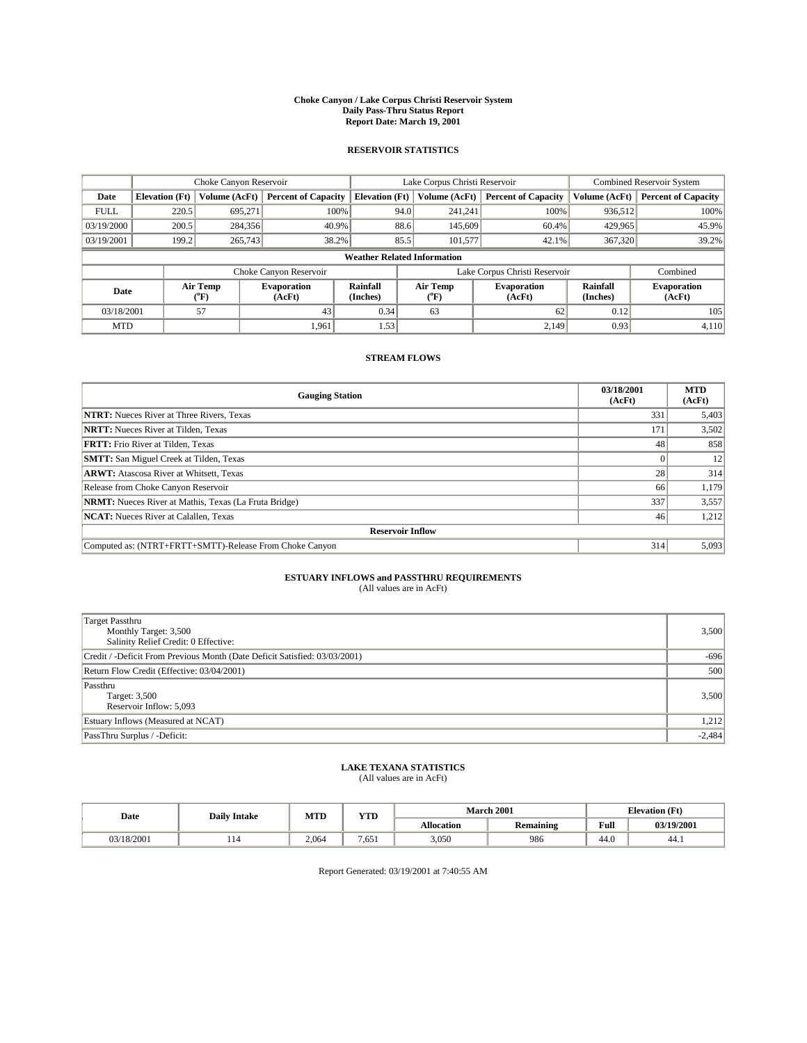#### **Choke Canyon / Lake Corpus Christi Reservoir System Daily Pass-Thru Status Report Report Date: March 19, 2001**

### **RESERVOIR STATISTICS**

|             | Choke Canyon Reservoir             |                             |                              |                             | Lake Corpus Christi Reservoir |                  |                               |                      | <b>Combined Reservoir System</b> |  |  |
|-------------|------------------------------------|-----------------------------|------------------------------|-----------------------------|-------------------------------|------------------|-------------------------------|----------------------|----------------------------------|--|--|
| Date        | <b>Elevation</b> (Ft)              | Volume (AcFt)               | <b>Percent of Capacity</b>   | <b>Elevation</b> (Ft)       |                               | Volume (AcFt)    | <b>Percent of Capacity</b>    | Volume (AcFt)        | <b>Percent of Capacity</b>       |  |  |
| <b>FULL</b> | 220.5                              | 695,271                     | 100%                         |                             | 94.0                          | 241,241          | 100%                          | 936.512              | 100%                             |  |  |
| 03/19/2000  | 200.5                              | 284,356                     | 40.9%                        |                             | 88.6                          | 145,609          | 60.4%                         | 429,965              | 45.9%                            |  |  |
| 03/19/2001  | 199.2                              | 265,743                     | 38.2%                        |                             | 85.5                          | 101,577          | 42.1%                         | 367,320              | 39.2%                            |  |  |
|             | <b>Weather Related Information</b> |                             |                              |                             |                               |                  |                               |                      |                                  |  |  |
|             |                                    |                             | Choke Canyon Reservoir       |                             |                               |                  | Lake Corpus Christi Reservoir |                      | Combined                         |  |  |
| Date        |                                    | Air Temp<br>${}^{\circ}$ F) | <b>Evaporation</b><br>(AcFt) | <b>Rainfall</b><br>(Inches) |                               | Air Temp<br>("F) | <b>Evaporation</b><br>(AcFt)  | Rainfall<br>(Inches) | <b>Evaporation</b><br>(AcFt)     |  |  |
| 03/18/2001  |                                    | 57                          | 43                           | 0.34                        |                               | 63               | 62                            | 0.12                 | 105                              |  |  |
| <b>MTD</b>  |                                    |                             | 1,961                        | 1.53                        |                               |                  | 2,149                         | 0.93                 | 4,110                            |  |  |

## **STREAM FLOWS**

| <b>Gauging Station</b>                                       | 03/18/2001<br>(AcFt) | <b>MTD</b><br>(AcFt) |  |  |  |  |
|--------------------------------------------------------------|----------------------|----------------------|--|--|--|--|
| <b>NTRT:</b> Nueces River at Three Rivers, Texas             | 331                  | 5,403                |  |  |  |  |
| <b>NRTT:</b> Nueces River at Tilden, Texas                   | 171                  | 3,502                |  |  |  |  |
| <b>FRTT:</b> Frio River at Tilden. Texas                     | 48                   | 858                  |  |  |  |  |
| <b>SMTT:</b> San Miguel Creek at Tilden, Texas               |                      | 12                   |  |  |  |  |
| <b>ARWT:</b> Atascosa River at Whitsett, Texas               | 28                   | 314                  |  |  |  |  |
| Release from Choke Canyon Reservoir                          | 66                   | 1,179                |  |  |  |  |
| <b>NRMT:</b> Nueces River at Mathis, Texas (La Fruta Bridge) | 337                  | 3,557                |  |  |  |  |
| <b>NCAT:</b> Nueces River at Calallen, Texas                 | 46                   | 1,212                |  |  |  |  |
| <b>Reservoir Inflow</b>                                      |                      |                      |  |  |  |  |
| Computed as: (NTRT+FRTT+SMTT)-Release From Choke Canyon      | 314                  | 5,093                |  |  |  |  |

# **ESTUARY INFLOWS and PASSTHRU REQUIREMENTS**

(All values are in AcFt)

| Target Passthru<br>Monthly Target: 3,500<br>Salinity Relief Credit: 0 Effective: | 3,500    |
|----------------------------------------------------------------------------------|----------|
| Credit / -Deficit From Previous Month (Date Deficit Satisfied: 03/03/2001)       | $-696$   |
| Return Flow Credit (Effective: 03/04/2001)                                       | 500      |
| Passthru<br>Target: 3,500<br>Reservoir Inflow: 5,093                             | 3,500    |
| Estuary Inflows (Measured at NCAT)                                               | 1,212    |
| PassThru Surplus / -Deficit:                                                     | $-2,484$ |

# **LAKE TEXANA STATISTICS** (All values are in AcFt)

| Date       | <b>Daily Intake</b> | MTD   | <b>TIME</b> |                   | <b>March 2001</b> | <b>Elevation</b> (Ft) |            |  |
|------------|---------------------|-------|-------------|-------------------|-------------------|-----------------------|------------|--|
|            |                     |       | 1 I.D       | <b>Allocation</b> | <b>Remaining</b>  | Full                  | 03/19/2001 |  |
| 03/18/2001 |                     | 2.064 | 7,651       | 3,050             | 986               | $\epsilon$<br>44.U    | 44.1       |  |

Report Generated: 03/19/2001 at 7:40:55 AM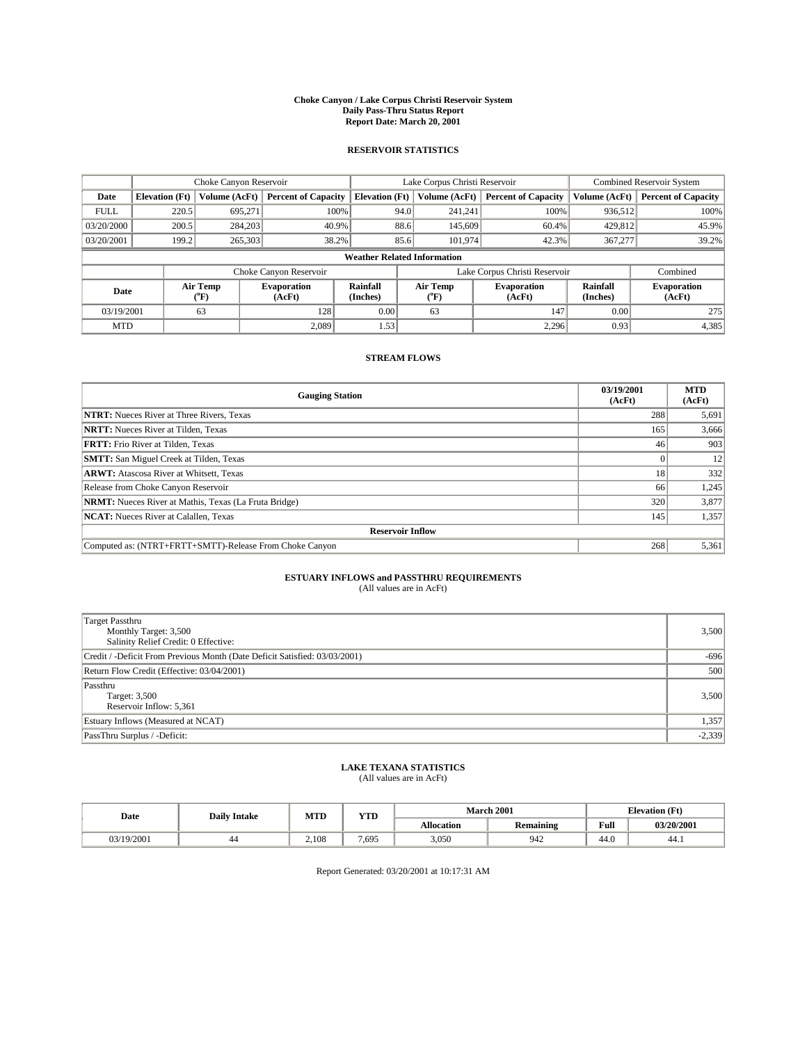#### **Choke Canyon / Lake Corpus Christi Reservoir System Daily Pass-Thru Status Report Report Date: March 20, 2001**

### **RESERVOIR STATISTICS**

|             | Choke Canyon Reservoir             |                  |                              |                             | Lake Corpus Christi Reservoir |                  |                               |                      | <b>Combined Reservoir System</b> |  |
|-------------|------------------------------------|------------------|------------------------------|-----------------------------|-------------------------------|------------------|-------------------------------|----------------------|----------------------------------|--|
| Date        | <b>Elevation</b> (Ft)              | Volume (AcFt)    | <b>Percent of Capacity</b>   | <b>Elevation</b> (Ft)       |                               | Volume (AcFt)    | <b>Percent of Capacity</b>    | Volume (AcFt)        | <b>Percent of Capacity</b>       |  |
| <b>FULL</b> | 220.5                              | 695,271          |                              | 100%                        | 94.0                          | 241,241          | 100%                          | 936.512              | 100%                             |  |
| 03/20/2000  | 200.5                              | 284,203          | 40.9%                        |                             | 88.6                          | 145,609          | 60.4%                         | 429,812              | 45.9%                            |  |
| 03/20/2001  | 199.2                              | 265,303          | 38.2%                        |                             | 85.6                          | 101,974          | 42.3%                         | 367,277              | 39.2%                            |  |
|             | <b>Weather Related Information</b> |                  |                              |                             |                               |                  |                               |                      |                                  |  |
|             |                                    |                  | Choke Canyon Reservoir       |                             |                               |                  | Lake Corpus Christi Reservoir |                      | Combined                         |  |
| Date        |                                    | Air Temp<br>(°F) | <b>Evaporation</b><br>(AcFt) | <b>Rainfall</b><br>(Inches) |                               | Air Temp<br>("F) | <b>Evaporation</b><br>(AcFt)  | Rainfall<br>(Inches) | <b>Evaporation</b><br>(AcFt)     |  |
| 03/19/2001  |                                    | 63               | 128                          | 0.00                        |                               | 63               | 147                           | 0.00                 | 275                              |  |
| <b>MTD</b>  |                                    |                  | 2,089                        | 1.53                        |                               |                  | 2,296                         | 0.93                 | 4,385                            |  |

## **STREAM FLOWS**

| <b>Gauging Station</b>                                       | 03/19/2001<br>(AcFt) | <b>MTD</b><br>(AcFt) |
|--------------------------------------------------------------|----------------------|----------------------|
| <b>NTRT:</b> Nueces River at Three Rivers, Texas             | 288                  | 5,691                |
| <b>NRTT:</b> Nueces River at Tilden, Texas                   | 165                  | 3,666                |
| <b>FRTT:</b> Frio River at Tilden, Texas                     | 46                   | 903                  |
| <b>SMTT:</b> San Miguel Creek at Tilden, Texas               |                      | 12                   |
| <b>ARWT:</b> Atascosa River at Whitsett, Texas               | 18                   | 332                  |
| Release from Choke Canyon Reservoir                          | 66                   | 1,245                |
| <b>NRMT:</b> Nueces River at Mathis, Texas (La Fruta Bridge) | 320                  | 3,877                |
| <b>NCAT:</b> Nueces River at Calallen, Texas                 | 145                  | 1,357                |
| <b>Reservoir Inflow</b>                                      |                      |                      |
| Computed as: (NTRT+FRTT+SMTT)-Release From Choke Canyon      | 268                  | 5,361                |

# **ESTUARY INFLOWS and PASSTHRU REQUIREMENTS**<br>(All values are in AcFt)

| Target Passthru<br>Monthly Target: 3,500<br>Salinity Relief Credit: 0 Effective: | 3,500    |
|----------------------------------------------------------------------------------|----------|
| Credit / -Deficit From Previous Month (Date Deficit Satisfied: 03/03/2001)       | $-696$   |
| Return Flow Credit (Effective: 03/04/2001)                                       | 500      |
| Passthru<br>Target: 3,500<br>Reservoir Inflow: 5,361                             | 3,500    |
| Estuary Inflows (Measured at NCAT)                                               | 1,357    |
| PassThru Surplus / -Deficit:                                                     | $-2,339$ |

# **LAKE TEXANA STATISTICS** (All values are in AcFt)

| Date       | <b>Daily Intake</b> | <b>MTD</b> | <b>TIME</b> | <b>March 2001</b> | <b>Elevation</b> (Ft) |      |            |
|------------|---------------------|------------|-------------|-------------------|-----------------------|------|------------|
|            |                     |            | 1 I.D       | <b>Allocation</b> | <b>Remaining</b>      | Full | 03/20/2001 |
| 03/19/2001 | 44                  | 2,108      | 7.695       | 3,050             | 942                   | 44.U | 44.1       |

Report Generated: 03/20/2001 at 10:17:31 AM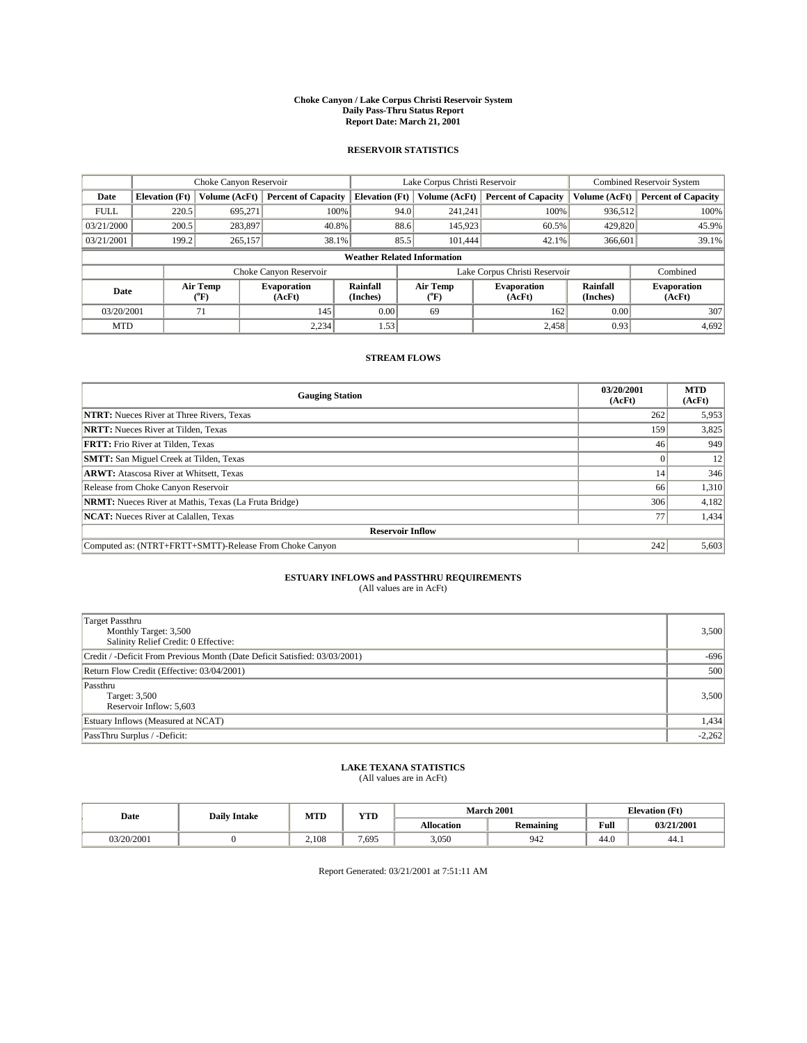#### **Choke Canyon / Lake Corpus Christi Reservoir System Daily Pass-Thru Status Report Report Date: March 21, 2001**

### **RESERVOIR STATISTICS**

|             | Choke Canyon Reservoir             |                             |                              |                             | Lake Corpus Christi Reservoir |                  |                               |                      | <b>Combined Reservoir System</b> |  |  |
|-------------|------------------------------------|-----------------------------|------------------------------|-----------------------------|-------------------------------|------------------|-------------------------------|----------------------|----------------------------------|--|--|
| Date        | <b>Elevation</b> (Ft)              | Volume (AcFt)               | <b>Percent of Capacity</b>   | <b>Elevation</b> (Ft)       |                               | Volume (AcFt)    | <b>Percent of Capacity</b>    | Volume (AcFt)        | <b>Percent of Capacity</b>       |  |  |
| <b>FULL</b> | 220.5                              | 695,271                     |                              | 100%                        | 94.0                          | 241,241          | 100%                          | 936.512              | 100%                             |  |  |
| 03/21/2000  | 200.5                              | 283,897                     | 40.8%                        |                             | 88.6                          | 145,923          | 60.5%                         | 429,820              | 45.9%                            |  |  |
| 03/21/2001  | 199.2                              | 265,157                     | 38.1%                        |                             | 85.5                          | 101.444          | 42.1%                         | 366,601              | 39.1%                            |  |  |
|             | <b>Weather Related Information</b> |                             |                              |                             |                               |                  |                               |                      |                                  |  |  |
|             |                                    |                             | Choke Canyon Reservoir       |                             |                               |                  | Lake Corpus Christi Reservoir |                      | Combined                         |  |  |
| Date        |                                    | Air Temp<br>${}^{\circ}$ F) | <b>Evaporation</b><br>(AcFt) | <b>Rainfall</b><br>(Inches) |                               | Air Temp<br>("F) | <b>Evaporation</b><br>(AcFt)  | Rainfall<br>(Inches) | <b>Evaporation</b><br>(AcFt)     |  |  |
| 03/20/2001  |                                    | 71                          | 145                          | 0.00                        |                               | 69               | 162                           | 0.00                 | 307                              |  |  |
| <b>MTD</b>  |                                    |                             | 2,234                        | 1.53                        |                               |                  | 2,458                         | 0.93                 | 4,692                            |  |  |

## **STREAM FLOWS**

| <b>Gauging Station</b>                                       | 03/20/2001<br>(AcFt) | <b>MTD</b><br>(AcFt) |  |  |  |  |
|--------------------------------------------------------------|----------------------|----------------------|--|--|--|--|
| <b>NTRT:</b> Nueces River at Three Rivers, Texas             | 262                  | 5,953                |  |  |  |  |
| <b>NRTT:</b> Nueces River at Tilden, Texas                   | 159                  | 3,825                |  |  |  |  |
| <b>FRTT:</b> Frio River at Tilden, Texas                     | 46                   | 949                  |  |  |  |  |
| <b>SMTT:</b> San Miguel Creek at Tilden, Texas               |                      | 12                   |  |  |  |  |
| <b>ARWT:</b> Atascosa River at Whitsett, Texas               | 14                   | 346                  |  |  |  |  |
| Release from Choke Canyon Reservoir                          | 66                   | 1,310                |  |  |  |  |
| <b>NRMT:</b> Nueces River at Mathis, Texas (La Fruta Bridge) | 306                  | 4,182                |  |  |  |  |
| <b>NCAT:</b> Nueces River at Calallen, Texas                 |                      | 1,434                |  |  |  |  |
| <b>Reservoir Inflow</b>                                      |                      |                      |  |  |  |  |
| Computed as: (NTRT+FRTT+SMTT)-Release From Choke Canyon      | 242                  | 5,603                |  |  |  |  |

# **ESTUARY INFLOWS and PASSTHRU REQUIREMENTS**

(All values are in AcFt)

| Target Passthru<br>Monthly Target: 3,500<br>Salinity Relief Credit: 0 Effective: | 3,500    |
|----------------------------------------------------------------------------------|----------|
| Credit / -Deficit From Previous Month (Date Deficit Satisfied: 03/03/2001)       | $-696$   |
| Return Flow Credit (Effective: 03/04/2001)                                       | 500      |
| Passthru<br>Target: 3,500<br>Reservoir Inflow: 5,603                             | 3,500    |
| Estuary Inflows (Measured at NCAT)                                               | 1,434    |
| PassThru Surplus / -Deficit:                                                     | $-2,262$ |

# **LAKE TEXANA STATISTICS** (All values are in AcFt)

| Date       | <b>Daily Intake</b> | <b>MTD</b> | <b>TIME</b><br>1 I.D |                   | <b>March 2001</b> | Elevation (Ft) |            |
|------------|---------------------|------------|----------------------|-------------------|-------------------|----------------|------------|
|            |                     |            |                      | <b>Allocation</b> | <b>Remaining</b>  | Full           | 03/21/2001 |
| 03/20/2001 |                     | 2.108      | 7.695                | 3,050             | 942               | 44.U           | 44.1       |

Report Generated: 03/21/2001 at 7:51:11 AM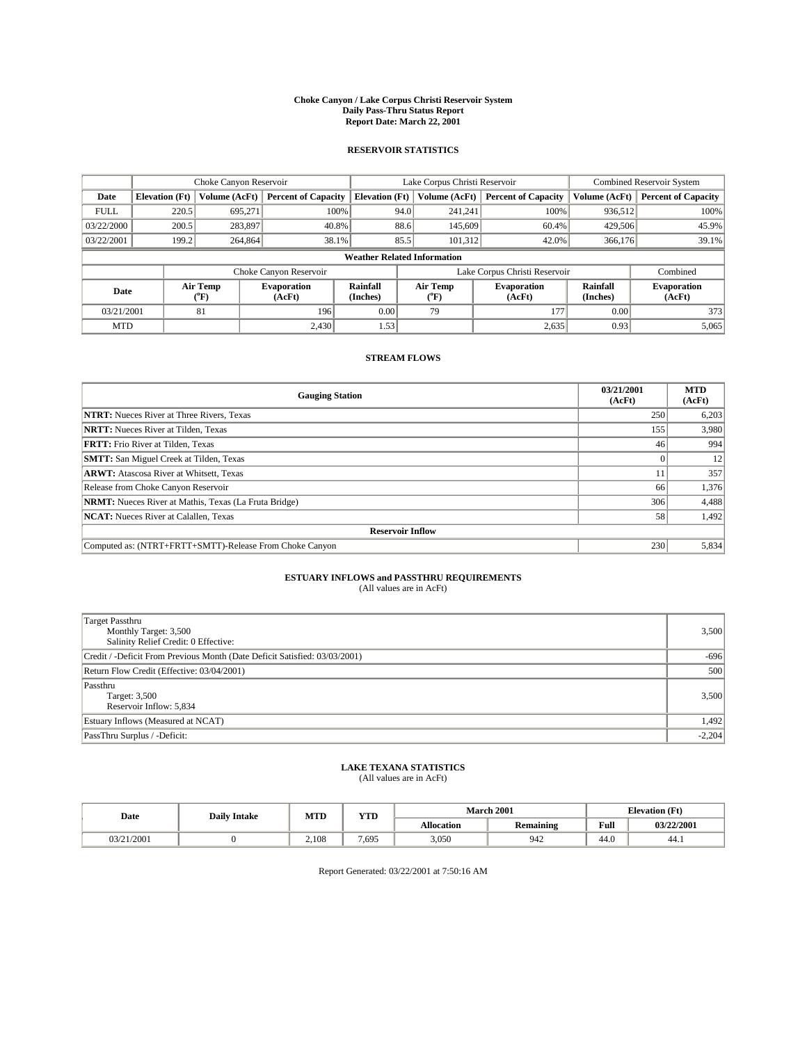#### **Choke Canyon / Lake Corpus Christi Reservoir System Daily Pass-Thru Status Report Report Date: March 22, 2001**

### **RESERVOIR STATISTICS**

|             | Choke Canyon Reservoir             |                             |                              |                             | Lake Corpus Christi Reservoir |                  |                               |                      | <b>Combined Reservoir System</b> |  |  |
|-------------|------------------------------------|-----------------------------|------------------------------|-----------------------------|-------------------------------|------------------|-------------------------------|----------------------|----------------------------------|--|--|
| Date        | <b>Elevation</b> (Ft)              | Volume (AcFt)               | <b>Percent of Capacity</b>   | <b>Elevation</b> (Ft)       |                               | Volume (AcFt)    | <b>Percent of Capacity</b>    | Volume (AcFt)        | <b>Percent of Capacity</b>       |  |  |
| <b>FULL</b> | 220.5                              | 695,271                     | 100%                         |                             | 94.0                          | 241,241          | 100%                          | 936.512              | 100%                             |  |  |
| 03/22/2000  | 200.5                              | 283,897                     | 40.8%                        |                             | 88.6                          | 145,609          | 60.4%                         | 429,506              | 45.9%                            |  |  |
| 03/22/2001  | 199.2                              | 264,864                     | 38.1%                        |                             | 85.5                          | 101,312          | 42.0%                         | 366,176              | 39.1%                            |  |  |
|             | <b>Weather Related Information</b> |                             |                              |                             |                               |                  |                               |                      |                                  |  |  |
|             |                                    |                             | Choke Canyon Reservoir       |                             |                               |                  | Lake Corpus Christi Reservoir |                      | Combined                         |  |  |
| Date        |                                    | Air Temp<br>${}^{\circ}$ F) | <b>Evaporation</b><br>(AcFt) | <b>Rainfall</b><br>(Inches) |                               | Air Temp<br>("F) | <b>Evaporation</b><br>(AcFt)  | Rainfall<br>(Inches) | <b>Evaporation</b><br>(AcFt)     |  |  |
| 03/21/2001  |                                    | 81                          | 196                          | 0.00                        |                               | 79               | 177                           | 0.00                 | 373                              |  |  |
| <b>MTD</b>  |                                    |                             | 2,430                        | 1.53                        |                               |                  | 2,635                         | 0.93                 | 5,065                            |  |  |

## **STREAM FLOWS**

| <b>Gauging Station</b>                                       | 03/21/2001<br>(AcFt) | <b>MTD</b><br>(AcFt) |
|--------------------------------------------------------------|----------------------|----------------------|
| <b>NTRT:</b> Nueces River at Three Rivers, Texas             | 250                  | 6,203                |
| <b>NRTT:</b> Nueces River at Tilden, Texas                   | 155                  | 3,980                |
| <b>FRTT:</b> Frio River at Tilden, Texas                     | 46                   | 994                  |
| <b>SMTT:</b> San Miguel Creek at Tilden, Texas               |                      | 12                   |
| <b>ARWT:</b> Atascosa River at Whitsett, Texas               | 11                   | 357                  |
| Release from Choke Canyon Reservoir                          | 66                   | 1,376                |
| <b>NRMT:</b> Nueces River at Mathis, Texas (La Fruta Bridge) | 306                  | 4,488                |
| <b>NCAT:</b> Nueces River at Calallen, Texas                 | 58                   | 1,492                |
| <b>Reservoir Inflow</b>                                      |                      |                      |
| Computed as: (NTRT+FRTT+SMTT)-Release From Choke Canyon      | 230                  | 5,834                |

# **ESTUARY INFLOWS and PASSTHRU REQUIREMENTS**<br>(All values are in AcFt)

| <b>Target Passthru</b>                                                     |          |
|----------------------------------------------------------------------------|----------|
| Monthly Target: 3,500                                                      | 3,500    |
| Salinity Relief Credit: 0 Effective:                                       |          |
| Credit / -Deficit From Previous Month (Date Deficit Satisfied: 03/03/2001) | $-696$   |
| Return Flow Credit (Effective: 03/04/2001)                                 | 500      |
| Passthru                                                                   |          |
| Target: 3,500                                                              | 3,500    |
| Reservoir Inflow: 5,834                                                    |          |
| Estuary Inflows (Measured at NCAT)                                         | 1,492    |
| PassThru Surplus / -Deficit:                                               | $-2,204$ |

# **LAKE TEXANA STATISTICS** (All values are in AcFt)

| Date  | <b>Daily Intake</b> | <b>MTD</b> | <b>TIME</b><br>1 I.D |                   | <b>March 2001</b> | Elevation (Ft)     |            |
|-------|---------------------|------------|----------------------|-------------------|-------------------|--------------------|------------|
|       |                     |            |                      | <b>Allocation</b> | <b>Remaining</b>  | Full               | 03/22/2001 |
| /2001 |                     | 2.108      | 7,695                | 3,050             | 942               | $\epsilon$<br>44.U | 44.1       |

Report Generated: 03/22/2001 at 7:50:16 AM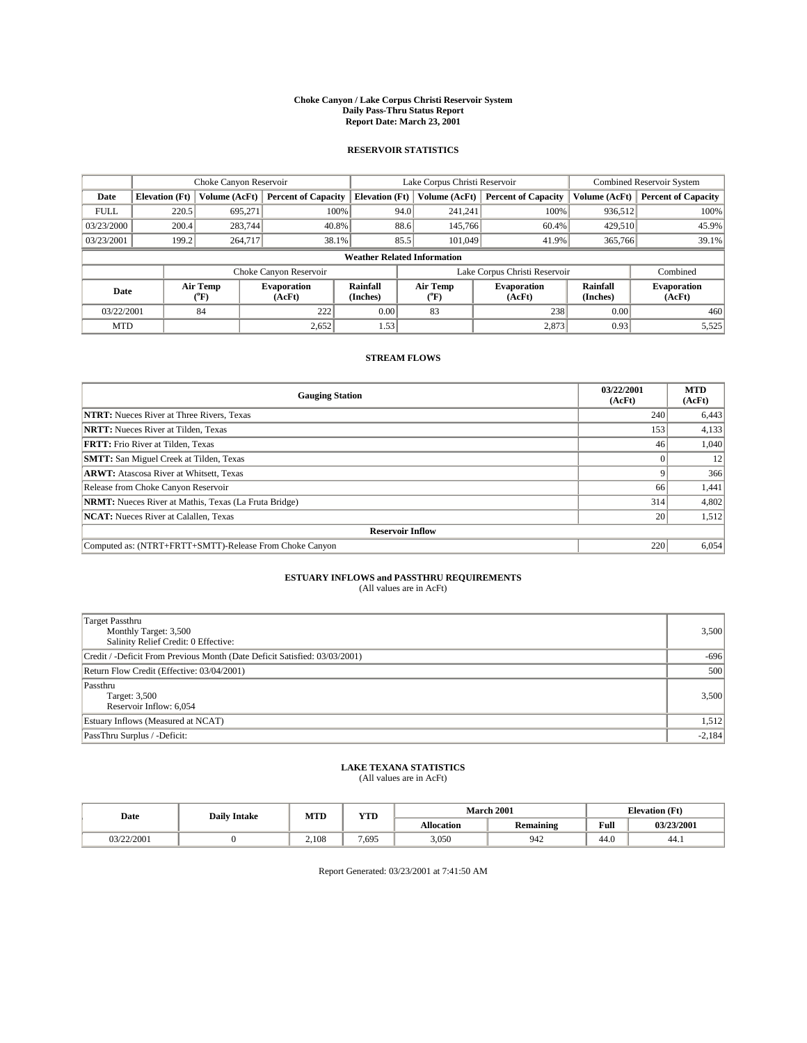#### **Choke Canyon / Lake Corpus Christi Reservoir System Daily Pass-Thru Status Report Report Date: March 23, 2001**

### **RESERVOIR STATISTICS**

|             | Choke Canyon Reservoir             |                             |                              |                             | Lake Corpus Christi Reservoir |                  |                               |                      | <b>Combined Reservoir System</b> |  |  |
|-------------|------------------------------------|-----------------------------|------------------------------|-----------------------------|-------------------------------|------------------|-------------------------------|----------------------|----------------------------------|--|--|
| Date        | <b>Elevation</b> (Ft)              | Volume (AcFt)               | <b>Percent of Capacity</b>   | <b>Elevation</b> (Ft)       |                               | Volume (AcFt)    | <b>Percent of Capacity</b>    | Volume (AcFt)        | <b>Percent of Capacity</b>       |  |  |
| <b>FULL</b> | 220.5                              | 695,271                     | 100%                         |                             | 94.0                          | 241,241          | 100%                          | 936.512              | 100%                             |  |  |
| 03/23/2000  | 200.4                              | 283,744                     | 40.8%                        |                             | 88.6                          | 145,766          | 60.4%                         | 429.510              | 45.9%                            |  |  |
| 03/23/2001  | 199.2                              | 264,717                     | 38.1%                        |                             | 85.5                          | 101,049          | 41.9%                         | 365,766              | 39.1%                            |  |  |
|             | <b>Weather Related Information</b> |                             |                              |                             |                               |                  |                               |                      |                                  |  |  |
|             |                                    |                             | Choke Canyon Reservoir       |                             |                               |                  | Lake Corpus Christi Reservoir |                      | Combined                         |  |  |
| Date        |                                    | Air Temp<br>${}^{\circ}$ F) | <b>Evaporation</b><br>(AcFt) | <b>Rainfall</b><br>(Inches) |                               | Air Temp<br>("F) | <b>Evaporation</b><br>(AcFt)  | Rainfall<br>(Inches) | <b>Evaporation</b><br>(AcFt)     |  |  |
| 03/22/2001  |                                    | 84                          | 222                          | 0.00                        |                               | 83               | 238                           | 0.00                 | 460                              |  |  |
| <b>MTD</b>  |                                    |                             | 2,652                        | 1.53                        |                               |                  | 2,873                         | 0.93                 | 5,525                            |  |  |

## **STREAM FLOWS**

| <b>Gauging Station</b>                                       | 03/22/2001<br>(AcFt) | <b>MTD</b><br>(AcFt) |  |  |  |  |
|--------------------------------------------------------------|----------------------|----------------------|--|--|--|--|
| <b>NTRT:</b> Nueces River at Three Rivers, Texas             | 240                  | 6,443                |  |  |  |  |
| <b>NRTT:</b> Nueces River at Tilden, Texas                   | 153                  | 4,133                |  |  |  |  |
| <b>FRTT:</b> Frio River at Tilden, Texas                     | 46                   | 1,040                |  |  |  |  |
| <b>SMTT:</b> San Miguel Creek at Tilden, Texas               |                      | 12                   |  |  |  |  |
| <b>ARWT:</b> Atascosa River at Whitsett, Texas               |                      | 366                  |  |  |  |  |
| Release from Choke Canyon Reservoir                          | 66                   | 1,441                |  |  |  |  |
| <b>NRMT:</b> Nueces River at Mathis, Texas (La Fruta Bridge) | 314                  | 4,802                |  |  |  |  |
| <b>NCAT:</b> Nueces River at Calallen, Texas                 | 20                   | 1,512                |  |  |  |  |
| <b>Reservoir Inflow</b>                                      |                      |                      |  |  |  |  |
| Computed as: (NTRT+FRTT+SMTT)-Release From Choke Canyon      | 220                  | 6,054                |  |  |  |  |

# **ESTUARY INFLOWS and PASSTHRU REQUIREMENTS**

(All values are in AcFt)

| <b>Target Passthru</b>                                                     |          |
|----------------------------------------------------------------------------|----------|
| Monthly Target: 3,500                                                      | 3,500    |
| Salinity Relief Credit: 0 Effective:                                       |          |
| Credit / -Deficit From Previous Month (Date Deficit Satisfied: 03/03/2001) | $-696$   |
| Return Flow Credit (Effective: 03/04/2001)                                 | 500      |
| Passthru                                                                   |          |
| Target: 3,500                                                              | 3,500    |
| Reservoir Inflow: 6,054                                                    |          |
| Estuary Inflows (Measured at NCAT)                                         | 1,512    |
| PassThru Surplus / -Deficit:                                               | $-2,184$ |

# **LAKE TEXANA STATISTICS** (All values are in AcFt)

| Date       | <b>Daily Intake</b> | MTD   | <b>TIMP</b><br>1 I.D |                   | <b>March 2001</b> | <b>Elevation</b> (Ft) |            |
|------------|---------------------|-------|----------------------|-------------------|-------------------|-----------------------|------------|
|            |                     |       |                      | <b>Allocation</b> | Remaining         | Full                  | 03/23/2001 |
| 03/22/2001 |                     | 2.108 | 7.695                | 3,050             | 942               | $\sqrt{2}$<br>44.V    | 44.1       |

Report Generated: 03/23/2001 at 7:41:50 AM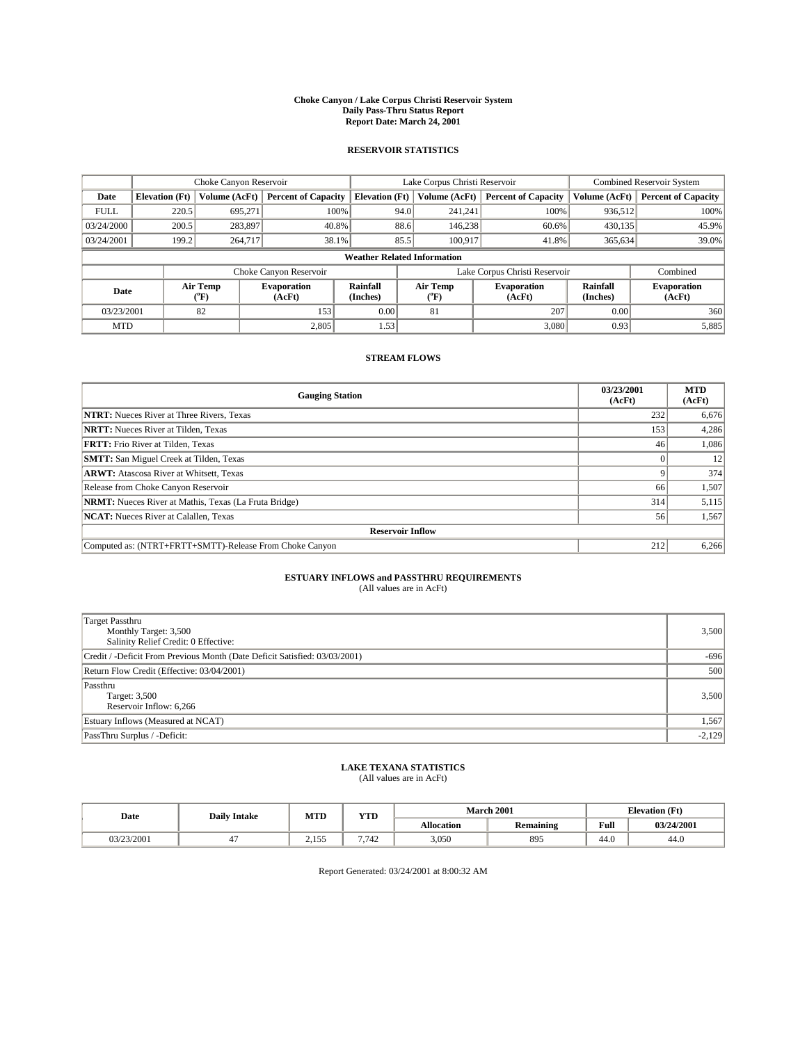#### **Choke Canyon / Lake Corpus Christi Reservoir System Daily Pass-Thru Status Report Report Date: March 24, 2001**

### **RESERVOIR STATISTICS**

|             | Choke Canyon Reservoir             |                             |                              |                             | Lake Corpus Christi Reservoir |                  |                               |                      | <b>Combined Reservoir System</b> |  |  |
|-------------|------------------------------------|-----------------------------|------------------------------|-----------------------------|-------------------------------|------------------|-------------------------------|----------------------|----------------------------------|--|--|
| Date        | <b>Elevation</b> (Ft)              | Volume (AcFt)               | <b>Percent of Capacity</b>   | <b>Elevation</b> (Ft)       |                               | Volume (AcFt)    | <b>Percent of Capacity</b>    | Volume (AcFt)        | <b>Percent of Capacity</b>       |  |  |
| <b>FULL</b> | 220.5                              | 695,271                     |                              | 100%                        | 94.0                          | 241,241          | 100%                          | 936.512              | 100%                             |  |  |
| 03/24/2000  | 200.5                              | 283,897                     | 40.8%                        |                             | 88.6                          | 146.238          | 60.6%                         | 430.135              | 45.9%                            |  |  |
| 03/24/2001  | 199.2                              | 264,717                     | 38.1%                        |                             | 85.5                          | 100,917          | 41.8%                         | 365,634              | 39.0%                            |  |  |
|             | <b>Weather Related Information</b> |                             |                              |                             |                               |                  |                               |                      |                                  |  |  |
|             |                                    |                             | Choke Canyon Reservoir       |                             |                               |                  | Lake Corpus Christi Reservoir |                      | Combined                         |  |  |
| Date        |                                    | Air Temp<br>${}^{\circ}$ F) | <b>Evaporation</b><br>(AcFt) | <b>Rainfall</b><br>(Inches) |                               | Air Temp<br>("F) | <b>Evaporation</b><br>(AcFt)  | Rainfall<br>(Inches) | <b>Evaporation</b><br>(AcFt)     |  |  |
| 03/23/2001  |                                    | 82                          | 153                          | 0.00                        |                               | 81               | 207                           | 0.00                 | 360                              |  |  |
| <b>MTD</b>  |                                    |                             | 2,805                        | 1.53                        |                               |                  | 3,080                         | 0.93                 | 5,885                            |  |  |

## **STREAM FLOWS**

| <b>Gauging Station</b>                                       | 03/23/2001<br>(AcFt) | <b>MTD</b><br>(AcFt) |  |  |  |  |  |
|--------------------------------------------------------------|----------------------|----------------------|--|--|--|--|--|
| <b>NTRT:</b> Nueces River at Three Rivers, Texas             | 232                  | 6,676                |  |  |  |  |  |
| <b>NRTT:</b> Nueces River at Tilden, Texas                   | 153                  | 4,286                |  |  |  |  |  |
| <b>FRTT:</b> Frio River at Tilden, Texas                     | 46                   | 1,086                |  |  |  |  |  |
| <b>SMTT:</b> San Miguel Creek at Tilden, Texas               |                      | 12                   |  |  |  |  |  |
| <b>ARWT:</b> Atascosa River at Whitsett, Texas               |                      | 374                  |  |  |  |  |  |
| Release from Choke Canyon Reservoir                          | 66                   | 1,507                |  |  |  |  |  |
| <b>NRMT:</b> Nueces River at Mathis, Texas (La Fruta Bridge) | 314                  | 5,115                |  |  |  |  |  |
| <b>NCAT:</b> Nueces River at Calallen, Texas                 | 56                   | 1,567                |  |  |  |  |  |
| <b>Reservoir Inflow</b>                                      |                      |                      |  |  |  |  |  |
| Computed as: (NTRT+FRTT+SMTT)-Release From Choke Canyon      | 212                  | 6,266                |  |  |  |  |  |

# **ESTUARY INFLOWS and PASSTHRU REQUIREMENTS**

(All values are in AcFt)

| <b>Target Passthru</b>                                                     |          |
|----------------------------------------------------------------------------|----------|
| Monthly Target: 3,500                                                      | 3,500    |
| Salinity Relief Credit: 0 Effective:                                       |          |
| Credit / -Deficit From Previous Month (Date Deficit Satisfied: 03/03/2001) | $-696$   |
| Return Flow Credit (Effective: 03/04/2001)                                 | 500      |
| Passthru                                                                   |          |
| Target: 3,500                                                              | 3,500    |
| Reservoir Inflow: 6,266                                                    |          |
| Estuary Inflows (Measured at NCAT)                                         | 1,567    |
| PassThru Surplus / -Deficit:                                               | $-2,129$ |

# **LAKE TEXANA STATISTICS** (All values are in AcFt)

| Date       | <b>Daily Intake</b> | <b>MTD</b> | <b>WTPD</b><br>1 I.D |                   | <b>March 2001</b> | <b>Elevation</b> (Ft) |            |
|------------|---------------------|------------|----------------------|-------------------|-------------------|-----------------------|------------|
|            |                     |            |                      | <b>Allocation</b> | <b>Remaining</b>  | Full                  | 03/24/2001 |
| 03/23/2001 |                     | 155<br>ر ر | 7740<br>. 142        | 3,050             | 895               | 44.U                  | 44.U       |

Report Generated: 03/24/2001 at 8:00:32 AM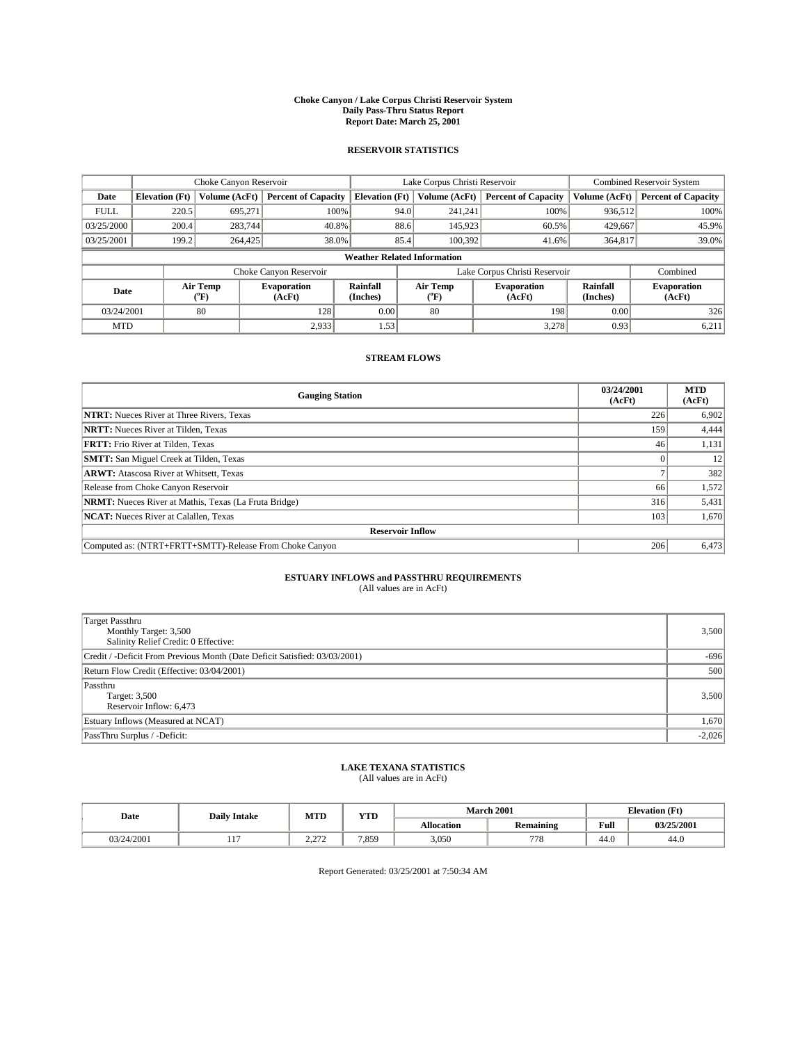#### **Choke Canyon / Lake Corpus Christi Reservoir System Daily Pass-Thru Status Report Report Date: March 25, 2001**

### **RESERVOIR STATISTICS**

|                                    | Choke Canyon Reservoir                                              |                             | Lake Corpus Christi Reservoir |                             |      |                  | <b>Combined Reservoir System</b> |                      |                              |  |
|------------------------------------|---------------------------------------------------------------------|-----------------------------|-------------------------------|-----------------------------|------|------------------|----------------------------------|----------------------|------------------------------|--|
| Date                               | <b>Elevation</b> (Ft)                                               | Volume (AcFt)               | <b>Percent of Capacity</b>    | <b>Elevation</b> (Ft)       |      | Volume (AcFt)    | <b>Percent of Capacity</b>       | Volume (AcFt)        | <b>Percent of Capacity</b>   |  |
| <b>FULL</b>                        | 220.5                                                               | 695,271                     |                               | 100%                        | 94.0 | 241,241          | 100%                             | 936.512              | 100%                         |  |
| 03/25/2000                         | 200.4                                                               | 283,744                     | 40.8%                         |                             | 88.6 | 145,923          | 60.5%                            | 429,667              | 45.9%                        |  |
| 03/25/2001                         | 199.2                                                               | 264,425                     | 38.0%                         |                             | 85.4 | 100,392          | 41.6%                            | 364,817              | 39.0%                        |  |
| <b>Weather Related Information</b> |                                                                     |                             |                               |                             |      |                  |                                  |                      |                              |  |
|                                    | Lake Corpus Christi Reservoir<br>Choke Canyon Reservoir<br>Combined |                             |                               |                             |      |                  |                                  |                      |                              |  |
| Date                               |                                                                     | Air Temp<br>${}^{\circ}$ F) | <b>Evaporation</b><br>(AcFt)  | <b>Rainfall</b><br>(Inches) |      | Air Temp<br>("F) | <b>Evaporation</b><br>(AcFt)     | Rainfall<br>(Inches) | <b>Evaporation</b><br>(AcFt) |  |
| 03/24/2001                         |                                                                     | 80                          | 128                           | 0.00                        |      | 80               | 198                              | 0.00                 | 326                          |  |
| <b>MTD</b>                         |                                                                     |                             | 2,933                         | 1.53                        |      |                  | 3,278                            | 0.93                 | 6,211                        |  |

## **STREAM FLOWS**

| <b>Gauging Station</b>                                       | 03/24/2001<br>(AcFt) | <b>MTD</b><br>(AcFt) |
|--------------------------------------------------------------|----------------------|----------------------|
| <b>NTRT:</b> Nueces River at Three Rivers, Texas             | 226                  | 6,902                |
| <b>NRTT:</b> Nueces River at Tilden, Texas                   | 159                  | 4,444                |
| <b>FRTT:</b> Frio River at Tilden, Texas                     | 46                   | 1,131                |
| <b>SMTT:</b> San Miguel Creek at Tilden, Texas               |                      | 12                   |
| <b>ARWT:</b> Atascosa River at Whitsett, Texas               |                      | 382                  |
| Release from Choke Canyon Reservoir                          | 66                   | 1,572                |
| <b>NRMT:</b> Nueces River at Mathis, Texas (La Fruta Bridge) | 316                  | 5,431                |
| <b>NCAT:</b> Nueces River at Calallen, Texas                 | 103                  | 1,670                |
| <b>Reservoir Inflow</b>                                      |                      |                      |
| Computed as: (NTRT+FRTT+SMTT)-Release From Choke Canyon      | 206                  | 6,473                |

# **ESTUARY INFLOWS and PASSTHRU REQUIREMENTS**<br>(All values are in AcFt)

| <b>Target Passthru</b>                                                     |          |
|----------------------------------------------------------------------------|----------|
| Monthly Target: 3,500                                                      | 3,500    |
| Salinity Relief Credit: 0 Effective:                                       |          |
| Credit / -Deficit From Previous Month (Date Deficit Satisfied: 03/03/2001) | $-696$   |
| Return Flow Credit (Effective: 03/04/2001)                                 | 500      |
| Passthru                                                                   |          |
| Target: 3,500                                                              | 3,500    |
| Reservoir Inflow: 6,473                                                    |          |
| Estuary Inflows (Measured at NCAT)                                         | 1,670    |
| PassThru Surplus / -Deficit:                                               | $-2,026$ |

# **LAKE TEXANA STATISTICS** (All values are in AcFt)

| Date       | <b>Daily Intake</b> | MTD              | <b>TIME</b><br>1 I.D |                   | <b>March 2001</b> | Elevation (Ft)     |            |
|------------|---------------------|------------------|----------------------|-------------------|-------------------|--------------------|------------|
|            |                     |                  |                      | <b>Allocation</b> | Remaining         | Full               | 03/25/2001 |
| 03/24/2001 |                     | 272<br>ـ ، ـ ، ـ | 7.859                | 3,050             | 77C               | $\epsilon$<br>44.U | 44.U       |

Report Generated: 03/25/2001 at 7:50:34 AM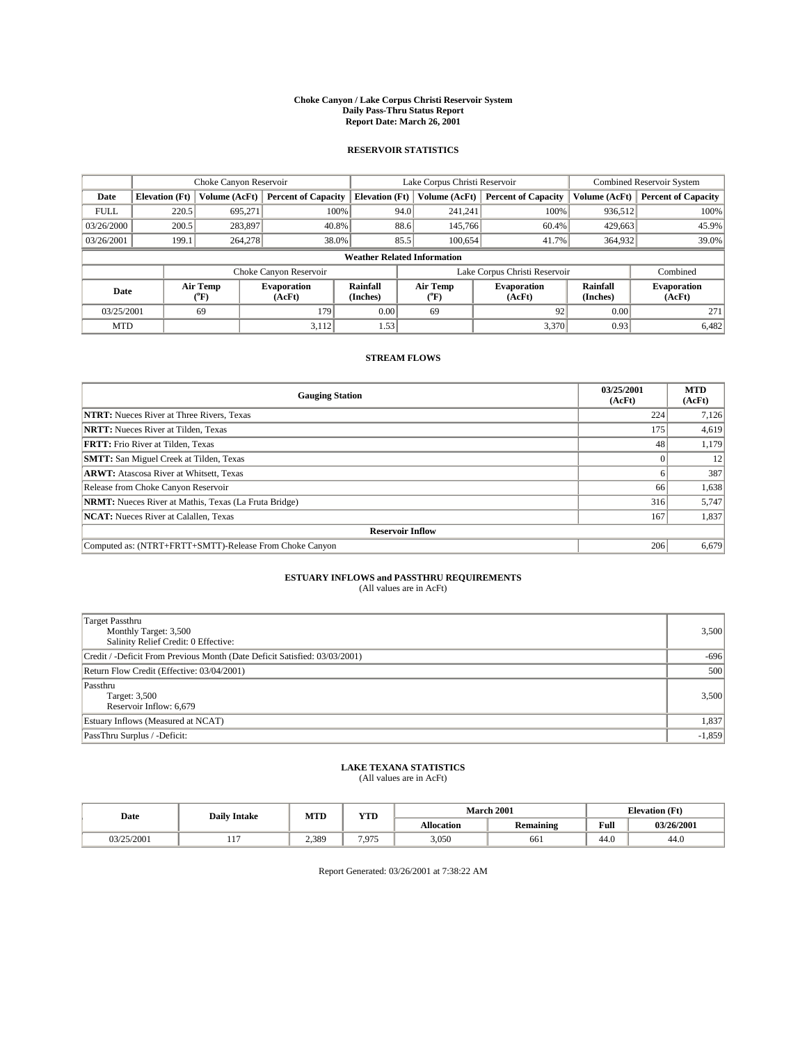#### **Choke Canyon / Lake Corpus Christi Reservoir System Daily Pass-Thru Status Report Report Date: March 26, 2001**

### **RESERVOIR STATISTICS**

|             | Choke Canyon Reservoir                                              |                             | Lake Corpus Christi Reservoir |                             |      |                  | <b>Combined Reservoir System</b> |                      |                              |  |
|-------------|---------------------------------------------------------------------|-----------------------------|-------------------------------|-----------------------------|------|------------------|----------------------------------|----------------------|------------------------------|--|
| Date        | <b>Elevation</b> (Ft)                                               | Volume (AcFt)               | <b>Percent of Capacity</b>    | <b>Elevation</b> (Ft)       |      | Volume (AcFt)    | <b>Percent of Capacity</b>       | Volume (AcFt)        | <b>Percent of Capacity</b>   |  |
| <b>FULL</b> | 220.5                                                               | 695,271                     |                               | 100%                        | 94.0 | 241,241          | 100%                             | 936.512              | 100%                         |  |
| 03/26/2000  | 200.5                                                               | 283,897                     | 40.8%                         |                             | 88.6 | 145,766          | 60.4%                            | 429,663              | 45.9%                        |  |
| 03/26/2001  | 199.1                                                               | 264,278                     | 38.0%                         |                             | 85.5 | 100.654          | 41.7%                            | 364,932              | 39.0%                        |  |
|             | <b>Weather Related Information</b>                                  |                             |                               |                             |      |                  |                                  |                      |                              |  |
|             | Lake Corpus Christi Reservoir<br>Choke Canyon Reservoir<br>Combined |                             |                               |                             |      |                  |                                  |                      |                              |  |
| Date        |                                                                     | Air Temp<br>${}^{\circ}$ F) | <b>Evaporation</b><br>(AcFt)  | <b>Rainfall</b><br>(Inches) |      | Air Temp<br>("F) | <b>Evaporation</b><br>(AcFt)     | Rainfall<br>(Inches) | <b>Evaporation</b><br>(AcFt) |  |
| 03/25/2001  |                                                                     | 69                          | 179                           | 0.00                        |      | 69               | 92                               | 0.00                 | 271                          |  |
| <b>MTD</b>  |                                                                     |                             | 3,112                         | 1.53                        |      |                  | 3,370                            | 0.93                 | 6,482                        |  |

## **STREAM FLOWS**

| <b>Gauging Station</b>                                       | 03/25/2001<br>(AcFt) | <b>MTD</b><br>(AcFt) |
|--------------------------------------------------------------|----------------------|----------------------|
| <b>NTRT:</b> Nueces River at Three Rivers, Texas             | 224                  | 7,126                |
| <b>NRTT:</b> Nueces River at Tilden, Texas                   | 175                  | 4,619                |
| <b>FRTT:</b> Frio River at Tilden, Texas                     | 48                   | 1,179                |
| <b>SMTT:</b> San Miguel Creek at Tilden, Texas               |                      | 12                   |
| <b>ARWT:</b> Atascosa River at Whitsett, Texas               |                      | 387                  |
| Release from Choke Canyon Reservoir                          | 66                   | 1,638                |
| <b>NRMT:</b> Nueces River at Mathis, Texas (La Fruta Bridge) | 316                  | 5,747                |
| <b>NCAT:</b> Nueces River at Calallen, Texas                 | 167                  | 1,837                |
| <b>Reservoir Inflow</b>                                      |                      |                      |
| Computed as: (NTRT+FRTT+SMTT)-Release From Choke Canyon      | 206                  | 6,679                |

# **ESTUARY INFLOWS and PASSTHRU REQUIREMENTS**

(All values are in AcFt)

| Target Passthru<br>Monthly Target: 3,500<br>Salinity Relief Credit: 0 Effective: | 3,500    |
|----------------------------------------------------------------------------------|----------|
| Credit / -Deficit From Previous Month (Date Deficit Satisfied: 03/03/2001)       | $-696$   |
| Return Flow Credit (Effective: 03/04/2001)                                       | 500      |
| Passthru<br>Target: 3,500<br>Reservoir Inflow: 6,679                             | 3,500    |
| Estuary Inflows (Measured at NCAT)                                               | 1,837    |
| PassThru Surplus / -Deficit:                                                     | $-1,859$ |

# **LAKE TEXANA STATISTICS** (All values are in AcFt)

| Date       | <b>Daily Intake</b> | MTD          | <b>TIME</b><br>1 I.D |                   | <b>March 2001</b> | Elevation (Ft) |            |
|------------|---------------------|--------------|----------------------|-------------------|-------------------|----------------|------------|
|            |                     |              |                      | <b>Allocation</b> | <b>Remaining</b>  | Full           | 03/26/2001 |
| 03/25/2001 |                     | 389<br>. ں ب | 7975<br>.            | 3,050             | 661               | 44.U           | 44.U       |

Report Generated: 03/26/2001 at 7:38:22 AM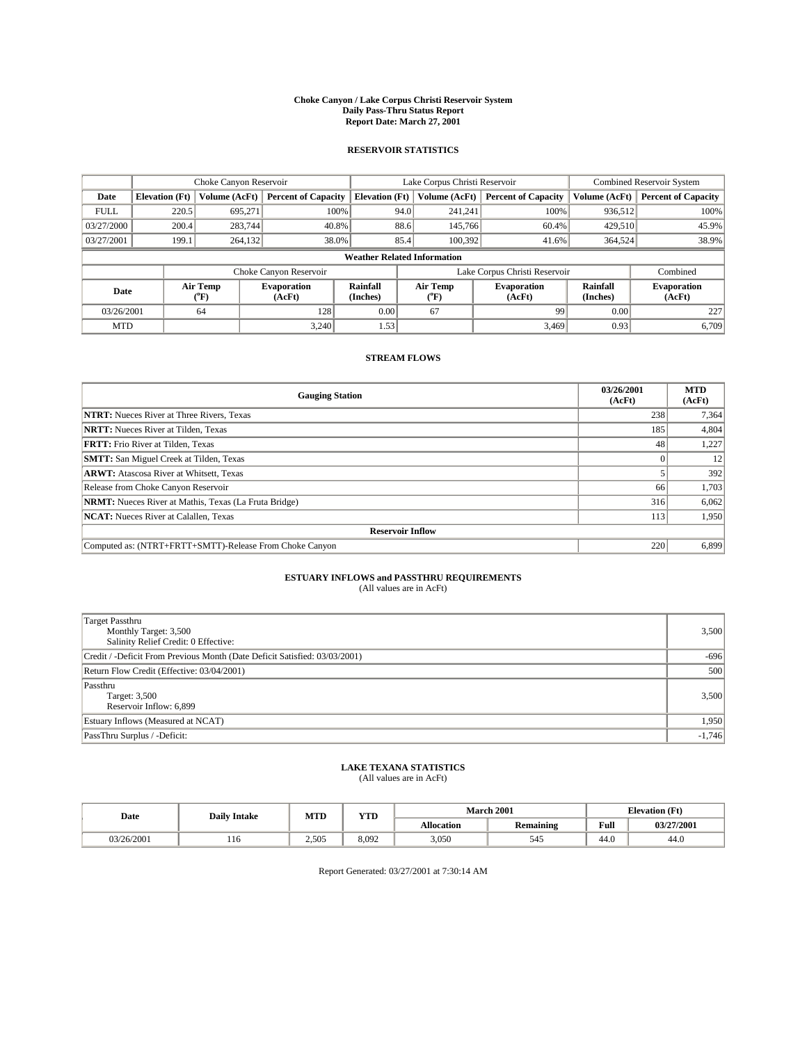#### **Choke Canyon / Lake Corpus Christi Reservoir System Daily Pass-Thru Status Report Report Date: March 27, 2001**

### **RESERVOIR STATISTICS**

|                                    |                                                                     |                             | Lake Corpus Christi Reservoir |                             |      |                  | <b>Combined Reservoir System</b> |                      |                              |  |
|------------------------------------|---------------------------------------------------------------------|-----------------------------|-------------------------------|-----------------------------|------|------------------|----------------------------------|----------------------|------------------------------|--|
| Date                               | <b>Elevation</b> (Ft)                                               | Volume (AcFt)               | <b>Percent of Capacity</b>    | <b>Elevation</b> (Ft)       |      | Volume (AcFt)    | <b>Percent of Capacity</b>       | Volume (AcFt)        | <b>Percent of Capacity</b>   |  |
| <b>FULL</b>                        | 220.5                                                               | 695,271                     |                               | 100%                        | 94.0 | 241,241          | 100%                             | 936,512              | 100%                         |  |
| 03/27/2000                         | 200.4                                                               | 283,744                     |                               | 40.8%                       | 88.6 | 145,766          | 60.4%                            | 429.510              | 45.9%                        |  |
| 03/27/2001                         | 199.1                                                               | 264,132                     | 38.0%                         |                             | 85.4 | 100,392          | 41.6%                            | 364,524              | 38.9%                        |  |
| <b>Weather Related Information</b> |                                                                     |                             |                               |                             |      |                  |                                  |                      |                              |  |
|                                    | Lake Corpus Christi Reservoir<br>Choke Canyon Reservoir<br>Combined |                             |                               |                             |      |                  |                                  |                      |                              |  |
| Date                               |                                                                     | Air Temp<br>${}^{\circ}$ F) | <b>Evaporation</b><br>(AcFt)  | <b>Rainfall</b><br>(Inches) |      | Air Temp<br>("F) | <b>Evaporation</b><br>(AcFt)     | Rainfall<br>(Inches) | <b>Evaporation</b><br>(AcFt) |  |
| 03/26/2001                         |                                                                     | 64                          | 128                           | 0.00                        |      | 67               | 99                               | 0.00                 | 227                          |  |
| <b>MTD</b>                         |                                                                     |                             | 3.240                         | 1.53                        |      |                  | 3,469                            | 0.93                 | 6,709                        |  |

## **STREAM FLOWS**

| <b>Gauging Station</b>                                       | 03/26/2001<br>(AcFt) | <b>MTD</b><br>(AcFt) |
|--------------------------------------------------------------|----------------------|----------------------|
| <b>NTRT:</b> Nueces River at Three Rivers, Texas             | 238                  | 7,364                |
| <b>NRTT:</b> Nueces River at Tilden, Texas                   | 185                  | 4,804                |
| <b>FRTT:</b> Frio River at Tilden, Texas                     | 48                   | 1,227                |
| <b>SMTT:</b> San Miguel Creek at Tilden, Texas               |                      | 12                   |
| <b>ARWT:</b> Atascosa River at Whitsett, Texas               |                      | 392                  |
| Release from Choke Canyon Reservoir                          | 66                   | 1,703                |
| <b>NRMT:</b> Nueces River at Mathis, Texas (La Fruta Bridge) | 316                  | 6,062                |
| <b>NCAT:</b> Nueces River at Calallen, Texas                 | 113                  | 1,950                |
| <b>Reservoir Inflow</b>                                      |                      |                      |
| Computed as: (NTRT+FRTT+SMTT)-Release From Choke Canyon      | 220                  | 6,899                |

# **ESTUARY INFLOWS and PASSTHRU REQUIREMENTS**<br>(All values are in AcFt)

| Target Passthru<br>Monthly Target: 3,500<br>Salinity Relief Credit: 0 Effective: | 3,500    |
|----------------------------------------------------------------------------------|----------|
| Credit / -Deficit From Previous Month (Date Deficit Satisfied: 03/03/2001)       | $-696$   |
| Return Flow Credit (Effective: 03/04/2001)                                       | 500      |
| Passthru<br>Target: 3,500<br>Reservoir Inflow: 6,899                             | 3,500    |
| Estuary Inflows (Measured at NCAT)                                               | 1,950    |
| PassThru Surplus / -Deficit:                                                     | $-1,746$ |

# **LAKE TEXANA STATISTICS** (All values are in AcFt)

| Date       | <b>Daily Intake</b> | <b>MTD</b> | <b>YTD</b> |                   | <b>March 2001</b> | <b>Elevation</b> (Ft) |            |
|------------|---------------------|------------|------------|-------------------|-------------------|-----------------------|------------|
|            |                     |            |            | <b>Allocation</b> | <b>Remaining</b>  | Full                  | 03/27/2001 |
| 03/26/2001 | 1 I V               | 2,505      | 8.092      | 3,050             | 545               | 44.0                  | 44.6       |

Report Generated: 03/27/2001 at 7:30:14 AM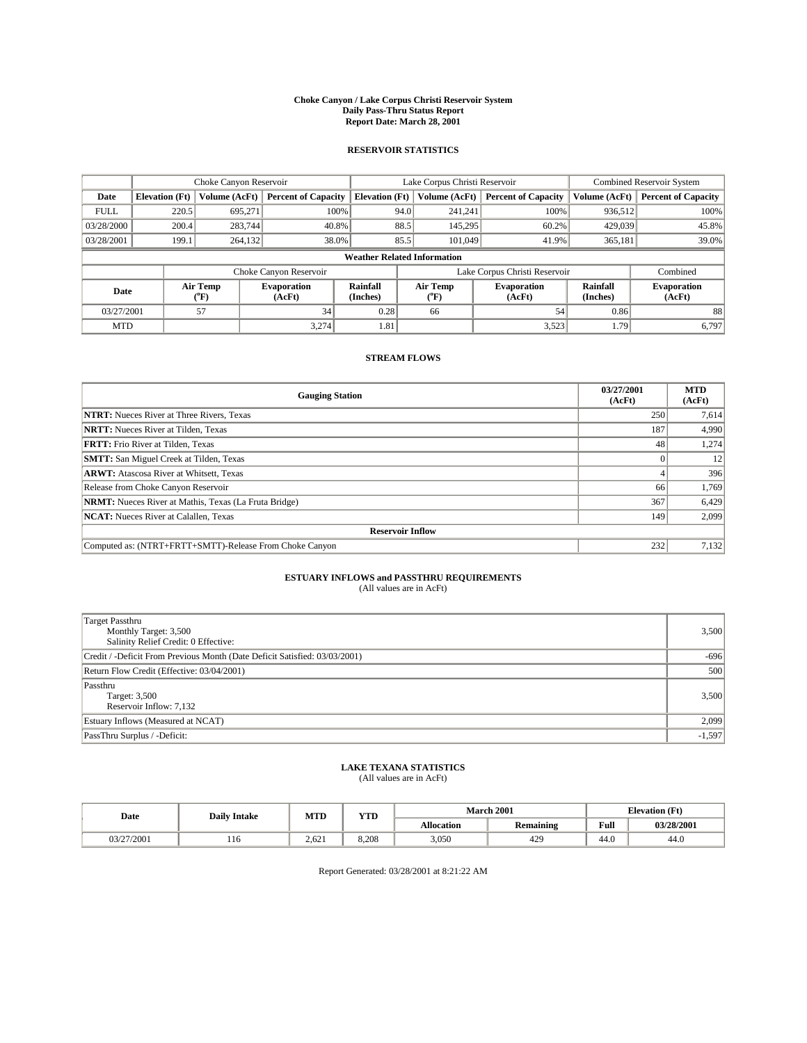#### **Choke Canyon / Lake Corpus Christi Reservoir System Daily Pass-Thru Status Report Report Date: March 28, 2001**

### **RESERVOIR STATISTICS**

|             | Choke Canyon Reservoir             |                             |                              |                             | Lake Corpus Christi Reservoir |                  |                               |                      | <b>Combined Reservoir System</b> |  |  |
|-------------|------------------------------------|-----------------------------|------------------------------|-----------------------------|-------------------------------|------------------|-------------------------------|----------------------|----------------------------------|--|--|
| Date        | <b>Elevation</b> (Ft)              | Volume (AcFt)               | <b>Percent of Capacity</b>   | <b>Elevation</b> (Ft)       |                               | Volume (AcFt)    | <b>Percent of Capacity</b>    | Volume (AcFt)        | <b>Percent of Capacity</b>       |  |  |
| <b>FULL</b> | 220.5                              | 695,271                     | 100%                         |                             | 94.0                          | 241,241          | 100%                          | 936.512              | 100%                             |  |  |
| 03/28/2000  | 200.4                              | 283,744                     | 40.8%                        |                             | 88.5                          | 145.295          | 60.2%                         | 429,039              | 45.8%                            |  |  |
| 03/28/2001  | 199.1                              | 264,132                     | 38.0%                        |                             | 85.5                          | 101,049          | 41.9%                         | 365,181              | 39.0%                            |  |  |
|             | <b>Weather Related Information</b> |                             |                              |                             |                               |                  |                               |                      |                                  |  |  |
|             |                                    |                             | Choke Canyon Reservoir       |                             |                               |                  | Lake Corpus Christi Reservoir |                      | Combined                         |  |  |
| Date        |                                    | Air Temp<br>${}^{\circ}$ F) | <b>Evaporation</b><br>(AcFt) | <b>Rainfall</b><br>(Inches) |                               | Air Temp<br>("F) | <b>Evaporation</b><br>(AcFt)  | Rainfall<br>(Inches) | <b>Evaporation</b><br>(AcFt)     |  |  |
| 03/27/2001  |                                    | 57                          | 34                           | 0.28                        |                               | 66               | 54                            | 0.86                 | 88                               |  |  |
| <b>MTD</b>  |                                    |                             | 3,274                        | 1.81                        |                               |                  | 3,523                         | 1.79                 | 6,797                            |  |  |

## **STREAM FLOWS**

| <b>Gauging Station</b>                                       | 03/27/2001<br>(AcFt) | <b>MTD</b><br>(AcFt) |
|--------------------------------------------------------------|----------------------|----------------------|
| <b>NTRT:</b> Nueces River at Three Rivers, Texas             | 250                  | 7,614                |
| <b>NRTT:</b> Nueces River at Tilden, Texas                   | 187                  | 4,990                |
| <b>FRTT:</b> Frio River at Tilden, Texas                     | 48                   | 1,274                |
| <b>SMTT:</b> San Miguel Creek at Tilden, Texas               |                      | 12                   |
| <b>ARWT:</b> Atascosa River at Whitsett, Texas               |                      | 396                  |
| Release from Choke Canyon Reservoir                          | 66                   | 1,769                |
| <b>NRMT:</b> Nueces River at Mathis, Texas (La Fruta Bridge) | 367                  | 6,429                |
| <b>NCAT:</b> Nueces River at Calallen, Texas                 | 149                  | 2,099                |
| <b>Reservoir Inflow</b>                                      |                      |                      |
| Computed as: (NTRT+FRTT+SMTT)-Release From Choke Canyon      | 232                  | 7,132                |

# **ESTUARY INFLOWS and PASSTHRU REQUIREMENTS**

(All values are in AcFt)

| Target Passthru<br>Monthly Target: 3,500<br>Salinity Relief Credit: 0 Effective: | 3,500    |
|----------------------------------------------------------------------------------|----------|
| Credit / -Deficit From Previous Month (Date Deficit Satisfied: 03/03/2001)       | $-696$   |
| Return Flow Credit (Effective: 03/04/2001)                                       | 500      |
| Passthru<br>Target: 3,500<br>Reservoir Inflow: 7,132                             | 3,500    |
| Estuary Inflows (Measured at NCAT)                                               | 2,099    |
| PassThru Surplus / -Deficit:                                                     | $-1,597$ |

# **LAKE TEXANA STATISTICS** (All values are in AcFt)

| Date       | <b>Daily Intake</b> | MTD   | <b>TIME</b> |                   | <b>March 2001</b> |                    | <b>Elevation</b> (Ft) |
|------------|---------------------|-------|-------------|-------------------|-------------------|--------------------|-----------------------|
|            |                     |       | 1 I.D       | <b>Allocation</b> | <b>Remaining</b>  | Full               | 03/28/2001            |
| 03/27/2001 | 110                 | 2.621 | 8.208       | 3,050             | 42 <sup>o</sup>   | $\epsilon$<br>44.U | 44.U                  |

Report Generated: 03/28/2001 at 8:21:22 AM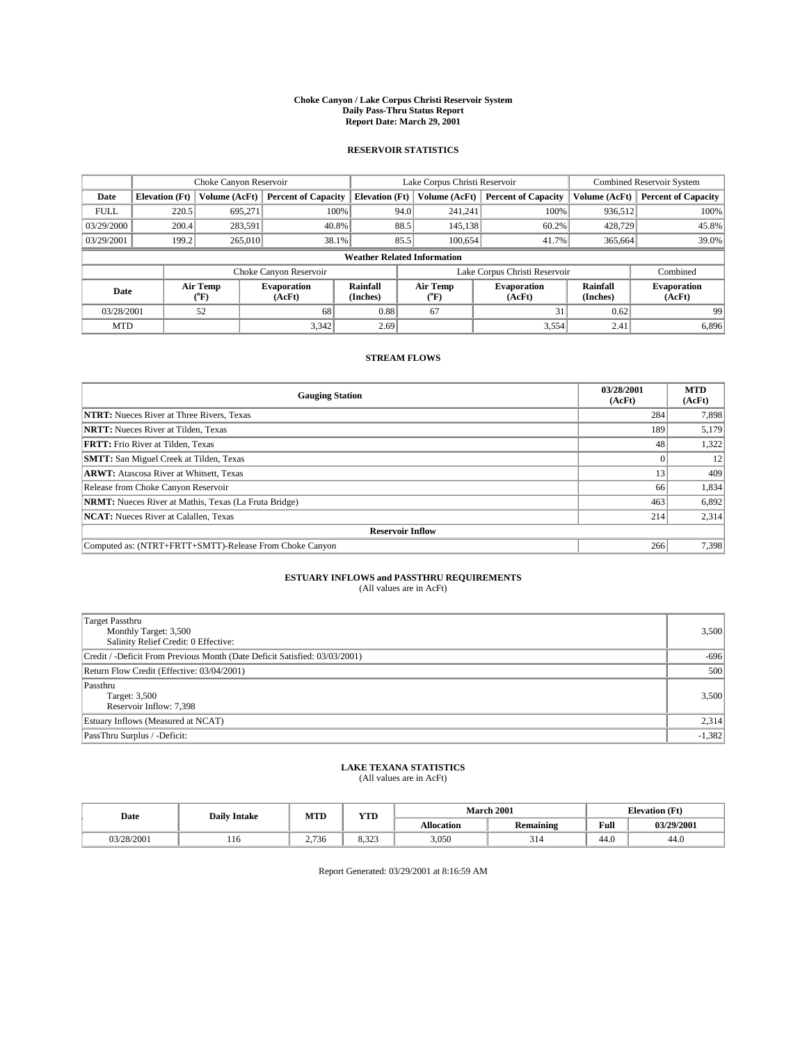#### **Choke Canyon / Lake Corpus Christi Reservoir System Daily Pass-Thru Status Report Report Date: March 29, 2001**

### **RESERVOIR STATISTICS**

|             | Choke Canyon Reservoir             |                             |                              |                             | Lake Corpus Christi Reservoir |                  |                               |                      | <b>Combined Reservoir System</b> |  |  |
|-------------|------------------------------------|-----------------------------|------------------------------|-----------------------------|-------------------------------|------------------|-------------------------------|----------------------|----------------------------------|--|--|
| Date        | <b>Elevation</b> (Ft)              | Volume (AcFt)               | <b>Percent of Capacity</b>   | <b>Elevation</b> (Ft)       |                               | Volume (AcFt)    | <b>Percent of Capacity</b>    | Volume (AcFt)        | <b>Percent of Capacity</b>       |  |  |
| <b>FULL</b> | 220.5                              | 695,271                     | 100%                         |                             | 94.0                          | 241,241          | 100%                          | 936.512              | 100%                             |  |  |
| 03/29/2000  | 200.4                              | 283,591                     | 40.8%                        |                             | 88.5                          | 145.138          | 60.2%                         | 428,729              | 45.8%                            |  |  |
| 03/29/2001  | 199.2                              | 265,010                     | 38.1%                        |                             | 85.5                          | 100.654          | 41.7%                         | 365,664              | 39.0%                            |  |  |
|             | <b>Weather Related Information</b> |                             |                              |                             |                               |                  |                               |                      |                                  |  |  |
|             |                                    |                             | Choke Canyon Reservoir       |                             |                               |                  | Lake Corpus Christi Reservoir |                      | Combined                         |  |  |
| Date        |                                    | Air Temp<br>${}^{\circ}$ F) | <b>Evaporation</b><br>(AcFt) | <b>Rainfall</b><br>(Inches) |                               | Air Temp<br>("F) | <b>Evaporation</b><br>(AcFt)  | Rainfall<br>(Inches) | <b>Evaporation</b><br>(AcFt)     |  |  |
| 03/28/2001  |                                    | 52                          | 68                           | 0.88                        |                               | 67               | 31                            | 0.62                 | 99                               |  |  |
| <b>MTD</b>  |                                    |                             | 3,342                        | 2.69                        |                               |                  | 3,554                         | 2.41                 | 6,896                            |  |  |

## **STREAM FLOWS**

| <b>Gauging Station</b>                                       | 03/28/2001<br>(AcFt) | <b>MTD</b><br>(AcFt) |
|--------------------------------------------------------------|----------------------|----------------------|
| <b>NTRT:</b> Nueces River at Three Rivers, Texas             | 284                  | 7,898                |
| <b>NRTT:</b> Nueces River at Tilden, Texas                   | 189                  | 5,179                |
| <b>FRTT:</b> Frio River at Tilden, Texas                     | 48                   | 1,322                |
| <b>SMTT:</b> San Miguel Creek at Tilden, Texas               |                      | 12                   |
| <b>ARWT:</b> Atascosa River at Whitsett, Texas               | 13 <sup>1</sup>      | 409                  |
| Release from Choke Canyon Reservoir                          | 66                   | 1,834                |
| <b>NRMT:</b> Nueces River at Mathis, Texas (La Fruta Bridge) | 463                  | 6,892                |
| <b>NCAT:</b> Nueces River at Calallen, Texas                 | 214                  | 2,314                |
| <b>Reservoir Inflow</b>                                      |                      |                      |
| Computed as: (NTRT+FRTT+SMTT)-Release From Choke Canyon      | 266                  | 7,398                |

# **ESTUARY INFLOWS and PASSTHRU REQUIREMENTS**<br>(All values are in AcFt)

| Target Passthru<br>Monthly Target: 3,500<br>Salinity Relief Credit: 0 Effective: | 3,500    |
|----------------------------------------------------------------------------------|----------|
| Credit / -Deficit From Previous Month (Date Deficit Satisfied: 03/03/2001)       | $-696$   |
| Return Flow Credit (Effective: 03/04/2001)                                       | 500      |
| Passthru<br>Target: 3,500<br>Reservoir Inflow: 7,398                             | 3,500    |
| Estuary Inflows (Measured at NCAT)                                               | 2,314    |
| PassThru Surplus / -Deficit:                                                     | $-1,382$ |

# **LAKE TEXANA STATISTICS** (All values are in AcFt)

| Date       | <b>Daily Intake</b> | MTD           | VTD<br>1 I D     | <b>March 2001</b> |                      |      | <b>Elevation</b> (Ft) |  |
|------------|---------------------|---------------|------------------|-------------------|----------------------|------|-----------------------|--|
|            |                     |               |                  | <b>Allocation</b> | <b>Remaining</b>     | Full | 03/29/2001            |  |
| 03/28/2001 | 1 I V               | 5.72<br>2.736 | 0.222<br>ر ے ر…ں | 3,050             | $\sim$ $\sim$<br>514 | 44.U | 44.G                  |  |

Report Generated: 03/29/2001 at 8:16:59 AM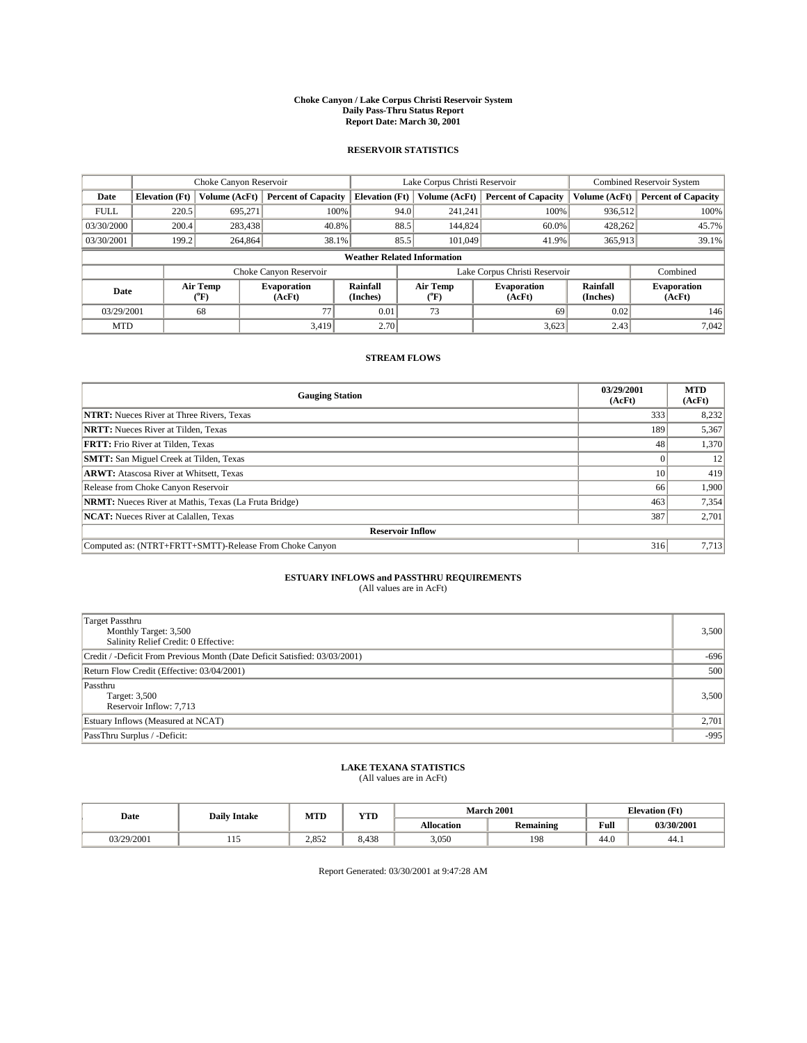#### **Choke Canyon / Lake Corpus Christi Reservoir System Daily Pass-Thru Status Report Report Date: March 30, 2001**

### **RESERVOIR STATISTICS**

|             | Choke Canyon Reservoir             |                             |                              |                             | Lake Corpus Christi Reservoir |                  |                               |                      | <b>Combined Reservoir System</b> |  |  |
|-------------|------------------------------------|-----------------------------|------------------------------|-----------------------------|-------------------------------|------------------|-------------------------------|----------------------|----------------------------------|--|--|
| Date        | <b>Elevation</b> (Ft)              | Volume (AcFt)               | <b>Percent of Capacity</b>   | <b>Elevation</b> (Ft)       |                               | Volume (AcFt)    | <b>Percent of Capacity</b>    | Volume (AcFt)        | <b>Percent of Capacity</b>       |  |  |
| <b>FULL</b> | 220.5                              | 695,271                     | 100%                         |                             | 94.0                          | 241,241          | 100%                          | 936.512              | 100%                             |  |  |
| 03/30/2000  | 200.4                              | 283,438                     | 40.8%                        |                             | 88.5                          | 144,824          | 60.0%                         | 428.262              | 45.7%                            |  |  |
| 03/30/2001  | 199.2                              | 264,864                     | 38.1%                        |                             | 85.5                          | 101,049          | 41.9%                         | 365,913              | 39.1%                            |  |  |
|             | <b>Weather Related Information</b> |                             |                              |                             |                               |                  |                               |                      |                                  |  |  |
|             |                                    |                             | Choke Canyon Reservoir       |                             |                               |                  | Lake Corpus Christi Reservoir |                      | Combined                         |  |  |
| Date        |                                    | Air Temp<br>${}^{\circ}$ F) | <b>Evaporation</b><br>(AcFt) | <b>Rainfall</b><br>(Inches) |                               | Air Temp<br>("F) | <b>Evaporation</b><br>(AcFt)  | Rainfall<br>(Inches) | <b>Evaporation</b><br>(AcFt)     |  |  |
| 03/29/2001  |                                    | 68                          | 77                           | 0.01                        |                               | 73               | 69                            | 0.02                 | 146                              |  |  |
| <b>MTD</b>  |                                    |                             | 3,419                        | 2.70                        |                               |                  | 3,623                         | 2.43                 | 7,042                            |  |  |

## **STREAM FLOWS**

| <b>Gauging Station</b>                                       | 03/29/2001<br>(AcFt) | <b>MTD</b><br>(AcFt) |
|--------------------------------------------------------------|----------------------|----------------------|
| <b>NTRT:</b> Nueces River at Three Rivers, Texas             | 333                  | 8,232                |
| <b>NRTT:</b> Nueces River at Tilden, Texas                   | 189                  | 5,367                |
| <b>FRTT:</b> Frio River at Tilden, Texas                     | 48                   | 1,370                |
| <b>SMTT:</b> San Miguel Creek at Tilden, Texas               |                      | 12                   |
| <b>ARWT:</b> Atascosa River at Whitsett, Texas               | 10                   | 419                  |
| Release from Choke Canyon Reservoir                          | 66                   | 1,900                |
| <b>NRMT:</b> Nueces River at Mathis, Texas (La Fruta Bridge) | 463                  | 7,354                |
| <b>NCAT:</b> Nueces River at Calallen, Texas                 | 387                  | 2,701                |
| <b>Reservoir Inflow</b>                                      |                      |                      |
| Computed as: (NTRT+FRTT+SMTT)-Release From Choke Canyon      | 316                  | 7,713                |

# **ESTUARY INFLOWS and PASSTHRU REQUIREMENTS**<br>(All values are in AcFt)

| Target Passthru<br>Monthly Target: 3,500<br>Salinity Relief Credit: 0 Effective: | 3,500  |
|----------------------------------------------------------------------------------|--------|
| Credit / -Deficit From Previous Month (Date Deficit Satisfied: 03/03/2001)       | $-696$ |
| Return Flow Credit (Effective: 03/04/2001)                                       | 500    |
| Passthru<br>Target: 3,500<br>Reservoir Inflow: 7,713                             | 3,500  |
| Estuary Inflows (Measured at NCAT)                                               | 2,701  |
| PassThru Surplus / -Deficit:                                                     | $-995$ |

# **LAKE TEXANA STATISTICS** (All values are in AcFt)

| Date       | <b>Daily Intake</b> | <b>MTD</b> | <b>TIME</b>  |                   | <b>March 2001</b> | <b>Elevation</b> (Ft) |            |
|------------|---------------------|------------|--------------|-------------------|-------------------|-----------------------|------------|
|            |                     |            | 1 I.D        | <b>Allocation</b> | <b>Remaining</b>  | Full                  | 03/30/2001 |
| 03/29/2001 | .                   | 2.852      | 400<br>5.438 | 3,050             | 198               | 44.U                  | 44.1       |

Report Generated: 03/30/2001 at 9:47:28 AM